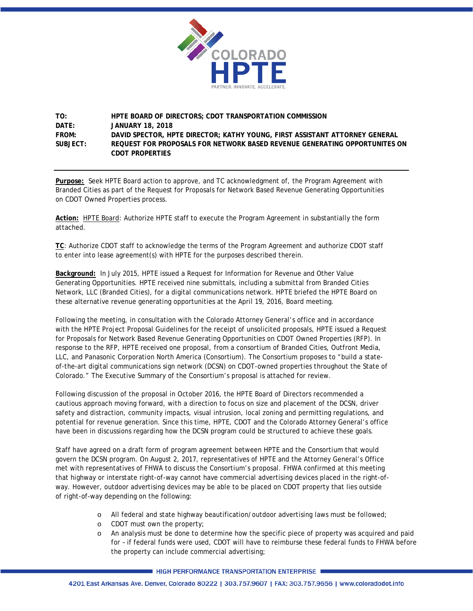

#### **TO: HPTE BOARD OF DIRECTORS; CDOT TRANSPORTATION COMMISSION DATE: JANUARY 18, 2018 FROM: DAVID SPECTOR, HPTE DIRECTOR; KATHY YOUNG, FIRST ASSISTANT ATTORNEY GENERAL SUBJECT: REQUEST FOR PROPOSALS FOR NETWORK BASED REVENUE GENERATING OPPORTUNITES ON CDOT PROPERTIES**

**Purpose:** Seek HPTE Board action to approve, and TC acknowledgment of, the Program Agreement with Branded Cities as part of the Request for Proposals for Network Based Revenue Generating Opportunities on CDOT Owned Properties process.

**Action:** HPTE Board: Authorize HPTE staff to execute the Program Agreement in substantially the form attached.

**TC**: Authorize CDOT staff to acknowledge the terms of the Program Agreement and authorize CDOT staff to enter into lease agreement(s) with HPTE for the purposes described therein.

**Background:** In July 2015, HPTE issued a Request for Information for Revenue and Other Value Generating Opportunities. HPTE received nine submittals, including a submittal from Branded Cities Network, LLC (Branded Cities), for a digital communications network. HPTE briefed the HPTE Board on these alternative revenue generating opportunities at the April 19, 2016, Board meeting.

Following the meeting, in consultation with the Colorado Attorney General's office and in accordance with the HPTE Project Proposal Guidelines for the receipt of unsolicited proposals, HPTE issued a Request for Proposals for Network Based Revenue Generating Opportunities on CDOT Owned Properties (RFP). In response to the RFP, HPTE received one proposal, from a consortium of Branded Cities, Outfront Media, LLC, and Panasonic Corporation North America (Consortium). The Consortium proposes to "build a stateof-the-art digital communications sign network (DCSN) on CDOT-owned properties throughout the State of Colorado." The Executive Summary of the Consortium's proposal is attached for review.

Following discussion of the proposal in October 2016, the HPTE Board of Directors recommended a cautious approach moving forward, with a direction to focus on size and placement of the DCSN, driver safety and distraction, community impacts, visual intrusion, local zoning and permitting regulations, and potential for revenue generation. Since this time, HPTE, CDOT and the Colorado Attorney General's office have been in discussions regarding how the DCSN program could be structured to achieve these goals.

Staff have agreed on a draft form of program agreement between HPTE and the Consortium that would govern the DCSN program. On August 2, 2017, representatives of HPTE and the Attorney General's Office met with representatives of FHWA to discuss the Consortium's proposal. FHWA confirmed at this meeting that highway or interstate right-of-way cannot have commercial advertising devices placed in the right-ofway. However, outdoor advertising devices may be able to be placed on CDOT property that lies outside of right-of-way depending on the following:

- o All federal and state highway beautification/outdoor advertising laws must be followed;
- o CDOT must own the property;
- o An analysis must be done to determine how the specific piece of property was acquired and paid for – if federal funds were used, CDOT will have to reimburse these federal funds to FHWA before the property can include commercial advertising;

**HIGH PERFORMANCE TRANSPORTATION ENTERPRISE**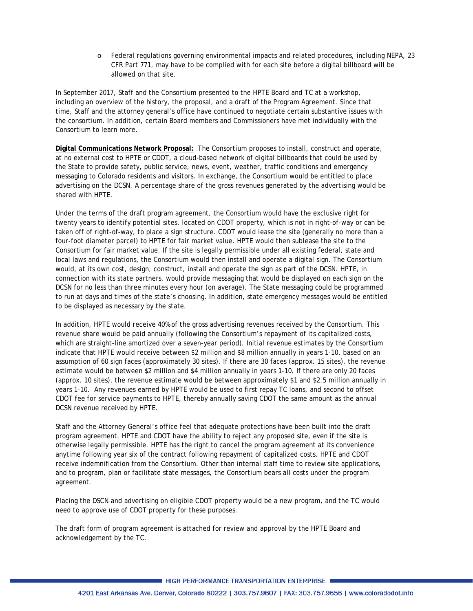o Federal regulations governing environmental impacts and related procedures, including NEPA, 23 CFR Part 771, may have to be complied with for each site before a digital billboard will be allowed on that site.

In September 2017, Staff and the Consortium presented to the HPTE Board and TC at a workshop, including an overview of the history, the proposal, and a draft of the Program Agreement. Since that time, Staff and the attorney general's office have continued to negotiate certain substantive issues with the consortium. In addition, certain Board members and Commissioners have met individually with the Consortium to learn more.

**Digital Communications Network Proposal:** The Consortium proposes to install, construct and operate, at no external cost to HPTE or CDOT, a cloud-based network of digital billboards that could be used by the State to provide safety, public service, news, event, weather, traffic conditions and emergency messaging to Colorado residents and visitors. In exchange, the Consortium would be entitled to place advertising on the DCSN. A percentage share of the gross revenues generated by the advertising would be shared with HPTE.

Under the terms of the draft program agreement, the Consortium would have the exclusive right for twenty years to identify potential sites, located on CDOT property, which is not in right-of-way or can be taken off of right-of-way, to place a sign structure. CDOT would lease the site (generally no more than a four-foot diameter parcel) to HPTE for fair market value. HPTE would then sublease the site to the Consortium for fair market value. If the site is legally permissible under all existing federal, state and local laws and regulations, the Consortium would then install and operate a digital sign. The Consortium would, at its own cost, design, construct, install and operate the sign as part of the DCSN. HPTE, in connection with its state partners, would provide messaging that would be displayed on each sign on the DCSN for no less than three minutes every hour (on average). The State messaging could be programmed to run at days and times of the state's choosing. In addition, state emergency messages would be entitled to be displayed as necessary by the state.

In addition, HPTE would receive 40% of the gross advertising revenues received by the Consortium. This revenue share would be paid annually (following the Consortium's repayment of its capitalized costs, which are straight-line amortized over a seven-year period). Initial revenue estimates by the Consortium indicate that HPTE would receive between \$2 million and \$8 million annually in years 1-10, based on an assumption of 60 sign faces (approximately 30 sites). If there are 30 faces (approx. 15 sites), the revenue estimate would be between \$2 million and \$4 million annually in years 1-10. If there are only 20 faces (approx. 10 sites), the revenue estimate would be between approximately \$1 and \$2.5 million annually in years 1-10. Any revenues earned by HPTE would be used to first repay TC loans, and second to offset CDOT fee for service payments to HPTE, thereby annually saving CDOT the same amount as the annual DCSN revenue received by HPTE.

Staff and the Attorney General's office feel that adequate protections have been built into the draft program agreement. HPTE and CDOT have the ability to reject any proposed site, even if the site is otherwise legally permissible. HPTE has the right to cancel the program agreement at its convenience anytime following year six of the contract following repayment of capitalized costs. HPTE and CDOT receive indemnification from the Consortium. Other than internal staff time to review site applications, and to program, plan or facilitate state messages, the Consortium bears all costs under the program agreement.

Placing the DSCN and advertising on eligible CDOT property would be a new program, and the TC would need to approve use of CDOT property for these purposes.

The draft form of program agreement is attached for review and approval by the HPTE Board and acknowledgement by the TC.

HIGH PERFORMANCE TRANSPORTATION ENTERPRISE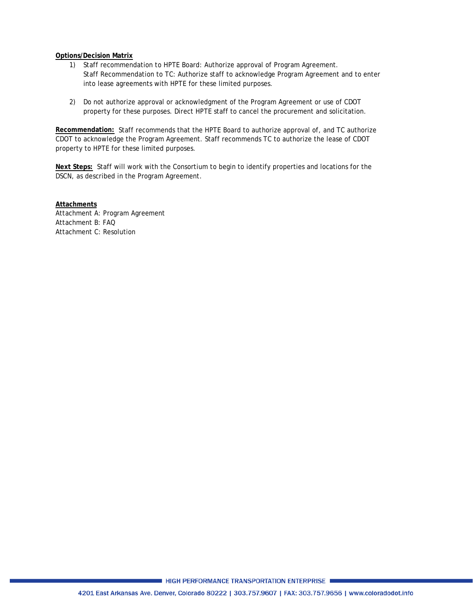#### **Options/Decision Matrix**

- 1) Staff recommendation to HPTE Board: Authorize approval of Program Agreement. Staff Recommendation to TC: Authorize staff to acknowledge Program Agreement and to enter into lease agreements with HPTE for these limited purposes.
- 2) Do not authorize approval or acknowledgment of the Program Agreement or use of CDOT property for these purposes. Direct HPTE staff to cancel the procurement and solicitation.

**Recommendation:** Staff recommends that the HPTE Board to authorize approval of, and TC authorize CDOT to acknowledge the Program Agreement. Staff recommends TC to authorize the lease of CDOT property to HPTE for these limited purposes.

**Next Steps:** Staff will work with the Consortium to begin to identify properties and locations for the DSCN, as described in the Program Agreement.

**Attachments** Attachment A: Program Agreement Attachment B: FAQ Attachment C: Resolution

HIGH PERFORMANCE TRANSPORTATION ENTERPRISE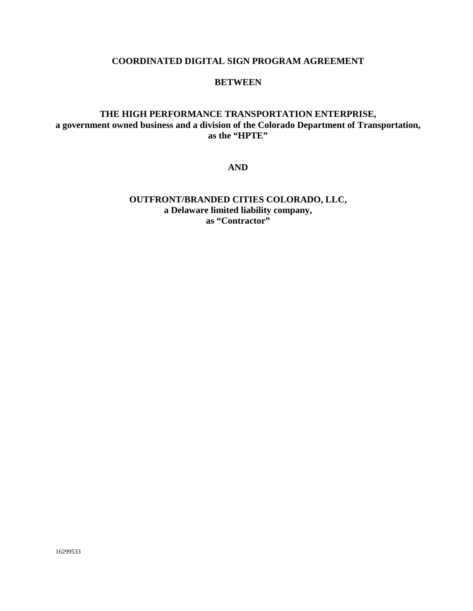### **COORDINATED DIGITAL SIGN PROGRAM AGREEMENT**

#### **BETWEEN**

# **THE HIGH PERFORMANCE TRANSPORTATION ENTERPRISE, a government owned business and a division of the Colorado Department of Transportation, as the "HPTE"**

**AND**

# **OUTFRONT/BRANDED CITIES COLORADO, LLC, a Delaware limited liability company,** as "Contractor"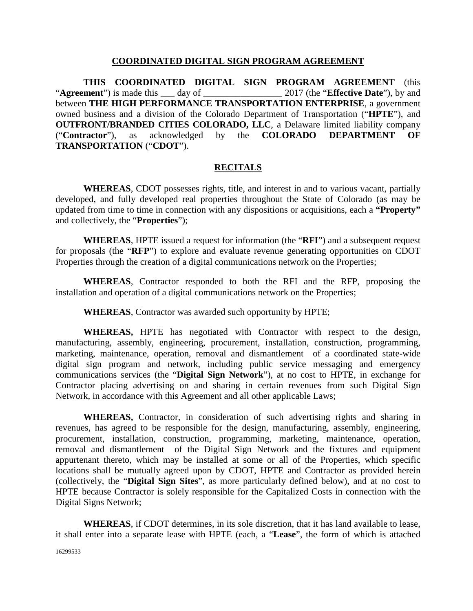#### **COORDINATED DIGITAL SIGN PROGRAM AGREEMENT**

**THIS COORDINATED DIGITAL SIGN PROGRAM AGREEMENT** (this "**Agreement**") is made this \_\_\_ day of \_\_\_\_\_\_\_\_\_\_\_\_\_\_\_\_\_ 2017 (the "**Effective Date**"), by and between **THE HIGH PERFORMANCE TRANSPORTATION ENTERPRISE**, a government owned business and a division of the Colorado Department of Transportation ("**HPTE**"), and **OUTFRONT/BRANDED CITIES COLORADO, LLC**, a Delaware limited liability company ("**Contractor**"), as acknowledged by the **COLORADO DEPARTMENT OF TRANSPORTATION** ("**CDOT**").

### **RECITALS**

**WHEREAS**, CDOT possesses rights, title, and interest in and to various vacant, partially developed, and fully developed real properties throughout the State of Colorado (as may be updated from time to time in connection with any dispositions or acquisitions, each a **"Property"**  and collectively, the "**Properties**");

**WHEREAS**, HPTE issued a request for information (the "**RFI**") and a subsequent request for proposals (the "**RFP**") to explore and evaluate revenue generating opportunities on CDOT Properties through the creation of a digital communications network on the Properties;

**WHEREAS**, Contractor responded to both the RFI and the RFP, proposing the installation and operation of a digital communications network on the Properties;

**WHEREAS**, Contractor was awarded such opportunity by HPTE;

**WHEREAS,** HPTE has negotiated with Contractor with respect to the design, manufacturing, assembly, engineering, procurement, installation, construction, programming, marketing, maintenance, operation, removal and dismantlement of a coordinated state-wide digital sign program and network, including public service messaging and emergency communications services (the "**Digital Sign Network**"), at no cost to HPTE, in exchange for Contractor placing advertising on and sharing in certain revenues from such Digital Sign Network, in accordance with this Agreement and all other applicable Laws;

**WHEREAS,** Contractor, in consideration of such advertising rights and sharing in revenues, has agreed to be responsible for the design, manufacturing, assembly, engineering, procurement, installation, construction, programming, marketing, maintenance, operation, removal and dismantlement of the Digital Sign Network and the fixtures and equipment appurtenant thereto, which may be installed at some or all of the Properties, which specific locations shall be mutually agreed upon by CDOT, HPTE and Contractor as provided herein (collectively, the "**Digital Sign Sites**", as more particularly defined below), and at no cost to HPTE because Contractor is solely responsible for the Capitalized Costs in connection with the Digital Signs Network;

**WHEREAS**, if CDOT determines, in its sole discretion, that it has land available to lease, it shall enter into a separate lease with HPTE (each, a "**Lease**", the form of which is attached

16299533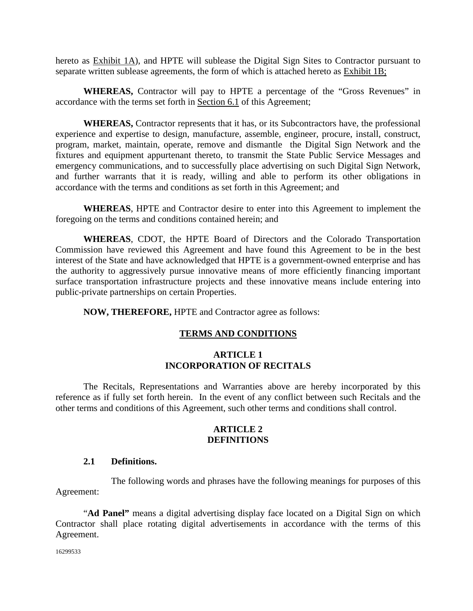hereto as Exhibit 1A), and HPTE will sublease the Digital Sign Sites to Contractor pursuant to separate written sublease agreements, the form of which is attached hereto as Exhibit 1B;

**WHEREAS,** Contractor will pay to HPTE a percentage of the "Gross Revenues" in accordance with the terms set forth in Section 6.1 of this Agreement;

**WHEREAS,** Contractor represents that it has, or its Subcontractors have, the professional experience and expertise to design, manufacture, assemble, engineer, procure, install, construct, program, market, maintain, operate, remove and dismantle the Digital Sign Network and the fixtures and equipment appurtenant thereto, to transmit the State Public Service Messages and emergency communications, and to successfully place advertising on such Digital Sign Network, and further warrants that it is ready, willing and able to perform its other obligations in accordance with the terms and conditions as set forth in this Agreement; and

**WHEREAS**, HPTE and Contractor desire to enter into this Agreement to implement the foregoing on the terms and conditions contained herein; and

**WHEREAS**, CDOT, the HPTE Board of Directors and the Colorado Transportation Commission have reviewed this Agreement and have found this Agreement to be in the best interest of the State and have acknowledged that HPTE is a government-owned enterprise and has the authority to aggressively pursue innovative means of more efficiently financing important surface transportation infrastructure projects and these innovative means include entering into public-private partnerships on certain Properties.

**NOW, THEREFORE,** HPTE and Contractor agree as follows:

### **TERMS AND CONDITIONS**

#### **ARTICLE 1 INCORPORATION OF RECITALS**

The Recitals, Representations and Warranties above are hereby incorporated by this reference as if fully set forth herein. In the event of any conflict between such Recitals and the other terms and conditions of this Agreement, such other terms and conditions shall control.

#### **ARTICLE 2 DEFINITIONS**

#### **2.1 Definitions.**

The following words and phrases have the following meanings for purposes of this Agreement:

"**Ad Panel"** means a digital advertising display face located on a Digital Sign on which Contractor shall place rotating digital advertisements in accordance with the terms of this Agreement.

16299533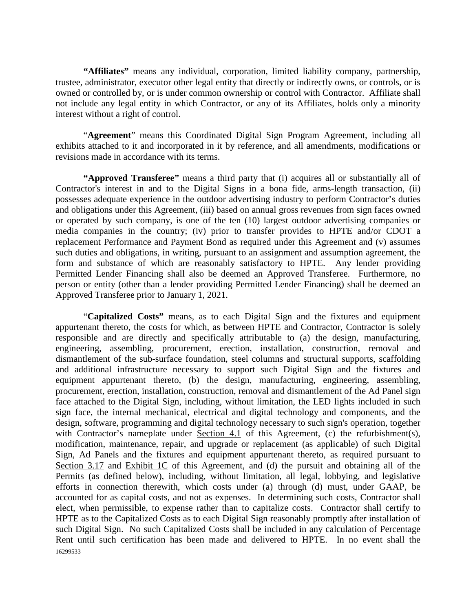**"Affiliates"** means any individual, corporation, limited liability company, partnership, trustee, administrator, executor other legal entity that directly or indirectly owns, or controls, or is owned or controlled by, or is under common ownership or control with Contractor. Affiliate shall not include any legal entity in which Contractor, or any of its Affiliates, holds only a minority interest without a right of control.

"**Agreement**" means this Coordinated Digital Sign Program Agreement, including all exhibits attached to it and incorporated in it by reference, and all amendments, modifications or revisions made in accordance with its terms.

**"Approved Transferee"** means a third party that (i) acquires all or substantially all of Contractor's interest in and to the Digital Signs in a bona fide, arms-length transaction, (ii) possesses adequate experience in the outdoor advertising industry to perform Contractor's duties and obligations under this Agreement, (iii) based on annual gross revenues from sign faces owned or operated by such company, is one of the ten (10) largest outdoor advertising companies or media companies in the country; (iv) prior to transfer provides to HPTE and/or CDOT a replacement Performance and Payment Bond as required under this Agreement and (v) assumes such duties and obligations, in writing, pursuant to an assignment and assumption agreement, the form and substance of which are reasonably satisfactory to HPTE. Any lender providing Permitted Lender Financing shall also be deemed an Approved Transferee. Furthermore, no person or entity (other than a lender providing Permitted Lender Financing) shall be deemed an Approved Transferee prior to January 1, 2021.

16299533 "**Capitalized Costs"** means, as to each Digital Sign and the fixtures and equipment appurtenant thereto, the costs for which, as between HPTE and Contractor, Contractor is solely responsible and are directly and specifically attributable to (a) the design, manufacturing, engineering, assembling, procurement, erection, installation, construction, removal and dismantlement of the sub-surface foundation, steel columns and structural supports, scaffolding and additional infrastructure necessary to support such Digital Sign and the fixtures and equipment appurtenant thereto, (b) the design, manufacturing, engineering, assembling, procurement, erection, installation, construction, removal and dismantlement of the Ad Panel sign face attached to the Digital Sign, including, without limitation, the LED lights included in such sign face, the internal mechanical, electrical and digital technology and components, and the design, software, programming and digital technology necessary to such sign's operation, together with Contractor's nameplate under Section 4.1 of this Agreement, (c) the refurbishment(s), modification, maintenance, repair, and upgrade or replacement (as applicable) of such Digital Sign, Ad Panels and the fixtures and equipment appurtenant thereto, as required pursuant to Section 3.17 and Exhibit 1C of this Agreement, and (d) the pursuit and obtaining all of the Permits (as defined below), including, without limitation, all legal, lobbying, and legislative efforts in connection therewith, which costs under (a) through (d) must, under GAAP, be accounted for as capital costs, and not as expenses. In determining such costs, Contractor shall elect, when permissible, to expense rather than to capitalize costs. Contractor shall certify to HPTE as to the Capitalized Costs as to each Digital Sign reasonably promptly after installation of such Digital Sign. No such Capitalized Costs shall be included in any calculation of Percentage Rent until such certification has been made and delivered to HPTE. In no event shall the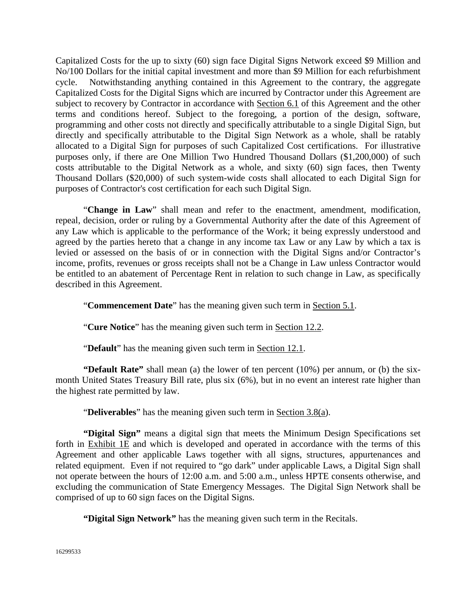Capitalized Costs for the up to sixty (60) sign face Digital Signs Network exceed \$9 Million and No/100 Dollars for the initial capital investment and more than \$9 Million for each refurbishment cycle. Notwithstanding anything contained in this Agreement to the contrary, the aggregate Capitalized Costs for the Digital Signs which are incurred by Contractor under this Agreement are subject to recovery by Contractor in accordance with Section 6.1 of this Agreement and the other terms and conditions hereof. Subject to the foregoing, a portion of the design, software, programming and other costs not directly and specifically attributable to a single Digital Sign, but directly and specifically attributable to the Digital Sign Network as a whole, shall be ratably allocated to a Digital Sign for purposes of such Capitalized Cost certifications. For illustrative purposes only, if there are One Million Two Hundred Thousand Dollars (\$1,200,000) of such costs attributable to the Digital Network as a whole, and sixty (60) sign faces, then Twenty Thousand Dollars (\$20,000) of such system-wide costs shall allocated to each Digital Sign for purposes of Contractor's cost certification for each such Digital Sign.

"**Change in Law**" shall mean and refer to the enactment, amendment, modification, repeal, decision, order or ruling by a Governmental Authority after the date of this Agreement of any Law which is applicable to the performance of the Work; it being expressly understood and agreed by the parties hereto that a change in any income tax Law or any Law by which a tax is levied or assessed on the basis of or in connection with the Digital Signs and/or Contractor's income, profits, revenues or gross receipts shall not be a Change in Law unless Contractor would be entitled to an abatement of Percentage Rent in relation to such change in Law, as specifically described in this Agreement.

"**Commencement Date**" has the meaning given such term in Section 5.1.

"**Cure Notice**" has the meaning given such term in Section 12.2.

"**Default**" has the meaning given such term in Section 12.1.

**"Default Rate"** shall mean (a) the lower of ten percent (10%) per annum, or (b) the sixmonth United States Treasury Bill rate, plus six (6%), but in no event an interest rate higher than the highest rate permitted by law.

"**Deliverables**" has the meaning given such term in Section 3.8(a).

**"Digital Sign"** means a digital sign that meets the Minimum Design Specifications set forth in Exhibit  $1E$  and which is developed and operated in accordance with the terms of this Agreement and other applicable Laws together with all signs, structures, appurtenances and related equipment. Even if not required to "go dark" under applicable Laws, a Digital Sign shall not operate between the hours of 12:00 a.m. and 5:00 a.m., unless HPTE consents otherwise, and excluding the communication of State Emergency Messages. The Digital Sign Network shall be comprised of up to 60 sign faces on the Digital Signs.

**"Digital Sign Network"** has the meaning given such term in the Recitals.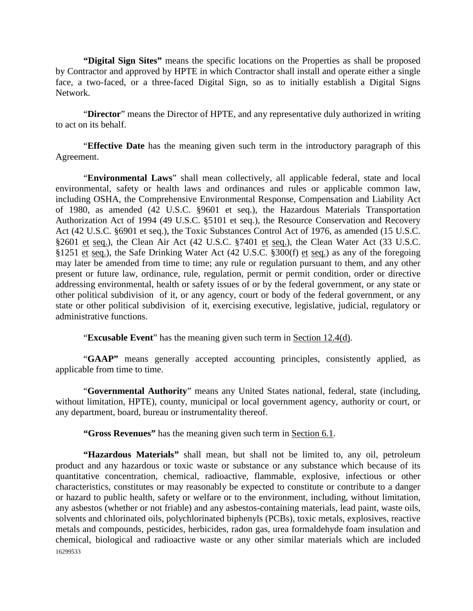**"Digital Sign Sites"** means the specific locations on the Properties as shall be proposed by Contractor and approved by HPTE in which Contractor shall install and operate either a single face, a two-faced, or a three-faced Digital Sign, so as to initially establish a Digital Signs Network.

"**Director**" means the Director of HPTE, and any representative duly authorized in writing to act on its behalf.

"**Effective Date** has the meaning given such term in the introductory paragraph of this Agreement.

"**Environmental Laws**" shall mean collectively, all applicable federal, state and local environmental, safety or health laws and ordinances and rules or applicable common law, including OSHA, the Comprehensive Environmental Response, Compensation and Liability Act of 1980, as amended (42 U.S.C. §9601 et seq.), the Hazardous Materials Transportation Authorization Act of 1994 (49 U.S.C. §5101 et seq.), the Resource Conservation and Recovery Act (42 U.S.C. §6901 et seq.), the Toxic Substances Control Act of 1976, as amended (15 U.S.C. §2601 et seq.), the Clean Air Act (42 U.S.C. §7401 et seq.), the Clean Water Act (33 U.S.C. §1251 et seq.), the Safe Drinking Water Act (42 U.S.C. §300(f) et seq.) as any of the foregoing may later be amended from time to time; any rule or regulation pursuant to them, and any other present or future law, ordinance, rule, regulation, permit or permit condition, order or directive addressing environmental, health or safety issues of or by the federal government, or any state or other political subdivision of it, or any agency, court or body of the federal government, or any state or other political subdivision of it, exercising executive, legislative, judicial, regulatory or administrative functions.

"**Excusable Event**" has the meaning given such term in Section 12.4(d).

"**GAAP"** means generally accepted accounting principles, consistently applied, as applicable from time to time.

"**Governmental Authority**" means any United States national, federal, state (including, without limitation, HPTE), county, municipal or local government agency, authority or court, or any department, board, bureau or instrumentality thereof.

**"Gross Revenues"** has the meaning given such term in Section 6.1.

16299533 **"Hazardous Materials"** shall mean, but shall not be limited to, any oil, petroleum product and any hazardous or toxic waste or substance or any substance which because of its quantitative concentration, chemical, radioactive, flammable, explosive, infectious or other characteristics, constitutes or may reasonably be expected to constitute or contribute to a danger or hazard to public health, safety or welfare or to the environment, including, without limitation, any asbestos (whether or not friable) and any asbestos-containing materials, lead paint, waste oils, solvents and chlorinated oils, polychlorinated biphenyls (PCBs), toxic metals, explosives, reactive metals and compounds, pesticides, herbicides, radon gas, urea formaldehyde foam insulation and chemical, biological and radioactive waste or any other similar materials which are included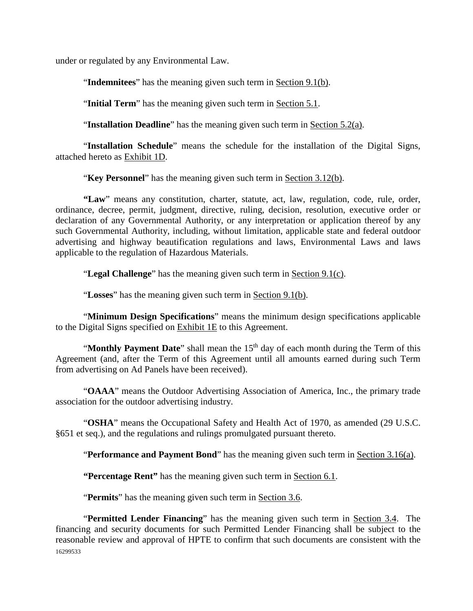under or regulated by any Environmental Law.

"**Indemnitees**" has the meaning given such term in Section 9.1(b).

"**Initial Term**" has the meaning given such term in Section 5.1.

"**Installation Deadline**" has the meaning given such term in Section 5.2(a).

"**Installation Schedule**" means the schedule for the installation of the Digital Signs, attached hereto as Exhibit 1D.

"**Key Personnel**" has the meaning given such term in Section 3.12(b).

**"Law**" means any constitution, charter, statute, act, law, regulation, code, rule, order, ordinance, decree, permit, judgment, directive, ruling, decision, resolution, executive order or declaration of any Governmental Authority, or any interpretation or application thereof by any such Governmental Authority, including, without limitation, applicable state and federal outdoor advertising and highway beautification regulations and laws, Environmental Laws and laws applicable to the regulation of Hazardous Materials.

"**Legal Challenge**" has the meaning given such term in Section 9.1(c).

"**Losses**" has the meaning given such term in Section 9.1(b).

"**Minimum Design Specifications**" means the minimum design specifications applicable to the Digital Signs specified on Exhibit 1E to this Agreement.

"**Monthly Payment Date**" shall mean the 15<sup>th</sup> day of each month during the Term of this Agreement (and, after the Term of this Agreement until all amounts earned during such Term from advertising on Ad Panels have been received).

"**OAAA**" means the Outdoor Advertising Association of America, Inc., the primary trade association for the outdoor advertising industry.

"**OSHA**" means the Occupational Safety and Health Act of 1970, as amended (29 U.S.C. §651 et seq.), and the regulations and rulings promulgated pursuant thereto.

"**Performance and Payment Bond**" has the meaning given such term in Section 3.16(a).

**"Percentage Rent"** has the meaning given such term in Section 6.1.

"**Permits**" has the meaning given such term in Section 3.6.

16299533 "**Permitted Lender Financing**" has the meaning given such term in Section 3.4. The financing and security documents for such Permitted Lender Financing shall be subject to the reasonable review and approval of HPTE to confirm that such documents are consistent with the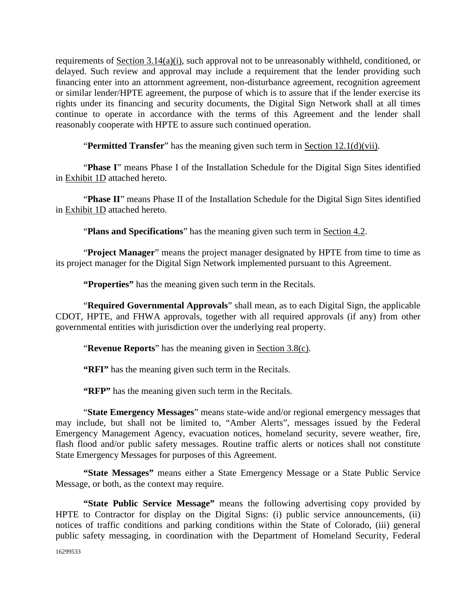requirements of Section 3.14(a)(i), such approval not to be unreasonably withheld, conditioned, or delayed. Such review and approval may include a requirement that the lender providing such financing enter into an attornment agreement, non-disturbance agreement, recognition agreement or similar lender/HPTE agreement, the purpose of which is to assure that if the lender exercise its rights under its financing and security documents, the Digital Sign Network shall at all times continue to operate in accordance with the terms of this Agreement and the lender shall reasonably cooperate with HPTE to assure such continued operation.

"**Permitted Transfer**" has the meaning given such term in Section 12.1(d)(vii).

"**Phase I**" means Phase I of the Installation Schedule for the Digital Sign Sites identified in Exhibit 1D attached hereto.

"Phase II" means Phase II of the Installation Schedule for the Digital Sign Sites identified in Exhibit 1D attached hereto.

"**Plans and Specifications**" has the meaning given such term in Section 4.2.

"**Project Manager**" means the project manager designated by HPTE from time to time as its project manager for the Digital Sign Network implemented pursuant to this Agreement.

**"Properties"** has the meaning given such term in the Recitals.

"**Required Governmental Approvals**" shall mean, as to each Digital Sign, the applicable CDOT, HPTE, and FHWA approvals, together with all required approvals (if any) from other governmental entities with jurisdiction over the underlying real property.

"**Revenue Reports**" has the meaning given in Section 3.8(c).

**"RFI"** has the meaning given such term in the Recitals.

**"RFP"** has the meaning given such term in the Recitals.

"**State Emergency Messages**" means state-wide and/or regional emergency messages that may include, but shall not be limited to, "Amber Alerts", messages issued by the Federal Emergency Management Agency, evacuation notices, homeland security, severe weather, fire, flash flood and/or public safety messages. Routine traffic alerts or notices shall not constitute State Emergency Messages for purposes of this Agreement.

**"State Messages"** means either a State Emergency Message or a State Public Service Message, or both, as the context may require.

**"State Public Service Message"** means the following advertising copy provided by HPTE to Contractor for display on the Digital Signs: (i) public service announcements, (ii) notices of traffic conditions and parking conditions within the State of Colorado, (iii) general public safety messaging, in coordination with the Department of Homeland Security, Federal

16299533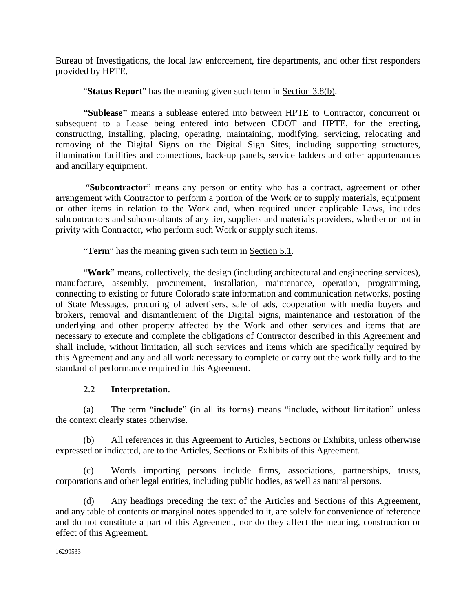Bureau of Investigations, the local law enforcement, fire departments, and other first responders provided by HPTE.

"**Status Report**" has the meaning given such term in Section 3.8(b).

**"Sublease"** means a sublease entered into between HPTE to Contractor, concurrent or subsequent to a Lease being entered into between CDOT and HPTE, for the erecting, constructing, installing, placing, operating, maintaining, modifying, servicing, relocating and removing of the Digital Signs on the Digital Sign Sites, including supporting structures, illumination facilities and connections, back-up panels, service ladders and other appurtenances and ancillary equipment.

"**Subcontractor**" means any person or entity who has a contract, agreement or other arrangement with Contractor to perform a portion of the Work or to supply materials, equipment or other items in relation to the Work and, when required under applicable Laws, includes subcontractors and subconsultants of any tier, suppliers and materials providers, whether or not in privity with Contractor, who perform such Work or supply such items.

"**Term**" has the meaning given such term in Section 5.1.

"**Work**" means, collectively, the design (including architectural and engineering services), manufacture, assembly, procurement, installation, maintenance, operation, programming, connecting to existing or future Colorado state information and communication networks, posting of State Messages, procuring of advertisers, sale of ads, cooperation with media buyers and brokers, removal and dismantlement of the Digital Signs, maintenance and restoration of the underlying and other property affected by the Work and other services and items that are necessary to execute and complete the obligations of Contractor described in this Agreement and shall include, without limitation, all such services and items which are specifically required by this Agreement and any and all work necessary to complete or carry out the work fully and to the standard of performance required in this Agreement.

# 2.2 **Interpretation**.

(a) The term "**include**" (in all its forms) means "include, without limitation" unless the context clearly states otherwise.

(b) All references in this Agreement to Articles, Sections or Exhibits, unless otherwise expressed or indicated, are to the Articles, Sections or Exhibits of this Agreement.

(c) Words importing persons include firms, associations, partnerships, trusts, corporations and other legal entities, including public bodies, as well as natural persons.

(d) Any headings preceding the text of the Articles and Sections of this Agreement, and any table of contents or marginal notes appended to it, are solely for convenience of reference and do not constitute a part of this Agreement, nor do they affect the meaning, construction or effect of this Agreement.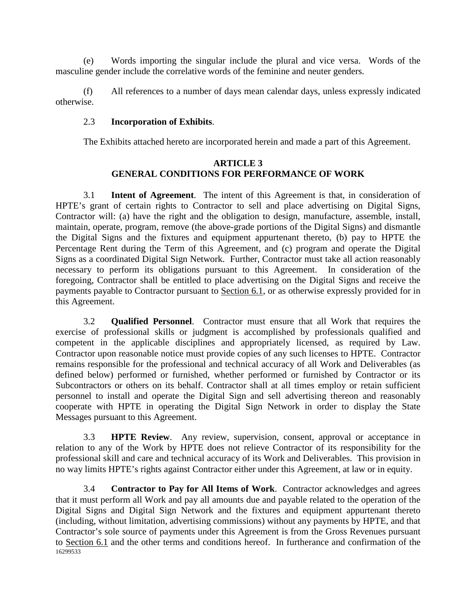(e) Words importing the singular include the plural and vice versa. Words of the masculine gender include the correlative words of the feminine and neuter genders.

(f) All references to a number of days mean calendar days, unless expressly indicated otherwise.

### 2.3 **Incorporation of Exhibits**.

The Exhibits attached hereto are incorporated herein and made a part of this Agreement.

#### **ARTICLE 3 GENERAL CONDITIONS FOR PERFORMANCE OF WORK**

3.1 **Intent of Agreement**. The intent of this Agreement is that, in consideration of HPTE's grant of certain rights to Contractor to sell and place advertising on Digital Signs, Contractor will: (a) have the right and the obligation to design, manufacture, assemble, install, maintain, operate, program, remove (the above-grade portions of the Digital Signs) and dismantle the Digital Signs and the fixtures and equipment appurtenant thereto, (b) pay to HPTE the Percentage Rent during the Term of this Agreement, and (c) program and operate the Digital Signs as a coordinated Digital Sign Network. Further, Contractor must take all action reasonably necessary to perform its obligations pursuant to this Agreement. In consideration of the foregoing, Contractor shall be entitled to place advertising on the Digital Signs and receive the payments payable to Contractor pursuant to Section 6.1, or as otherwise expressly provided for in this Agreement.

3.2 **Qualified Personnel**. Contractor must ensure that all Work that requires the exercise of professional skills or judgment is accomplished by professionals qualified and competent in the applicable disciplines and appropriately licensed, as required by Law. Contractor upon reasonable notice must provide copies of any such licenses to HPTE. Contractor remains responsible for the professional and technical accuracy of all Work and Deliverables (as defined below) performed or furnished, whether performed or furnished by Contractor or its Subcontractors or others on its behalf. Contractor shall at all times employ or retain sufficient personnel to install and operate the Digital Sign and sell advertising thereon and reasonably cooperate with HPTE in operating the Digital Sign Network in order to display the State Messages pursuant to this Agreement.

3.3 **HPTE Review**. Any review, supervision, consent, approval or acceptance in relation to any of the Work by HPTE does not relieve Contractor of its responsibility for the professional skill and care and technical accuracy of its Work and Deliverables. This provision in no way limits HPTE's rights against Contractor either under this Agreement, at law or in equity.

16299533 3.4 **Contractor to Pay for All Items of Work**. Contractor acknowledges and agrees that it must perform all Work and pay all amounts due and payable related to the operation of the Digital Signs and Digital Sign Network and the fixtures and equipment appurtenant thereto (including, without limitation, advertising commissions) without any payments by HPTE, and that Contractor's sole source of payments under this Agreement is from the Gross Revenues pursuant to Section 6.1 and the other terms and conditions hereof. In furtherance and confirmation of the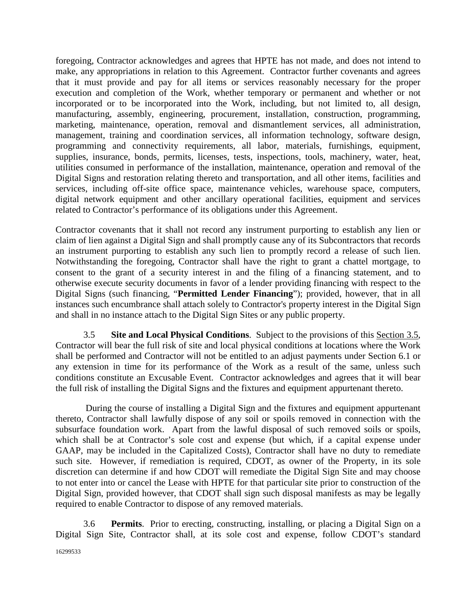foregoing, Contractor acknowledges and agrees that HPTE has not made, and does not intend to make, any appropriations in relation to this Agreement. Contractor further covenants and agrees that it must provide and pay for all items or services reasonably necessary for the proper execution and completion of the Work, whether temporary or permanent and whether or not incorporated or to be incorporated into the Work, including, but not limited to, all design, manufacturing, assembly, engineering, procurement, installation, construction, programming, marketing, maintenance, operation, removal and dismantlement services, all administration, management, training and coordination services, all information technology, software design, programming and connectivity requirements, all labor, materials, furnishings, equipment, supplies, insurance, bonds, permits, licenses, tests, inspections, tools, machinery, water, heat, utilities consumed in performance of the installation, maintenance, operation and removal of the Digital Signs and restoration relating thereto and transportation, and all other items, facilities and services, including off-site office space, maintenance vehicles, warehouse space, computers, digital network equipment and other ancillary operational facilities, equipment and services related to Contractor's performance of its obligations under this Agreement.

Contractor covenants that it shall not record any instrument purporting to establish any lien or claim of lien against a Digital Sign and shall promptly cause any of its Subcontractors that records an instrument purporting to establish any such lien to promptly record a release of such lien. Notwithstanding the foregoing, Contractor shall have the right to grant a chattel mortgage, to consent to the grant of a security interest in and the filing of a financing statement, and to otherwise execute security documents in favor of a lender providing financing with respect to the Digital Signs (such financing, "**Permitted Lender Financing**"); provided, however, that in all instances such encumbrance shall attach solely to Contractor's property interest in the Digital Sign and shall in no instance attach to the Digital Sign Sites or any public property.

3.5 **Site and Local Physical Conditions**. Subject to the provisions of this Section 3.5, Contractor will bear the full risk of site and local physical conditions at locations where the Work shall be performed and Contractor will not be entitled to an adjust payments under Section 6.1 or any extension in time for its performance of the Work as a result of the same, unless such conditions constitute an Excusable Event. Contractor acknowledges and agrees that it will bear the full risk of installing the Digital Signs and the fixtures and equipment appurtenant thereto.

During the course of installing a Digital Sign and the fixtures and equipment appurtenant thereto, Contractor shall lawfully dispose of any soil or spoils removed in connection with the subsurface foundation work. Apart from the lawful disposal of such removed soils or spoils, which shall be at Contractor's sole cost and expense (but which, if a capital expense under GAAP, may be included in the Capitalized Costs), Contractor shall have no duty to remediate such site. However, if remediation is required, CDOT, as owner of the Property, in its sole discretion can determine if and how CDOT will remediate the Digital Sign Site and may choose to not enter into or cancel the Lease with HPTE for that particular site prior to construction of the Digital Sign, provided however, that CDOT shall sign such disposal manifests as may be legally required to enable Contractor to dispose of any removed materials.

3.6 **Permits**.Prior to erecting, constructing, installing, or placing a Digital Sign on a Digital Sign Site, Contractor shall, at its sole cost and expense, follow CDOT's standard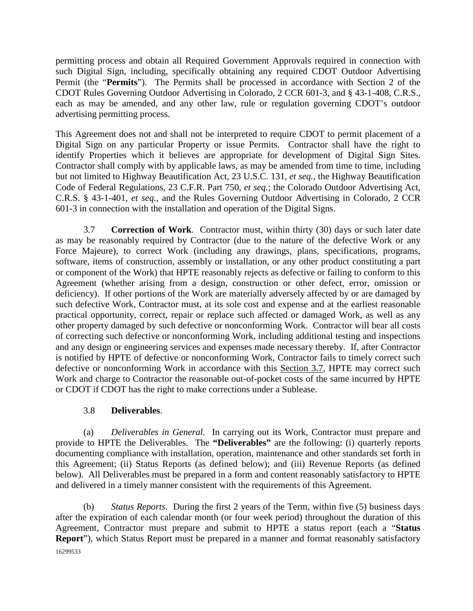permitting process and obtain all Required Government Approvals required in connection with such Digital Sign, including, specifically obtaining any required CDOT Outdoor Advertising Permit (the "**Permits**"). The Permits shall be processed in accordance with Section 2 of the CDOT Rules Governing Outdoor Advertising in Colorado, 2 CCR 601-3, and § 43-1-408, C.R.S., each as may be amended, and any other law, rule or regulation governing CDOT's outdoor advertising permitting process.

This Agreement does not and shall not be interpreted to require CDOT to permit placement of a Digital Sign on any particular Property or issue Permits. Contractor shall have the right to identify Properties which it believes are appropriate for development of Digital Sign Sites. Contractor shall comply with by applicable laws, as may be amended from time to time, including but not limited to Highway Beautification Act, 23 U.S.C. 131, *et seq.*, the Highway Beautification Code of Federal Regulations, 23 C.F.R. Part 750, *et seq.*; the Colorado Outdoor Advertising Act, C.R.S. § 43-1-401, *et seq.*, and the Rules Governing Outdoor Advertising in Colorado, 2 CCR 601-3 in connection with the installation and operation of the Digital Signs.

3.7 **Correction of Work**. Contractor must, within thirty (30) days or such later date as may be reasonably required by Contractor (due to the nature of the defective Work or any Force Majeure), to correct Work (including any drawings, plans, specifications, programs, software, items of construction, assembly or installation, or any other product constituting a part or component of the Work) that HPTE reasonably rejects as defective or failing to conform to this Agreement (whether arising from a design, construction or other defect, error, omission or deficiency). If other portions of the Work are materially adversely affected by or are damaged by such defective Work, Contractor must, at its sole cost and expense and at the earliest reasonable practical opportunity, correct, repair or replace such affected or damaged Work, as well as any other property damaged by such defective or nonconforming Work. Contractor will bear all costs of correcting such defective or nonconforming Work, including additional testing and inspections and any design or engineering services and expenses made necessary thereby. If, after Contractor is notified by HPTE of defective or nonconforming Work, Contractor fails to timely correct such defective or nonconforming Work in accordance with this Section 3.7, HPTE may correct such Work and charge to Contractor the reasonable out-of-pocket costs of the same incurred by HPTE or CDOT if CDOT has the right to make corrections under a Sublease.

# 3.8 **Deliverables**.

(a) *Deliverables in General*. In carrying out its Work, Contractor must prepare and provide to HPTE the Deliverables. The **"Deliverables"** are the following: (i) quarterly reports documenting compliance with installation, operation, maintenance and other standards set forth in this Agreement; (ii) Status Reports (as defined below); and (iii) Revenue Reports (as defined below). All Deliverables must be prepared in a form and content reasonably satisfactory to HPTE and delivered in a timely manner consistent with the requirements of this Agreement.

16299533 (b) *Status Reports*. During the first 2 years of the Term, within five (5) business days after the expiration of each calendar month (or four week period) throughout the duration of this Agreement, Contractor must prepare and submit to HPTE a status report (each a "**Status Report**"), which Status Report must be prepared in a manner and format reasonably satisfactory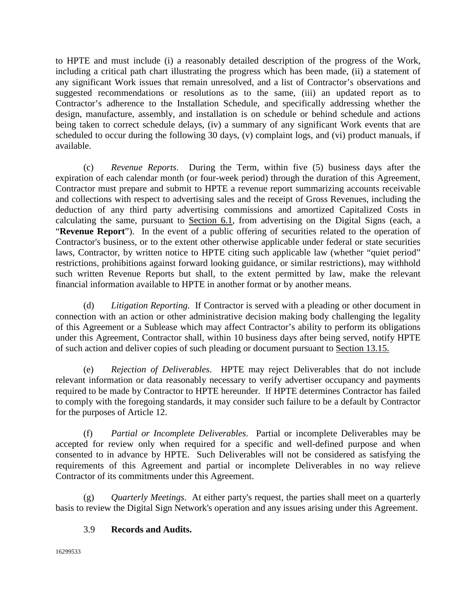to HPTE and must include (i) a reasonably detailed description of the progress of the Work, including a critical path chart illustrating the progress which has been made, (ii) a statement of any significant Work issues that remain unresolved, and a list of Contractor's observations and suggested recommendations or resolutions as to the same, (iii) an updated report as to Contractor's adherence to the Installation Schedule, and specifically addressing whether the design, manufacture, assembly, and installation is on schedule or behind schedule and actions being taken to correct schedule delays, (iv) a summary of any significant Work events that are scheduled to occur during the following 30 days, (v) complaint logs, and (vi) product manuals, if available.

(c) *Revenue Reports*. During the Term, within five (5) business days after the expiration of each calendar month (or four-week period) through the duration of this Agreement, Contractor must prepare and submit to HPTE a revenue report summarizing accounts receivable and collections with respect to advertising sales and the receipt of Gross Revenues, including the deduction of any third party advertising commissions and amortized Capitalized Costs in calculating the same, pursuant to Section 6.1, from advertising on the Digital Signs (each, a "**Revenue Report**"). In the event of a public offering of securities related to the operation of Contractor's business, or to the extent other otherwise applicable under federal or state securities laws, Contractor, by written notice to HPTE citing such applicable law (whether "quiet period" restrictions, prohibitions against forward looking guidance, or similar restrictions), may withhold such written Revenue Reports but shall, to the extent permitted by law, make the relevant financial information available to HPTE in another format or by another means.

(d) *Litigation Reporting.* If Contractor is served with a pleading or other document in connection with an action or other administrative decision making body challenging the legality of this Agreement or a Sublease which may affect Contractor's ability to perform its obligations under this Agreement, Contractor shall, within 10 business days after being served, notify HPTE of such action and deliver copies of such pleading or document pursuant to Section 13.15.

(e) *Rejection of Deliverables*. HPTE may reject Deliverables that do not include relevant information or data reasonably necessary to verify advertiser occupancy and payments required to be made by Contractor to HPTE hereunder. If HPTE determines Contractor has failed to comply with the foregoing standards, it may consider such failure to be a default by Contractor for the purposes of Article 12.

(f) *Partial or Incomplete Deliverables*. Partial or incomplete Deliverables may be accepted for review only when required for a specific and well-defined purpose and when consented to in advance by HPTE. Such Deliverables will not be considered as satisfying the requirements of this Agreement and partial or incomplete Deliverables in no way relieve Contractor of its commitments under this Agreement.

(g) *Quarterly Meetings*. At either party's request, the parties shall meet on a quarterly basis to review the Digital Sign Network's operation and any issues arising under this Agreement.

# 3.9 **Records and Audits.**

16299533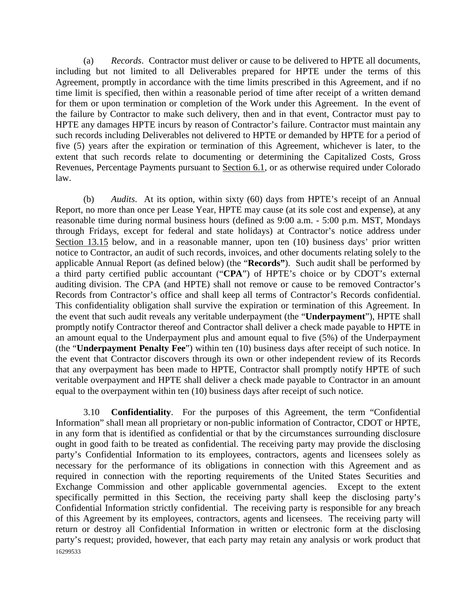(a) *Records*. Contractor must deliver or cause to be delivered to HPTE all documents, including but not limited to all Deliverables prepared for HPTE under the terms of this Agreement, promptly in accordance with the time limits prescribed in this Agreement, and if no time limit is specified, then within a reasonable period of time after receipt of a written demand for them or upon termination or completion of the Work under this Agreement. In the event of the failure by Contractor to make such delivery, then and in that event, Contractor must pay to HPTE any damages HPTE incurs by reason of Contractor's failure. Contractor must maintain any such records including Deliverables not delivered to HPTE or demanded by HPTE for a period of five (5) years after the expiration or termination of this Agreement, whichever is later, to the extent that such records relate to documenting or determining the Capitalized Costs, Gross Revenues, Percentage Payments pursuant to Section 6.1, or as otherwise required under Colorado law.

(b) *Audits*. At its option, within sixty (60) days from HPTE's receipt of an Annual Report, no more than once per Lease Year, HPTE may cause (at its sole cost and expense), at any reasonable time during normal business hours (defined as 9:00 a.m. - 5:00 p.m. MST, Mondays through Fridays, except for federal and state holidays) at Contractor's notice address under Section 13.15 below, and in a reasonable manner, upon ten (10) business days' prior written notice to Contractor, an audit of such records, invoices, and other documents relating solely to the applicable Annual Report (as defined below) (the "**Records"**). Such audit shall be performed by a third party certified public accountant ("**CPA**") of HPTE's choice or by CDOT's external auditing division. The CPA (and HPTE) shall not remove or cause to be removed Contractor's Records from Contractor's office and shall keep all terms of Contractor's Records confidential. This confidentiality obligation shall survive the expiration or termination of this Agreement. In the event that such audit reveals any veritable underpayment (the "**Underpayment**"), HPTE shall promptly notify Contractor thereof and Contractor shall deliver a check made payable to HPTE in an amount equal to the Underpayment plus and amount equal to five (5%) of the Underpayment (the "**Underpayment Penalty Fee**") within ten (10) business days after receipt of such notice. In the event that Contractor discovers through its own or other independent review of its Records that any overpayment has been made to HPTE, Contractor shall promptly notify HPTE of such veritable overpayment and HPTE shall deliver a check made payable to Contractor in an amount equal to the overpayment within ten (10) business days after receipt of such notice.

16299533 3.10 **Confidentiality**. For the purposes of this Agreement, the term "Confidential Information" shall mean all proprietary or non-public information of Contractor, CDOT or HPTE, in any form that is identified as confidential or that by the circumstances surrounding disclosure ought in good faith to be treated as confidential. The receiving party may provide the disclosing party's Confidential Information to its employees, contractors, agents and licensees solely as necessary for the performance of its obligations in connection with this Agreement and as required in connection with the reporting requirements of the United States Securities and Exchange Commission and other applicable governmental agencies. Except to the extent specifically permitted in this Section, the receiving party shall keep the disclosing party's Confidential Information strictly confidential. The receiving party is responsible for any breach of this Agreement by its employees, contractors, agents and licensees. The receiving party will return or destroy all Confidential Information in written or electronic form at the disclosing party's request; provided, however, that each party may retain any analysis or work product that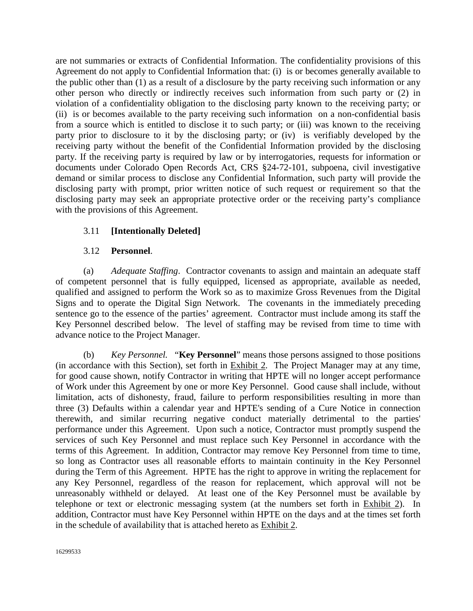are not summaries or extracts of Confidential Information. The confidentiality provisions of this Agreement do not apply to Confidential Information that: (i) is or becomes generally available to the public other than (1) as a result of a disclosure by the party receiving such information or any other person who directly or indirectly receives such information from such party or (2) in violation of a confidentiality obligation to the disclosing party known to the receiving party; or (ii) is or becomes available to the party receiving such information on a non-confidential basis from a source which is entitled to disclose it to such party; or (iii) was known to the receiving party prior to disclosure to it by the disclosing party; or (iv) is verifiably developed by the receiving party without the benefit of the Confidential Information provided by the disclosing party. If the receiving party is required by law or by interrogatories, requests for information or documents under Colorado Open Records Act, CRS §24-72-101, subpoena, civil investigative demand or similar process to disclose any Confidential Information, such party will provide the disclosing party with prompt, prior written notice of such request or requirement so that the disclosing party may seek an appropriate protective order or the receiving party's compliance with the provisions of this Agreement.

# 3.11 **[Intentionally Deleted]**

# 3.12 **Personnel**.

(a) *Adequate Staffing*. Contractor covenants to assign and maintain an adequate staff of competent personnel that is fully equipped, licensed as appropriate, available as needed, qualified and assigned to perform the Work so as to maximize Gross Revenues from the Digital Signs and to operate the Digital Sign Network. The covenants in the immediately preceding sentence go to the essence of the parties' agreement. Contractor must include among its staff the Key Personnel described below. The level of staffing may be revised from time to time with advance notice to the Project Manager.

(b) *Key Personnel.* "**Key Personnel**" means those persons assigned to those positions (in accordance with this Section), set forth in Exhibit 2. The Project Manager may at any time, for good cause shown, notify Contractor in writing that HPTE will no longer accept performance of Work under this Agreement by one or more Key Personnel. Good cause shall include, without limitation, acts of dishonesty, fraud, failure to perform responsibilities resulting in more than three (3) Defaults within a calendar year and HPTE's sending of a Cure Notice in connection therewith, and similar recurring negative conduct materially detrimental to the parties' performance under this Agreement. Upon such a notice, Contractor must promptly suspend the services of such Key Personnel and must replace such Key Personnel in accordance with the terms of this Agreement. In addition, Contractor may remove Key Personnel from time to time, so long as Contractor uses all reasonable efforts to maintain continuity in the Key Personnel during the Term of this Agreement. HPTE has the right to approve in writing the replacement for any Key Personnel, regardless of the reason for replacement, which approval will not be unreasonably withheld or delayed. At least one of the Key Personnel must be available by telephone or text or electronic messaging system (at the numbers set forth in Exhibit 2). In addition, Contractor must have Key Personnel within HPTE on the days and at the times set forth in the schedule of availability that is attached hereto as Exhibit 2.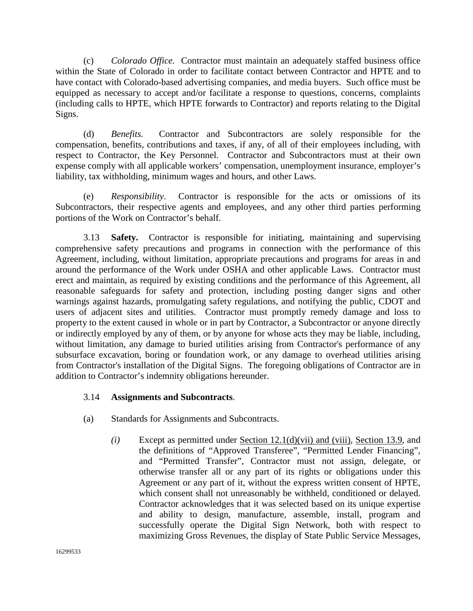(c) *Colorado Office.* Contractor must maintain an adequately staffed business office within the State of Colorado in order to facilitate contact between Contractor and HPTE and to have contact with Colorado-based advertising companies, and media buyers. Such office must be equipped as necessary to accept and/or facilitate a response to questions, concerns, complaints (including calls to HPTE, which HPTE forwards to Contractor) and reports relating to the Digital Signs.

(d) *Benefits.* Contractor and Subcontractors are solely responsible for the compensation, benefits, contributions and taxes, if any, of all of their employees including, with respect to Contractor, the Key Personnel. Contractor and Subcontractors must at their own expense comply with all applicable workers' compensation, unemployment insurance, employer's liability, tax withholding, minimum wages and hours, and other Laws.

(e) *Responsibility*. Contractor is responsible for the acts or omissions of its Subcontractors, their respective agents and employees, and any other third parties performing portions of the Work on Contractor's behalf.

3.13 **Safety.** Contractor is responsible for initiating, maintaining and supervising comprehensive safety precautions and programs in connection with the performance of this Agreement, including, without limitation, appropriate precautions and programs for areas in and around the performance of the Work under OSHA and other applicable Laws. Contractor must erect and maintain, as required by existing conditions and the performance of this Agreement, all reasonable safeguards for safety and protection, including posting danger signs and other warnings against hazards, promulgating safety regulations, and notifying the public, CDOT and users of adjacent sites and utilities. Contractor must promptly remedy damage and loss to property to the extent caused in whole or in part by Contractor, a Subcontractor or anyone directly or indirectly employed by any of them, or by anyone for whose acts they may be liable, including, without limitation, any damage to buried utilities arising from Contractor's performance of any subsurface excavation, boring or foundation work, or any damage to overhead utilities arising from Contractor's installation of the Digital Signs. The foregoing obligations of Contractor are in addition to Contractor's indemnity obligations hereunder.

### 3.14 **Assignments and Subcontracts**.

- (a) Standards for Assignments and Subcontracts.
	- *(i)* Except as permitted under Section 12.1(d)(vii) and (viii), Section 13.9, and the definitions of "Approved Transferee", "Permitted Lender Financing", and "Permitted Transfer", Contractor must not assign, delegate, or otherwise transfer all or any part of its rights or obligations under this Agreement or any part of it, without the express written consent of HPTE, which consent shall not unreasonably be withheld, conditioned or delayed. Contractor acknowledges that it was selected based on its unique expertise and ability to design, manufacture, assemble, install, program and successfully operate the Digital Sign Network, both with respect to maximizing Gross Revenues, the display of State Public Service Messages,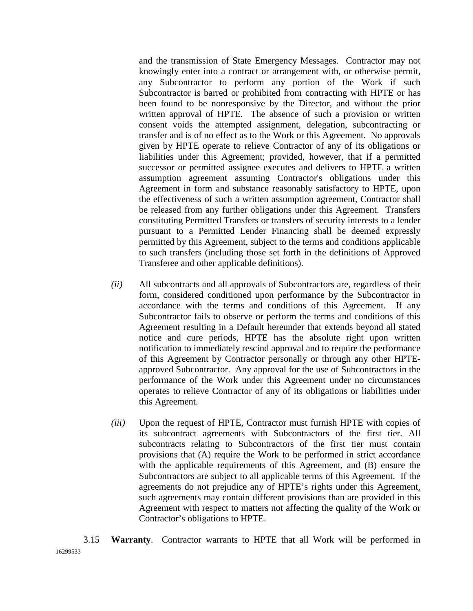and the transmission of State Emergency Messages. Contractor may not knowingly enter into a contract or arrangement with, or otherwise permit, any Subcontractor to perform any portion of the Work if such Subcontractor is barred or prohibited from contracting with HPTE or has been found to be nonresponsive by the Director, and without the prior written approval of HPTE. The absence of such a provision or written consent voids the attempted assignment, delegation, subcontracting or transfer and is of no effect as to the Work or this Agreement. No approvals given by HPTE operate to relieve Contractor of any of its obligations or liabilities under this Agreement; provided, however, that if a permitted successor or permitted assignee executes and delivers to HPTE a written assumption agreement assuming Contractor's obligations under this Agreement in form and substance reasonably satisfactory to HPTE, upon the effectiveness of such a written assumption agreement, Contractor shall be released from any further obligations under this Agreement. Transfers constituting Permitted Transfers or transfers of security interests to a lender pursuant to a Permitted Lender Financing shall be deemed expressly permitted by this Agreement, subject to the terms and conditions applicable to such transfers (including those set forth in the definitions of Approved Transferee and other applicable definitions).

- *(ii)* All subcontracts and all approvals of Subcontractors are, regardless of their form, considered conditioned upon performance by the Subcontractor in accordance with the terms and conditions of this Agreement. If any Subcontractor fails to observe or perform the terms and conditions of this Agreement resulting in a Default hereunder that extends beyond all stated notice and cure periods, HPTE has the absolute right upon written notification to immediately rescind approval and to require the performance of this Agreement by Contractor personally or through any other HPTEapproved Subcontractor. Any approval for the use of Subcontractors in the performance of the Work under this Agreement under no circumstances operates to relieve Contractor of any of its obligations or liabilities under this Agreement.
- *(iii)* Upon the request of HPTE, Contractor must furnish HPTE with copies of its subcontract agreements with Subcontractors of the first tier. All subcontracts relating to Subcontractors of the first tier must contain provisions that (A) require the Work to be performed in strict accordance with the applicable requirements of this Agreement, and (B) ensure the Subcontractors are subject to all applicable terms of this Agreement. If the agreements do not prejudice any of HPTE's rights under this Agreement, such agreements may contain different provisions than are provided in this Agreement with respect to matters not affecting the quality of the Work or Contractor's obligations to HPTE.

16299533 3.15 **Warranty**. Contractor warrants to HPTE that all Work will be performed in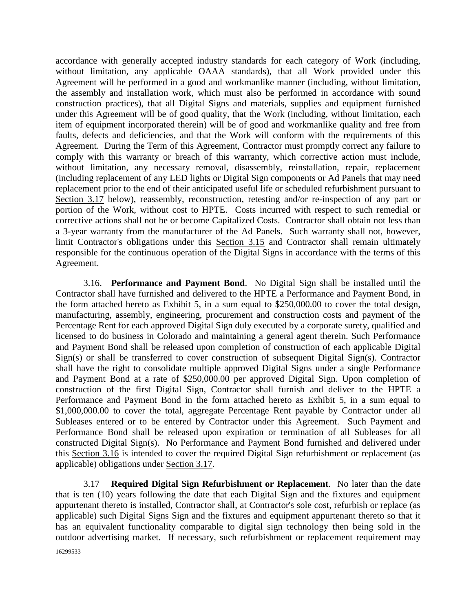accordance with generally accepted industry standards for each category of Work (including, without limitation, any applicable OAAA standards), that all Work provided under this Agreement will be performed in a good and workmanlike manner (including, without limitation, the assembly and installation work, which must also be performed in accordance with sound construction practices), that all Digital Signs and materials, supplies and equipment furnished under this Agreement will be of good quality, that the Work (including, without limitation, each item of equipment incorporated therein) will be of good and workmanlike quality and free from faults, defects and deficiencies, and that the Work will conform with the requirements of this Agreement. During the Term of this Agreement, Contractor must promptly correct any failure to comply with this warranty or breach of this warranty, which corrective action must include, without limitation, any necessary removal, disassembly, reinstallation, repair, replacement (including replacement of any LED lights or Digital Sign components or Ad Panels that may need replacement prior to the end of their anticipated useful life or scheduled refurbishment pursuant to Section 3.17 below), reassembly, reconstruction, retesting and/or re-inspection of any part or portion of the Work, without cost to HPTE. Costs incurred with respect to such remedial or corrective actions shall not be or become Capitalized Costs. Contractor shall obtain not less than a 3-year warranty from the manufacturer of the Ad Panels. Such warranty shall not, however, limit Contractor's obligations under this Section 3.15 and Contractor shall remain ultimately responsible for the continuous operation of the Digital Signs in accordance with the terms of this Agreement.

3.16. **Performance and Payment Bond**. No Digital Sign shall be installed until the Contractor shall have furnished and delivered to the HPTE a Performance and Payment Bond, in the form attached hereto as Exhibit 5, in a sum equal to \$250,000.00 to cover the total design, manufacturing, assembly, engineering, procurement and construction costs and payment of the Percentage Rent for each approved Digital Sign duly executed by a corporate surety, qualified and licensed to do business in Colorado and maintaining a general agent therein. Such Performance and Payment Bond shall be released upon completion of construction of each applicable Digital Sign(s) or shall be transferred to cover construction of subsequent Digital Sign(s). Contractor shall have the right to consolidate multiple approved Digital Signs under a single Performance and Payment Bond at a rate of \$250,000.00 per approved Digital Sign. Upon completion of construction of the first Digital Sign, Contractor shall furnish and deliver to the HPTE a Performance and Payment Bond in the form attached hereto as Exhibit 5, in a sum equal to \$1,000,000.00 to cover the total, aggregate Percentage Rent payable by Contractor under all Subleases entered or to be entered by Contractor under this Agreement. Such Payment and Performance Bond shall be released upon expiration or termination of all Subleases for all constructed Digital Sign(s). No Performance and Payment Bond furnished and delivered under this Section 3.16 is intended to cover the required Digital Sign refurbishment or replacement (as applicable) obligations under Section 3.17.

3.17 **Required Digital Sign Refurbishment or Replacement**. No later than the date that is ten (10) years following the date that each Digital Sign and the fixtures and equipment appurtenant thereto is installed, Contractor shall, at Contractor's sole cost, refurbish or replace (as applicable) such Digital Signs Sign and the fixtures and equipment appurtenant thereto so that it has an equivalent functionality comparable to digital sign technology then being sold in the outdoor advertising market. If necessary, such refurbishment or replacement requirement may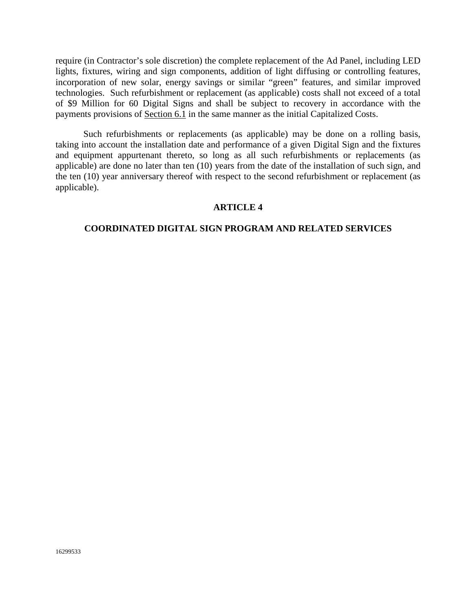require (in Contractor's sole discretion) the complete replacement of the Ad Panel, including LED lights, fixtures, wiring and sign components, addition of light diffusing or controlling features, incorporation of new solar, energy savings or similar "green" features, and similar improved technologies. Such refurbishment or replacement (as applicable) costs shall not exceed of a total of \$9 Million for 60 Digital Signs and shall be subject to recovery in accordance with the payments provisions of Section 6.1 in the same manner as the initial Capitalized Costs.

Such refurbishments or replacements (as applicable) may be done on a rolling basis, taking into account the installation date and performance of a given Digital Sign and the fixtures and equipment appurtenant thereto, so long as all such refurbishments or replacements (as applicable) are done no later than ten (10) years from the date of the installation of such sign, and the ten (10) year anniversary thereof with respect to the second refurbishment or replacement (as applicable).

### **ARTICLE 4**

#### **COORDINATED DIGITAL SIGN PROGRAM AND RELATED SERVICES**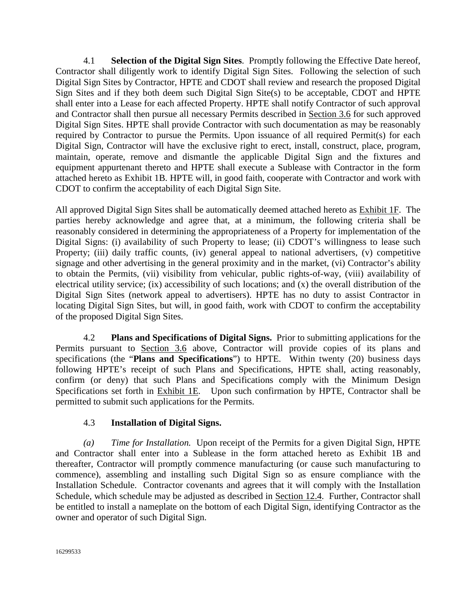4.1 **Selection of the Digital Sign Sites**. Promptly following the Effective Date hereof, Contractor shall diligently work to identify Digital Sign Sites. Following the selection of such Digital Sign Sites by Contractor, HPTE and CDOT shall review and research the proposed Digital Sign Sites and if they both deem such Digital Sign Site(s) to be acceptable, CDOT and HPTE shall enter into a Lease for each affected Property. HPTE shall notify Contractor of such approval and Contractor shall then pursue all necessary Permits described in Section 3.6 for such approved Digital Sign Sites. HPTE shall provide Contractor with such documentation as may be reasonably required by Contractor to pursue the Permits. Upon issuance of all required Permit(s) for each Digital Sign, Contractor will have the exclusive right to erect, install, construct, place, program, maintain, operate, remove and dismantle the applicable Digital Sign and the fixtures and equipment appurtenant thereto and HPTE shall execute a Sublease with Contractor in the form attached hereto as Exhibit 1B. HPTE will, in good faith, cooperate with Contractor and work with CDOT to confirm the acceptability of each Digital Sign Site.

All approved Digital Sign Sites shall be automatically deemed attached hereto as Exhibit 1F. The parties hereby acknowledge and agree that, at a minimum, the following criteria shall be reasonably considered in determining the appropriateness of a Property for implementation of the Digital Signs: (i) availability of such Property to lease; (ii) CDOT's willingness to lease such Property; (iii) daily traffic counts, (iv) general appeal to national advertisers, (v) competitive signage and other advertising in the general proximity and in the market, (vi) Contractor's ability to obtain the Permits, (vii) visibility from vehicular, public rights-of-way, (viii) availability of electrical utility service; (ix) accessibility of such locations; and (x) the overall distribution of the Digital Sign Sites (network appeal to advertisers). HPTE has no duty to assist Contractor in locating Digital Sign Sites, but will, in good faith, work with CDOT to confirm the acceptability of the proposed Digital Sign Sites.

4.2 **Plans and Specifications of Digital Signs.** Prior to submitting applications for the Permits pursuant to Section 3.6 above, Contractor will provide copies of its plans and specifications (the "**Plans and Specifications**") to HPTE. Within twenty (20) business days following HPTE's receipt of such Plans and Specifications, HPTE shall, acting reasonably, confirm (or deny) that such Plans and Specifications comply with the Minimum Design Specifications set forth in Exhibit 1E. Upon such confirmation by HPTE, Contractor shall be permitted to submit such applications for the Permits.

# 4.3 **Installation of Digital Signs.**

*(a) Time for Installation.* Upon receipt of the Permits for a given Digital Sign, HPTE and Contractor shall enter into a Sublease in the form attached hereto as Exhibit 1B and thereafter, Contractor will promptly commence manufacturing (or cause such manufacturing to commence), assembling and installing such Digital Sign so as ensure compliance with the Installation Schedule. Contractor covenants and agrees that it will comply with the Installation Schedule, which schedule may be adjusted as described in Section 12.4. Further, Contractor shall be entitled to install a nameplate on the bottom of each Digital Sign, identifying Contractor as the owner and operator of such Digital Sign.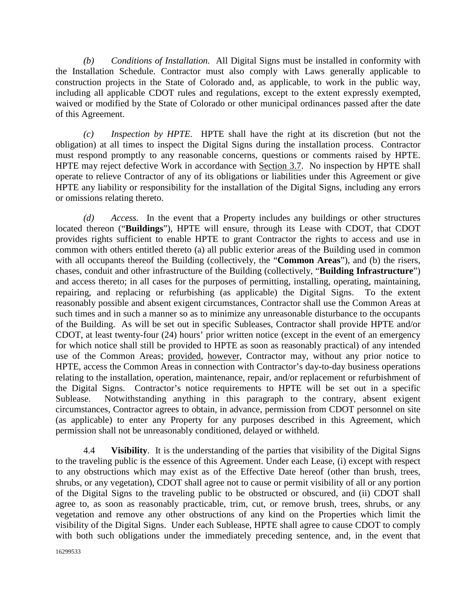*(b) Conditions of Installation.* All Digital Signs must be installed in conformity with the Installation Schedule. Contractor must also comply with Laws generally applicable to construction projects in the State of Colorado and, as applicable, to work in the public way, including all applicable CDOT rules and regulations, except to the extent expressly exempted, waived or modified by the State of Colorado or other municipal ordinances passed after the date of this Agreement.

*(c) Inspection by HPTE*. HPTE shall have the right at its discretion (but not the obligation) at all times to inspect the Digital Signs during the installation process. Contractor must respond promptly to any reasonable concerns, questions or comments raised by HPTE. HPTE may reject defective Work in accordance with Section 3.7. No inspection by HPTE shall operate to relieve Contractor of any of its obligations or liabilities under this Agreement or give HPTE any liability or responsibility for the installation of the Digital Signs, including any errors or omissions relating thereto.

*(d) Access.* In the event that a Property includes any buildings or other structures located thereon ("**Buildings**"), HPTE will ensure, through its Lease with CDOT, that CDOT provides rights sufficient to enable HPTE to grant Contractor the rights to access and use in common with others entitled thereto (a) all public exterior areas of the Building used in common with all occupants thereof the Building (collectively, the "**Common Areas**"), and (b) the risers, chases, conduit and other infrastructure of the Building (collectively, "**Building Infrastructure**") and access thereto; in all cases for the purposes of permitting, installing, operating, maintaining, repairing, and replacing or refurbishing (as applicable) the Digital Signs. To the extent reasonably possible and absent exigent circumstances, Contractor shall use the Common Areas at such times and in such a manner so as to minimize any unreasonable disturbance to the occupants of the Building. As will be set out in specific Subleases, Contractor shall provide HPTE and/or CDOT, at least twenty-four (24) hours' prior written notice (except in the event of an emergency for which notice shall still be provided to HPTE as soon as reasonably practical) of any intended use of the Common Areas; provided, however, Contractor may, without any prior notice to HPTE, access the Common Areas in connection with Contractor's day-to-day business operations relating to the installation, operation, maintenance, repair, and/or replacement or refurbishment of the Digital Signs. Contractor's notice requirements to HPTE will be set out in a specific Sublease. Notwithstanding anything in this paragraph to the contrary, absent exigent circumstances, Contractor agrees to obtain, in advance, permission from CDOT personnel on site (as applicable) to enter any Property for any purposes described in this Agreement, which permission shall not be unreasonably conditioned, delayed or withheld.

4.4 **Visibility**. It is the understanding of the parties that visibility of the Digital Signs to the traveling public is the essence of this Agreement. Under each Lease, (i) except with respect to any obstructions which may exist as of the Effective Date hereof (other than brush, trees, shrubs, or any vegetation), CDOT shall agree not to cause or permit visibility of all or any portion of the Digital Signs to the traveling public to be obstructed or obscured, and (ii) CDOT shall agree to, as soon as reasonably practicable, trim, cut, or remove brush, trees, shrubs, or any vegetation and remove any other obstructions of any kind on the Properties which limit the visibility of the Digital Signs. Under each Sublease, HPTE shall agree to cause CDOT to comply with both such obligations under the immediately preceding sentence, and, in the event that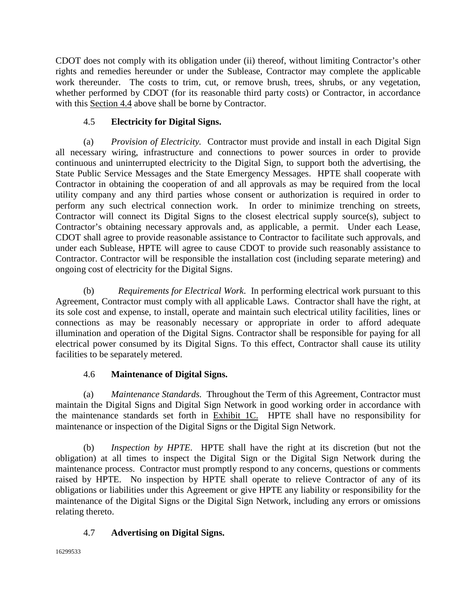CDOT does not comply with its obligation under (ii) thereof, without limiting Contractor's other rights and remedies hereunder or under the Sublease, Contractor may complete the applicable work thereunder. The costs to trim, cut, or remove brush, trees, shrubs, or any vegetation, whether performed by CDOT (for its reasonable third party costs) or Contractor, in accordance with this Section 4.4 above shall be borne by Contractor.

# 4.5 **Electricity for Digital Signs.**

(a) *Provision of Electricity.* Contractor must provide and install in each Digital Sign all necessary wiring, infrastructure and connections to power sources in order to provide continuous and uninterrupted electricity to the Digital Sign, to support both the advertising, the State Public Service Messages and the State Emergency Messages. HPTE shall cooperate with Contractor in obtaining the cooperation of and all approvals as may be required from the local utility company and any third parties whose consent or authorization is required in order to perform any such electrical connection work. In order to minimize trenching on streets, Contractor will connect its Digital Signs to the closest electrical supply source(s), subject to Contractor's obtaining necessary approvals and, as applicable, a permit. Under each Lease, CDOT shall agree to provide reasonable assistance to Contractor to facilitate such approvals, and under each Sublease, HPTE will agree to cause CDOT to provide such reasonably assistance to Contractor. Contractor will be responsible the installation cost (including separate metering) and ongoing cost of electricity for the Digital Signs.

(b) *Requirements for Electrical Work*. In performing electrical work pursuant to this Agreement, Contractor must comply with all applicable Laws. Contractor shall have the right, at its sole cost and expense, to install, operate and maintain such electrical utility facilities, lines or connections as may be reasonably necessary or appropriate in order to afford adequate illumination and operation of the Digital Signs. Contractor shall be responsible for paying for all electrical power consumed by its Digital Signs. To this effect, Contractor shall cause its utility facilities to be separately metered.

# 4.6 **Maintenance of Digital Signs.**

(a) *Maintenance Standards.* Throughout the Term of this Agreement, Contractor must maintain the Digital Signs and Digital Sign Network in good working order in accordance with the maintenance standards set forth in Exhibit 1C. HPTE shall have no responsibility for maintenance or inspection of the Digital Signs or the Digital Sign Network.

(b) *Inspection by HPTE*. HPTE shall have the right at its discretion (but not the obligation) at all times to inspect the Digital Sign or the Digital Sign Network during the maintenance process. Contractor must promptly respond to any concerns, questions or comments raised by HPTE. No inspection by HPTE shall operate to relieve Contractor of any of its obligations or liabilities under this Agreement or give HPTE any liability or responsibility for the maintenance of the Digital Signs or the Digital Sign Network, including any errors or omissions relating thereto.

# 4.7 **Advertising on Digital Signs.**

16299533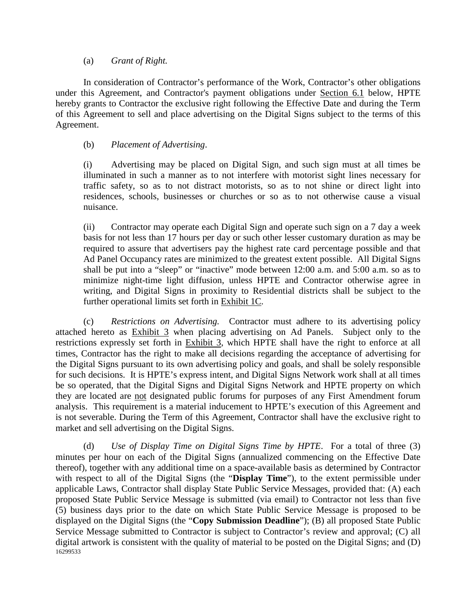### (a) *Grant of Right.*

In consideration of Contractor's performance of the Work, Contractor's other obligations under this Agreement, and Contractor's payment obligations under Section 6.1 below, HPTE hereby grants to Contractor the exclusive right following the Effective Date and during the Term of this Agreement to sell and place advertising on the Digital Signs subject to the terms of this Agreement.

### (b) *Placement of Advertising*.

(i) Advertising may be placed on Digital Sign, and such sign must at all times be illuminated in such a manner as to not interfere with motorist sight lines necessary for traffic safety, so as to not distract motorists, so as to not shine or direct light into residences, schools, businesses or churches or so as to not otherwise cause a visual nuisance.

(ii) Contractor may operate each Digital Sign and operate such sign on a 7 day a week basis for not less than 17 hours per day or such other lesser customary duration as may be required to assure that advertisers pay the highest rate card percentage possible and that Ad Panel Occupancy rates are minimized to the greatest extent possible. All Digital Signs shall be put into a "sleep" or "inactive" mode between 12:00 a.m. and 5:00 a.m. so as to minimize night-time light diffusion, unless HPTE and Contractor otherwise agree in writing, and Digital Signs in proximity to Residential districts shall be subject to the further operational limits set forth in Exhibit 1C.

(c) *Restrictions on Advertising.* Contractor must adhere to its advertising policy attached hereto as Exhibit 3 when placing advertising on Ad Panels. Subject only to the restrictions expressly set forth in Exhibit 3, which HPTE shall have the right to enforce at all times, Contractor has the right to make all decisions regarding the acceptance of advertising for the Digital Signs pursuant to its own advertising policy and goals, and shall be solely responsible for such decisions. It is HPTE's express intent, and Digital Signs Network work shall at all times be so operated, that the Digital Signs and Digital Signs Network and HPTE property on which they are located are not designated public forums for purposes of any First Amendment forum analysis. This requirement is a material inducement to HPTE's execution of this Agreement and is not severable. During the Term of this Agreement, Contractor shall have the exclusive right to market and sell advertising on the Digital Signs.

16299533 (d) *Use of Display Time on Digital Signs Time by HPTE*. For a total of three (3) minutes per hour on each of the Digital Signs (annualized commencing on the Effective Date thereof), together with any additional time on a space-available basis as determined by Contractor with respect to all of the Digital Signs (the "**Display Time**"), to the extent permissible under applicable Laws, Contractor shall display State Public Service Messages, provided that: (A) each proposed State Public Service Message is submitted (via email) to Contractor not less than five (5) business days prior to the date on which State Public Service Message is proposed to be displayed on the Digital Signs (the "**Copy Submission Deadline**"); (B) all proposed State Public Service Message submitted to Contractor is subject to Contractor's review and approval; (C) all digital artwork is consistent with the quality of material to be posted on the Digital Signs; and (D)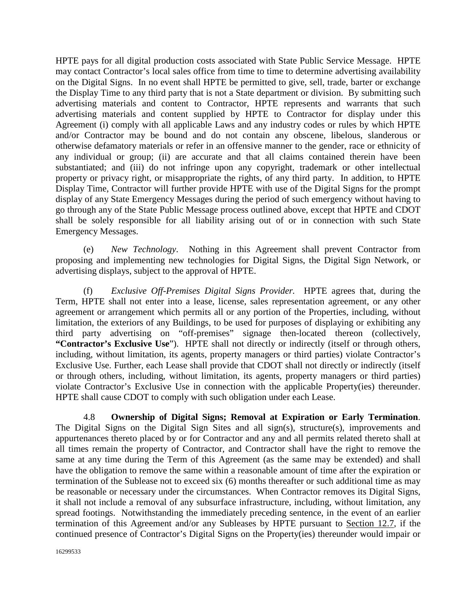HPTE pays for all digital production costs associated with State Public Service Message. HPTE may contact Contractor's local sales office from time to time to determine advertising availability on the Digital Signs. In no event shall HPTE be permitted to give, sell, trade, barter or exchange the Display Time to any third party that is not a State department or division. By submitting such advertising materials and content to Contractor, HPTE represents and warrants that such advertising materials and content supplied by HPTE to Contractor for display under this Agreement (i) comply with all applicable Laws and any industry codes or rules by which HPTE and/or Contractor may be bound and do not contain any obscene, libelous, slanderous or otherwise defamatory materials or refer in an offensive manner to the gender, race or ethnicity of any individual or group; (ii) are accurate and that all claims contained therein have been substantiated; and (iii) do not infringe upon any copyright, trademark or other intellectual property or privacy right, or misappropriate the rights, of any third party. In addition, to HPTE Display Time, Contractor will further provide HPTE with use of the Digital Signs for the prompt display of any State Emergency Messages during the period of such emergency without having to go through any of the State Public Message process outlined above, except that HPTE and CDOT shall be solely responsible for all liability arising out of or in connection with such State Emergency Messages.

(e) *New Technology*. Nothing in this Agreement shall prevent Contractor from proposing and implementing new technologies for Digital Signs, the Digital Sign Network, or advertising displays, subject to the approval of HPTE.

(f) *Exclusive Off-Premises Digital Signs Provider.* HPTE agrees that, during the Term, HPTE shall not enter into a lease, license, sales representation agreement, or any other agreement or arrangement which permits all or any portion of the Properties, including, without limitation, the exteriors of any Buildings, to be used for purposes of displaying or exhibiting any third party advertising on "off-premises" signage then-located thereon (collectively, **"Contractor's Exclusive Use**"). HPTE shall not directly or indirectly (itself or through others, including, without limitation, its agents, property managers or third parties) violate Contractor's Exclusive Use. Further, each Lease shall provide that CDOT shall not directly or indirectly (itself or through others, including, without limitation, its agents, property managers or third parties) violate Contractor's Exclusive Use in connection with the applicable Property(ies) thereunder. HPTE shall cause CDOT to comply with such obligation under each Lease.

4.8 **Ownership of Digital Signs; Removal at Expiration or Early Termination**. The Digital Signs on the Digital Sign Sites and all sign(s), structure(s), improvements and appurtenances thereto placed by or for Contractor and any and all permits related thereto shall at all times remain the property of Contractor, and Contractor shall have the right to remove the same at any time during the Term of this Agreement (as the same may be extended) and shall have the obligation to remove the same within a reasonable amount of time after the expiration or termination of the Sublease not to exceed six (6) months thereafter or such additional time as may be reasonable or necessary under the circumstances. When Contractor removes its Digital Signs, it shall not include a removal of any subsurface infrastructure, including, without limitation, any spread footings. Notwithstanding the immediately preceding sentence, in the event of an earlier termination of this Agreement and/or any Subleases by HPTE pursuant to Section 12.7, if the continued presence of Contractor's Digital Signs on the Property(ies) thereunder would impair or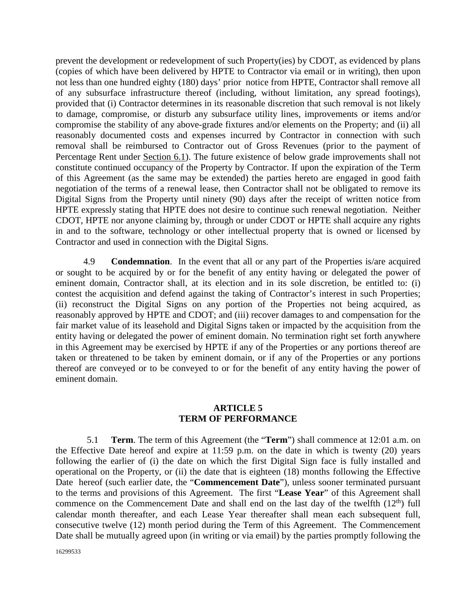prevent the development or redevelopment of such Property(ies) by CDOT, as evidenced by plans (copies of which have been delivered by HPTE to Contractor via email or in writing), then upon not less than one hundred eighty (180) days' prior notice from HPTE, Contractor shall remove all of any subsurface infrastructure thereof (including, without limitation, any spread footings), provided that (i) Contractor determines in its reasonable discretion that such removal is not likely to damage, compromise, or disturb any subsurface utility lines, improvements or items and/or compromise the stability of any above-grade fixtures and/or elements on the Property; and (ii) all reasonably documented costs and expenses incurred by Contractor in connection with such removal shall be reimbursed to Contractor out of Gross Revenues (prior to the payment of Percentage Rent under Section 6.1). The future existence of below grade improvements shall not constitute continued occupancy of the Property by Contractor. If upon the expiration of the Term of this Agreement (as the same may be extended) the parties hereto are engaged in good faith negotiation of the terms of a renewal lease, then Contractor shall not be obligated to remove its Digital Signs from the Property until ninety (90) days after the receipt of written notice from HPTE expressly stating that HPTE does not desire to continue such renewal negotiation. Neither CDOT, HPTE nor anyone claiming by, through or under CDOT or HPTE shall acquire any rights in and to the software, technology or other intellectual property that is owned or licensed by Contractor and used in connection with the Digital Signs.

4.9 **Condemnation**. In the event that all or any part of the Properties is/are acquired or sought to be acquired by or for the benefit of any entity having or delegated the power of eminent domain, Contractor shall, at its election and in its sole discretion, be entitled to: (i) contest the acquisition and defend against the taking of Contractor's interest in such Properties; (ii) reconstruct the Digital Signs on any portion of the Properties not being acquired, as reasonably approved by HPTE and CDOT; and (iii) recover damages to and compensation for the fair market value of its leasehold and Digital Signs taken or impacted by the acquisition from the entity having or delegated the power of eminent domain. No termination right set forth anywhere in this Agreement may be exercised by HPTE if any of the Properties or any portions thereof are taken or threatened to be taken by eminent domain, or if any of the Properties or any portions thereof are conveyed or to be conveyed to or for the benefit of any entity having the power of eminent domain.

### **ARTICLE 5 TERM OF PERFORMANCE**

5.1 **Term**. The term of this Agreement (the "**Term**") shall commence at 12:01 a.m. on the Effective Date hereof and expire at 11:59 p.m. on the date in which is twenty (20) years following the earlier of (i) the date on which the first Digital Sign face is fully installed and operational on the Property, or (ii) the date that is eighteen (18) months following the Effective Date hereof (such earlier date, the "**Commencement Date**"), unless sooner terminated pursuant to the terms and provisions of this Agreement. The first "**Lease Year**" of this Agreement shall commence on the Commencement Date and shall end on the last day of the twelfth  $(12<sup>th</sup>)$  full calendar month thereafter, and each Lease Year thereafter shall mean each subsequent full, consecutive twelve (12) month period during the Term of this Agreement. The Commencement Date shall be mutually agreed upon (in writing or via email) by the parties promptly following the

16299533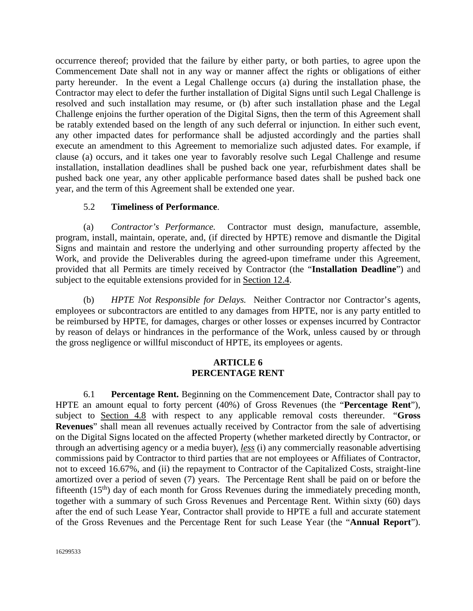occurrence thereof; provided that the failure by either party, or both parties, to agree upon the Commencement Date shall not in any way or manner affect the rights or obligations of either party hereunder. In the event a Legal Challenge occurs (a) during the installation phase, the Contractor may elect to defer the further installation of Digital Signs until such Legal Challenge is resolved and such installation may resume, or (b) after such installation phase and the Legal Challenge enjoins the further operation of the Digital Signs, then the term of this Agreement shall be ratably extended based on the length of any such deferral or injunction. In either such event, any other impacted dates for performance shall be adjusted accordingly and the parties shall execute an amendment to this Agreement to memorialize such adjusted dates. For example, if clause (a) occurs, and it takes one year to favorably resolve such Legal Challenge and resume installation, installation deadlines shall be pushed back one year, refurbishment dates shall be pushed back one year, any other applicable performance based dates shall be pushed back one year, and the term of this Agreement shall be extended one year.

### 5.2 **Timeliness of Performance**.

(a) *Contractor's Performance.* Contractor must design, manufacture, assemble, program, install, maintain, operate, and, (if directed by HPTE) remove and dismantle the Digital Signs and maintain and restore the underlying and other surrounding property affected by the Work, and provide the Deliverables during the agreed-upon timeframe under this Agreement, provided that all Permits are timely received by Contractor (the "**Installation Deadline**") and subject to the equitable extensions provided for in Section 12.4.

(b) *HPTE Not Responsible for Delays.* Neither Contractor nor Contractor's agents, employees or subcontractors are entitled to any damages from HPTE, nor is any party entitled to be reimbursed by HPTE, for damages, charges or other losses or expenses incurred by Contractor by reason of delays or hindrances in the performance of the Work, unless caused by or through the gross negligence or willful misconduct of HPTE, its employees or agents.

#### **ARTICLE 6 PERCENTAGE RENT**

6.1 **Percentage Rent.** Beginning on the Commencement Date, Contractor shall pay to HPTE an amount equal to forty percent (40%) of Gross Revenues (the "**Percentage Rent**"), subject to Section 4.8 with respect to any applicable removal costs thereunder. "**Gross Revenues**" shall mean all revenues actually received by Contractor from the sale of advertising on the Digital Signs located on the affected Property (whether marketed directly by Contractor, or through an advertising agency or a media buyer), *less* (i) any commercially reasonable advertising commissions paid by Contractor to third parties that are not employees or Affiliates of Contractor, not to exceed 16.67%, and (ii) the repayment to Contractor of the Capitalized Costs, straight-line amortized over a period of seven (7) years. The Percentage Rent shall be paid on or before the fifteenth (15<sup>th</sup>) day of each month for Gross Revenues during the immediately preceding month, together with a summary of such Gross Revenues and Percentage Rent. Within sixty (60) days after the end of such Lease Year, Contractor shall provide to HPTE a full and accurate statement of the Gross Revenues and the Percentage Rent for such Lease Year (the "**Annual Report**").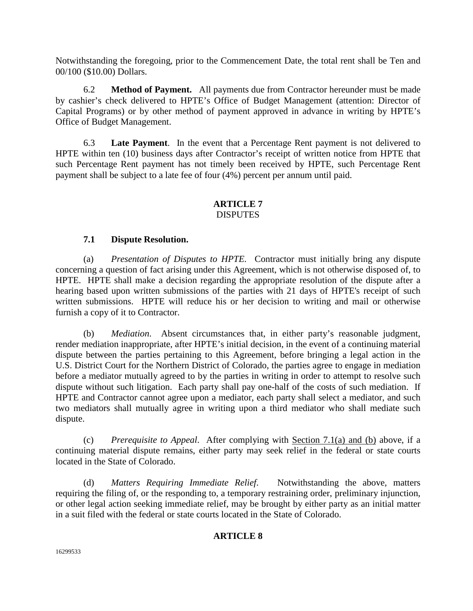Notwithstanding the foregoing, prior to the Commencement Date, the total rent shall be Ten and 00/100 (\$10.00) Dollars.

6.2 **Method of Payment.** All payments due from Contractor hereunder must be made by cashier's check delivered to HPTE's Office of Budget Management (attention: Director of Capital Programs) or by other method of payment approved in advance in writing by HPTE's Office of Budget Management.

6.3 **Late Payment**. In the event that a Percentage Rent payment is not delivered to HPTE within ten (10) business days after Contractor's receipt of written notice from HPTE that such Percentage Rent payment has not timely been received by HPTE, such Percentage Rent payment shall be subject to a late fee of four (4%) percent per annum until paid.

#### **ARTICLE 7 DISPUTES**

### **7.1 Dispute Resolution.**

(a) *Presentation of Disputes to HPTE.* Contractor must initially bring any dispute concerning a question of fact arising under this Agreement, which is not otherwise disposed of, to HPTE. HPTE shall make a decision regarding the appropriate resolution of the dispute after a hearing based upon written submissions of the parties with 21 days of HPTE's receipt of such written submissions. HPTE will reduce his or her decision to writing and mail or otherwise furnish a copy of it to Contractor.

(b) *Mediation*. Absent circumstances that, in either party's reasonable judgment, render mediation inappropriate, after HPTE's initial decision, in the event of a continuing material dispute between the parties pertaining to this Agreement, before bringing a legal action in the U.S. District Court for the Northern District of Colorado, the parties agree to engage in mediation before a mediator mutually agreed to by the parties in writing in order to attempt to resolve such dispute without such litigation. Each party shall pay one-half of the costs of such mediation. If HPTE and Contractor cannot agree upon a mediator, each party shall select a mediator, and such two mediators shall mutually agree in writing upon a third mediator who shall mediate such dispute.

(c) *Prerequisite to Appeal*. After complying with Section 7.1(a) and (b) above, if a continuing material dispute remains, either party may seek relief in the federal or state courts located in the State of Colorado.

(d) *Matters Requiring Immediate Relief*. Notwithstanding the above, matters requiring the filing of, or the responding to, a temporary restraining order, preliminary injunction, or other legal action seeking immediate relief, may be brought by either party as an initial matter in a suit filed with the federal or state courts located in the State of Colorado.

### **ARTICLE 8**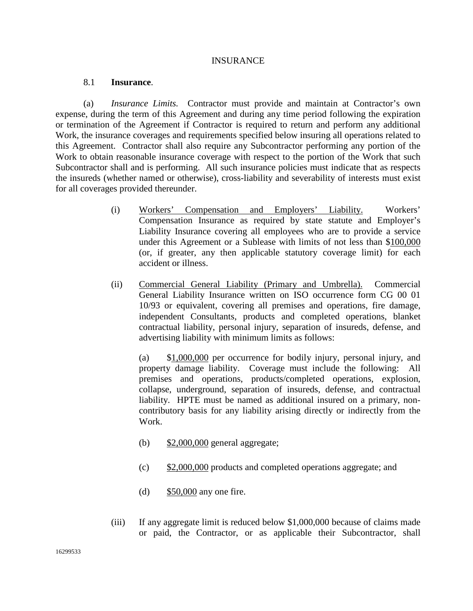#### INSURANCE

#### 8.1 **Insurance**.

(a) *Insurance Limits.* Contractor must provide and maintain at Contractor's own expense, during the term of this Agreement and during any time period following the expiration or termination of the Agreement if Contractor is required to return and perform any additional Work, the insurance coverages and requirements specified below insuring all operations related to this Agreement. Contractor shall also require any Subcontractor performing any portion of the Work to obtain reasonable insurance coverage with respect to the portion of the Work that such Subcontractor shall and is performing. All such insurance policies must indicate that as respects the insureds (whether named or otherwise), cross-liability and severability of interests must exist for all coverages provided thereunder.

- (i) Workers' Compensation and Employers' Liability. Workers' Compensation Insurance as required by state statute and Employer's Liability Insurance covering all employees who are to provide a service under this Agreement or a Sublease with limits of not less than \$100,000 (or, if greater, any then applicable statutory coverage limit) for each accident or illness.
- (ii) Commercial General Liability (Primary and Umbrella). Commercial General Liability Insurance written on ISO occurrence form CG 00 01 10/93 or equivalent, covering all premises and operations, fire damage, independent Consultants, products and completed operations, blanket contractual liability, personal injury, separation of insureds, defense, and advertising liability with minimum limits as follows:

(a) \$1,000,000 per occurrence for bodily injury, personal injury, and property damage liability. Coverage must include the following: All premises and operations, products/completed operations, explosion, collapse, underground, separation of insureds, defense, and contractual liability. HPTE must be named as additional insured on a primary, noncontributory basis for any liability arising directly or indirectly from the Work.

- (b) \$2,000,000 general aggregate;
- (c) \$2,000,000 products and completed operations aggregate; and
- (d) \$50,000 any one fire.
- (iii) If any aggregate limit is reduced below \$1,000,000 because of claims made or paid, the Contractor, or as applicable their Subcontractor, shall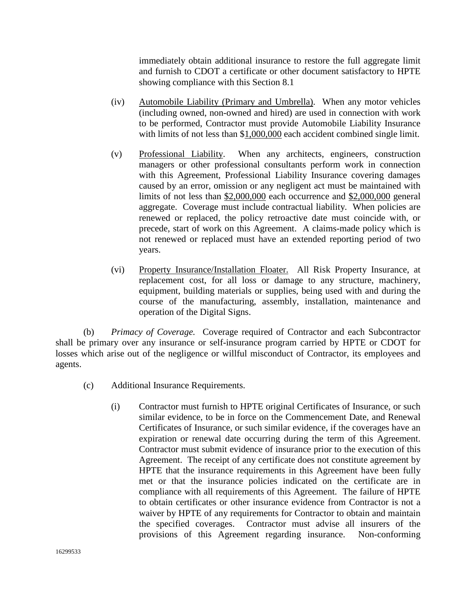immediately obtain additional insurance to restore the full aggregate limit and furnish to CDOT a certificate or other document satisfactory to HPTE showing compliance with this Section 8.1

- (iv) Automobile Liability (Primary and Umbrella). When any motor vehicles (including owned, non-owned and hired) are used in connection with work to be performed, Contractor must provide Automobile Liability Insurance with limits of not less than \$1,000,000 each accident combined single limit.
- (v) Professional Liability. When any architects, engineers, construction managers or other professional consultants perform work in connection with this Agreement, Professional Liability Insurance covering damages caused by an error, omission or any negligent act must be maintained with limits of not less than \$2,000,000 each occurrence and \$2,000,000 general aggregate. Coverage must include contractual liability. When policies are renewed or replaced, the policy retroactive date must coincide with, or precede, start of work on this Agreement. A claims-made policy which is not renewed or replaced must have an extended reporting period of two years.
- (vi) Property Insurance/Installation Floater. All Risk Property Insurance, at replacement cost, for all loss or damage to any structure, machinery, equipment, building materials or supplies, being used with and during the course of the manufacturing, assembly, installation, maintenance and operation of the Digital Signs.

(b) *Primacy of Coverage.* Coverage required of Contractor and each Subcontractor shall be primary over any insurance or self-insurance program carried by HPTE or CDOT for losses which arise out of the negligence or willful misconduct of Contractor, its employees and agents.

- (c) Additional Insurance Requirements.
	- (i) Contractor must furnish to HPTE original Certificates of Insurance, or such similar evidence, to be in force on the Commencement Date, and Renewal Certificates of Insurance, or such similar evidence, if the coverages have an expiration or renewal date occurring during the term of this Agreement. Contractor must submit evidence of insurance prior to the execution of this Agreement. The receipt of any certificate does not constitute agreement by HPTE that the insurance requirements in this Agreement have been fully met or that the insurance policies indicated on the certificate are in compliance with all requirements of this Agreement. The failure of HPTE to obtain certificates or other insurance evidence from Contractor is not a waiver by HPTE of any requirements for Contractor to obtain and maintain the specified coverages. Contractor must advise all insurers of the provisions of this Agreement regarding insurance. Non-conforming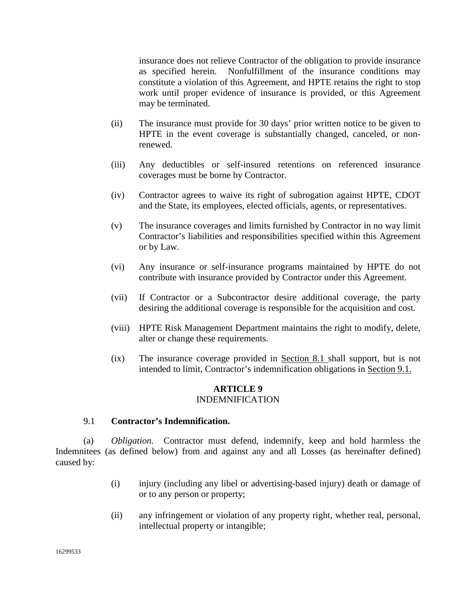insurance does not relieve Contractor of the obligation to provide insurance as specified herein. Nonfulfillment of the insurance conditions may constitute a violation of this Agreement, and HPTE retains the right to stop work until proper evidence of insurance is provided, or this Agreement may be terminated.

- (ii) The insurance must provide for 30 days' prior written notice to be given to HPTE in the event coverage is substantially changed, canceled, or nonrenewed.
- (iii) Any deductibles or self-insured retentions on referenced insurance coverages must be borne by Contractor.
- (iv) Contractor agrees to waive its right of subrogation against HPTE, CDOT and the State, its employees, elected officials, agents, or representatives.
- (v) The insurance coverages and limits furnished by Contractor in no way limit Contractor's liabilities and responsibilities specified within this Agreement or by Law.
- (vi) Any insurance or self-insurance programs maintained by HPTE do not contribute with insurance provided by Contractor under this Agreement.
- (vii) If Contractor or a Subcontractor desire additional coverage, the party desiring the additional coverage is responsible for the acquisition and cost.
- (viii) HPTE Risk Management Department maintains the right to modify, delete, alter or change these requirements.
- (ix) The insurance coverage provided in Section 8.1 shall support, but is not intended to limit, Contractor's indemnification obligations in Section 9.1.

### **ARTICLE 9** INDEMNIFICATION

### 9.1 **Contractor's Indemnification.**

(a) *Obligation.* Contractor must defend, indemnify, keep and hold harmless the Indemnitees (as defined below) from and against any and all Losses (as hereinafter defined) caused by:

- (i) injury (including any libel or advertising-based injury) death or damage of or to any person or property;
- (ii) any infringement or violation of any property right, whether real, personal, intellectual property or intangible;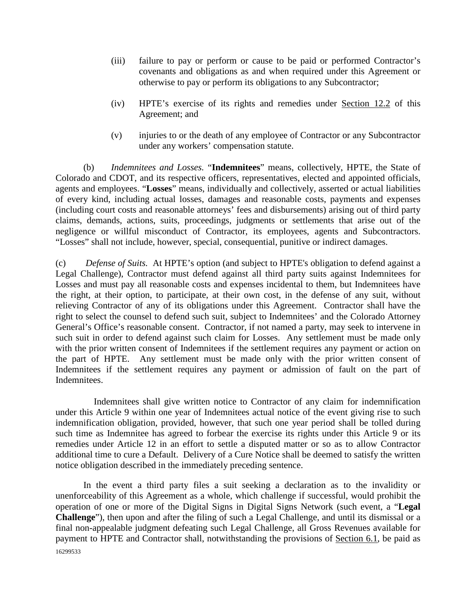- (iii) failure to pay or perform or cause to be paid or performed Contractor's covenants and obligations as and when required under this Agreement or otherwise to pay or perform its obligations to any Subcontractor;
- (iv) HPTE's exercise of its rights and remedies under Section 12.2 of this Agreement; and
- (v) injuries to or the death of any employee of Contractor or any Subcontractor under any workers' compensation statute.

(b) *Indemnitees and Losses.* "**Indemnitees**" means, collectively, HPTE, the State of Colorado and CDOT, and its respective officers, representatives, elected and appointed officials, agents and employees. "**Losses**" means, individually and collectively, asserted or actual liabilities of every kind, including actual losses, damages and reasonable costs, payments and expenses (including court costs and reasonable attorneys' fees and disbursements) arising out of third party claims, demands, actions, suits, proceedings, judgments or settlements that arise out of the negligence or willful misconduct of Contractor, its employees, agents and Subcontractors. "Losses" shall not include, however, special, consequential, punitive or indirect damages.

(c) *Defense of Suits.* At HPTE's option (and subject to HPTE's obligation to defend against a Legal Challenge), Contractor must defend against all third party suits against Indemnitees for Losses and must pay all reasonable costs and expenses incidental to them, but Indemnitees have the right, at their option, to participate, at their own cost, in the defense of any suit, without relieving Contractor of any of its obligations under this Agreement. Contractor shall have the right to select the counsel to defend such suit, subject to Indemnitees' and the Colorado Attorney General's Office's reasonable consent. Contractor, if not named a party, may seek to intervene in such suit in order to defend against such claim for Losses. Any settlement must be made only with the prior written consent of Indemnitees if the settlement requires any payment or action on the part of HPTE. Any settlement must be made only with the prior written consent of Indemnitees if the settlement requires any payment or admission of fault on the part of Indemnitees.

Indemnitees shall give written notice to Contractor of any claim for indemnification under this Article 9 within one year of Indemnitees actual notice of the event giving rise to such indemnification obligation, provided, however, that such one year period shall be tolled during such time as Indemnitee has agreed to forbear the exercise its rights under this Article 9 or its remedies under Article 12 in an effort to settle a disputed matter or so as to allow Contractor additional time to cure a Default. Delivery of a Cure Notice shall be deemed to satisfy the written notice obligation described in the immediately preceding sentence.

16299533 In the event a third party files a suit seeking a declaration as to the invalidity or unenforceability of this Agreement as a whole, which challenge if successful, would prohibit the operation of one or more of the Digital Signs in Digital Signs Network (such event, a "**Legal Challenge**"), then upon and after the filing of such a Legal Challenge, and until its dismissal or a final non-appealable judgment defeating such Legal Challenge, all Gross Revenues available for payment to HPTE and Contractor shall, notwithstanding the provisions of Section 6.1, be paid as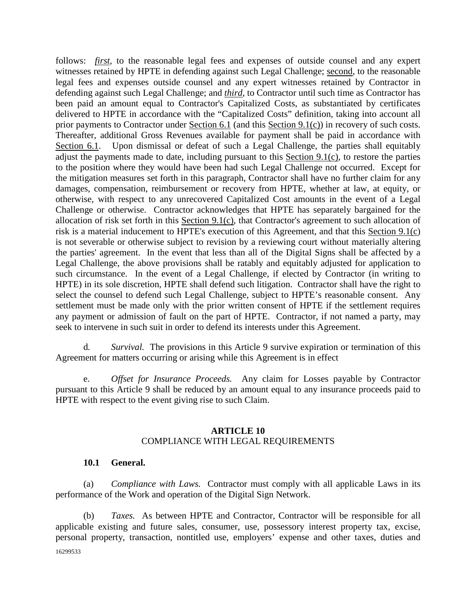follows: *first*, to the reasonable legal fees and expenses of outside counsel and any expert witnesses retained by HPTE in defending against such Legal Challenge; second, to the reasonable legal fees and expenses outside counsel and any expert witnesses retained by Contractor in defending against such Legal Challenge; and *third*, to Contractor until such time as Contractor has been paid an amount equal to Contractor's Capitalized Costs, as substantiated by certificates delivered to HPTE in accordance with the "Capitalized Costs" definition, taking into account all prior payments to Contractor under Section 6.1 (and this Section 9.1(c)) in recovery of such costs. Thereafter, additional Gross Revenues available for payment shall be paid in accordance with Section 6.1. Upon dismissal or defeat of such a Legal Challenge, the parties shall equitably adjust the payments made to date, including pursuant to this Section 9.1(c), to restore the parties to the position where they would have been had such Legal Challenge not occurred. Except for the mitigation measures set forth in this paragraph, Contractor shall have no further claim for any damages, compensation, reimbursement or recovery from HPTE, whether at law, at equity, or otherwise, with respect to any unrecovered Capitalized Cost amounts in the event of a Legal Challenge or otherwise. Contractor acknowledges that HPTE has separately bargained for the allocation of risk set forth in this Section 9.1(c), that Contractor's agreement to such allocation of risk is a material inducement to HPTE's execution of this Agreement, and that this Section 9.1(c) is not severable or otherwise subject to revision by a reviewing court without materially altering the parties' agreement. In the event that less than all of the Digital Signs shall be affected by a Legal Challenge, the above provisions shall be ratably and equitably adjusted for application to such circumstance. In the event of a Legal Challenge, if elected by Contractor (in writing to HPTE) in its sole discretion, HPTE shall defend such litigation. Contractor shall have the right to select the counsel to defend such Legal Challenge, subject to HPTE's reasonable consent. Any settlement must be made only with the prior written consent of HPTE if the settlement requires any payment or admission of fault on the part of HPTE. Contractor, if not named a party, may seek to intervene in such suit in order to defend its interests under this Agreement.

d*. Survival.* The provisions in this Article 9 survive expiration or termination of this Agreement for matters occurring or arising while this Agreement is in effect

e. *Offset for Insurance Proceeds.* Any claim for Losses payable by Contractor pursuant to this Article 9 shall be reduced by an amount equal to any insurance proceeds paid to HPTE with respect to the event giving rise to such Claim.

### **ARTICLE 10** COMPLIANCE WITH LEGAL REQUIREMENTS

### **10.1 General.**

(a) *Compliance with Laws.* Contractor must comply with all applicable Laws in its performance of the Work and operation of the Digital Sign Network.

16299533 (b) *Taxes.* As between HPTE and Contractor, Contractor will be responsible for all applicable existing and future sales, consumer, use, possessory interest property tax, excise, personal property, transaction, nontitled use, employers' expense and other taxes, duties and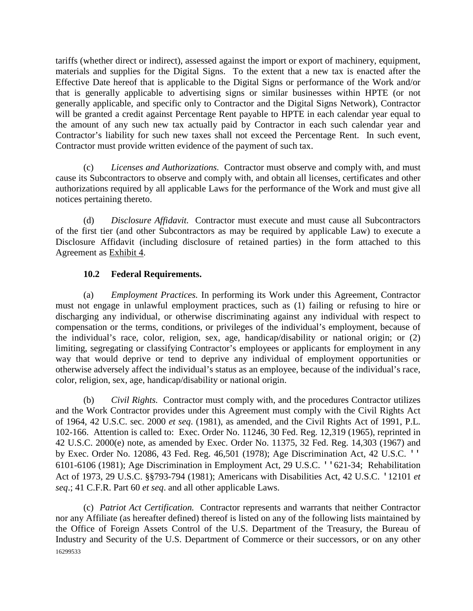tariffs (whether direct or indirect), assessed against the import or export of machinery, equipment, materials and supplies for the Digital Signs. To the extent that a new tax is enacted after the Effective Date hereof that is applicable to the Digital Signs or performance of the Work and/or that is generally applicable to advertising signs or similar businesses within HPTE (or not generally applicable, and specific only to Contractor and the Digital Signs Network), Contractor will be granted a credit against Percentage Rent payable to HPTE in each calendar year equal to the amount of any such new tax actually paid by Contractor in each such calendar year and Contractor's liability for such new taxes shall not exceed the Percentage Rent. In such event, Contractor must provide written evidence of the payment of such tax.

(c) *Licenses and Authorizations.* Contractor must observe and comply with, and must cause its Subcontractors to observe and comply with, and obtain all licenses, certificates and other authorizations required by all applicable Laws for the performance of the Work and must give all notices pertaining thereto.

(d) *Disclosure Affidavit.* Contractor must execute and must cause all Subcontractors of the first tier (and other Subcontractors as may be required by applicable Law) to execute a Disclosure Affidavit (including disclosure of retained parties) in the form attached to this Agreement as Exhibit 4.

# **10.2 Federal Requirements.**

(a) *Employment Practices.* In performing its Work under this Agreement, Contractor must not engage in unlawful employment practices, such as (1) failing or refusing to hire or discharging any individual, or otherwise discriminating against any individual with respect to compensation or the terms, conditions, or privileges of the individual's employment, because of the individual's race, color, religion, sex, age, handicap/disability or national origin; or (2) limiting, segregating or classifying Contractor's employees or applicants for employment in any way that would deprive or tend to deprive any individual of employment opportunities or otherwise adversely affect the individual's status as an employee, because of the individual's race, color, religion, sex, age, handicap/disability or national origin.

(b) *Civil Rights.* Contractor must comply with, and the procedures Contractor utilizes and the Work Contractor provides under this Agreement must comply with the Civil Rights Act of 1964, 42 U.S.C. sec. 2000 *et seq*. (1981), as amended, and the Civil Rights Act of 1991, P.L. 102-166. Attention is called to: Exec. Order No. 11246, 30 Fed. Reg. 12,319 (1965), reprinted in 42 U.S.C. 2000(e) note, as amended by Exec. Order No. 11375, 32 Fed. Reg. 14,303 (1967) and by Exec. Order No. 12086, 43 Fed. Reg. 46,501 (1978); Age Discrimination Act, 42 U.S.C. '' 6101-6106 (1981); Age Discrimination in Employment Act, 29 U.S.C. ''621-34; Rehabilitation Act of 1973, 29 U.S.C. §§793-794 (1981); Americans with Disabilities Act, 42 U.S.C. '12101 *et seq*.; 41 C.F.R. Part 60 *et seq*. and all other applicable Laws.

16299533 (c) *Patriot Act Certification.* Contractor represents and warrants that neither Contractor nor any Affiliate (as hereafter defined) thereof is listed on any of the following lists maintained by the Office of Foreign Assets Control of the U.S. Department of the Treasury, the Bureau of Industry and Security of the U.S. Department of Commerce or their successors, or on any other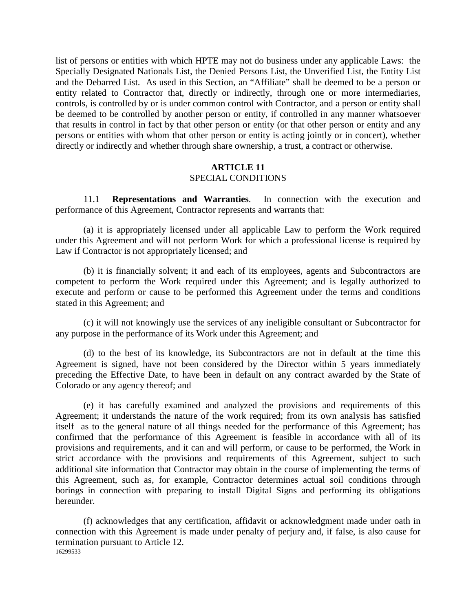list of persons or entities with which HPTE may not do business under any applicable Laws: the Specially Designated Nationals List, the Denied Persons List, the Unverified List, the Entity List and the Debarred List. As used in this Section, an "Affiliate" shall be deemed to be a person or entity related to Contractor that, directly or indirectly, through one or more intermediaries, controls, is controlled by or is under common control with Contractor, and a person or entity shall be deemed to be controlled by another person or entity, if controlled in any manner whatsoever that results in control in fact by that other person or entity (or that other person or entity and any persons or entities with whom that other person or entity is acting jointly or in concert), whether directly or indirectly and whether through share ownership, a trust, a contract or otherwise.

#### **ARTICLE 11** SPECIAL CONDITIONS

11.1 **Representations and Warranties**. In connection with the execution and performance of this Agreement, Contractor represents and warrants that:

(a) it is appropriately licensed under all applicable Law to perform the Work required under this Agreement and will not perform Work for which a professional license is required by Law if Contractor is not appropriately licensed; and

(b) it is financially solvent; it and each of its employees, agents and Subcontractors are competent to perform the Work required under this Agreement; and is legally authorized to execute and perform or cause to be performed this Agreement under the terms and conditions stated in this Agreement; and

(c) it will not knowingly use the services of any ineligible consultant or Subcontractor for any purpose in the performance of its Work under this Agreement; and

(d) to the best of its knowledge, its Subcontractors are not in default at the time this Agreement is signed, have not been considered by the Director within 5 years immediately preceding the Effective Date, to have been in default on any contract awarded by the State of Colorado or any agency thereof; and

(e) it has carefully examined and analyzed the provisions and requirements of this Agreement; it understands the nature of the work required; from its own analysis has satisfied itself as to the general nature of all things needed for the performance of this Agreement; has confirmed that the performance of this Agreement is feasible in accordance with all of its provisions and requirements, and it can and will perform, or cause to be performed, the Work in strict accordance with the provisions and requirements of this Agreement, subject to such additional site information that Contractor may obtain in the course of implementing the terms of this Agreement, such as, for example, Contractor determines actual soil conditions through borings in connection with preparing to install Digital Signs and performing its obligations hereunder.

16299533 (f) acknowledges that any certification, affidavit or acknowledgment made under oath in connection with this Agreement is made under penalty of perjury and, if false, is also cause for termination pursuant to Article 12.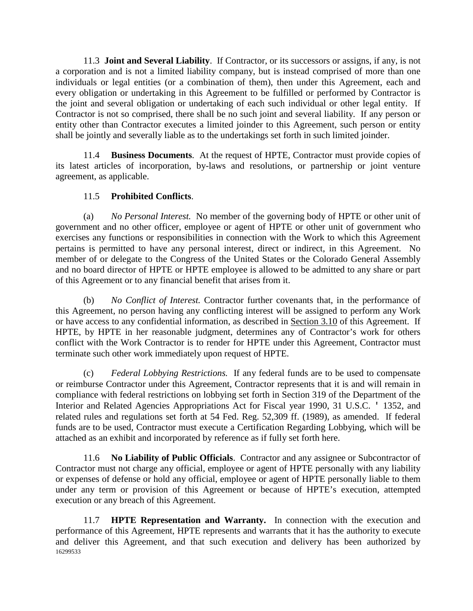11.3 **Joint and Several Liability**. If Contractor, or its successors or assigns, if any, is not a corporation and is not a limited liability company, but is instead comprised of more than one individuals or legal entities (or a combination of them), then under this Agreement, each and every obligation or undertaking in this Agreement to be fulfilled or performed by Contractor is the joint and several obligation or undertaking of each such individual or other legal entity. If Contractor is not so comprised, there shall be no such joint and several liability. If any person or entity other than Contractor executes a limited joinder to this Agreement, such person or entity shall be jointly and severally liable as to the undertakings set forth in such limited joinder.

11.4 **Business Documents**. At the request of HPTE, Contractor must provide copies of its latest articles of incorporation, by-laws and resolutions, or partnership or joint venture agreement, as applicable.

### 11.5 **Prohibited Conflicts**.

(a) *No Personal Interest.* No member of the governing body of HPTE or other unit of government and no other officer, employee or agent of HPTE or other unit of government who exercises any functions or responsibilities in connection with the Work to which this Agreement pertains is permitted to have any personal interest, direct or indirect, in this Agreement. No member of or delegate to the Congress of the United States or the Colorado General Assembly and no board director of HPTE or HPTE employee is allowed to be admitted to any share or part of this Agreement or to any financial benefit that arises from it.

(b) *No Conflict of Interest.* Contractor further covenants that, in the performance of this Agreement, no person having any conflicting interest will be assigned to perform any Work or have access to any confidential information, as described in Section 3.10 of this Agreement. If HPTE, by HPTE in her reasonable judgment, determines any of Contractor's work for others conflict with the Work Contractor is to render for HPTE under this Agreement, Contractor must terminate such other work immediately upon request of HPTE.

(c) *Federal Lobbying Restrictions.* If any federal funds are to be used to compensate or reimburse Contractor under this Agreement, Contractor represents that it is and will remain in compliance with federal restrictions on lobbying set forth in Section 319 of the Department of the Interior and Related Agencies Appropriations Act for Fiscal year 1990, 31 U.S.C. ' 1352, and related rules and regulations set forth at 54 Fed. Reg. 52,309 ff. (1989), as amended. If federal funds are to be used, Contractor must execute a Certification Regarding Lobbying, which will be attached as an exhibit and incorporated by reference as if fully set forth here.

11.6 **No Liability of Public Officials**. Contractor and any assignee or Subcontractor of Contractor must not charge any official, employee or agent of HPTE personally with any liability or expenses of defense or hold any official, employee or agent of HPTE personally liable to them under any term or provision of this Agreement or because of HPTE's execution, attempted execution or any breach of this Agreement.

16299533 11.7 **HPTE Representation and Warranty.** In connection with the execution and performance of this Agreement, HPTE represents and warrants that it has the authority to execute and deliver this Agreement, and that such execution and delivery has been authorized by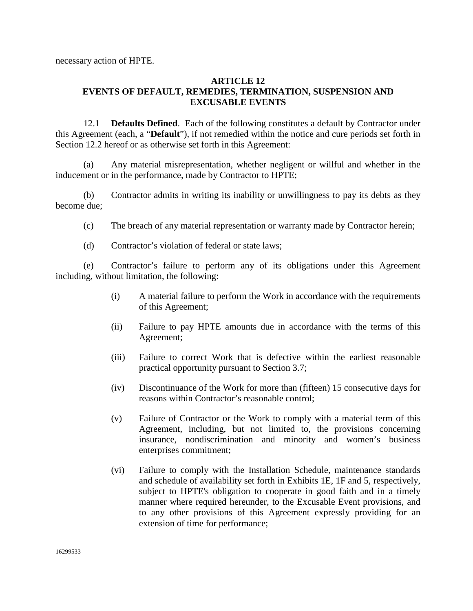necessary action of HPTE.

### **ARTICLE 12 EVENTS OF DEFAULT, REMEDIES, TERMINATION, SUSPENSION AND EXCUSABLE EVENTS**

12.1 **Defaults Defined**. Each of the following constitutes a default by Contractor under this Agreement (each, a "**Default**"), if not remedied within the notice and cure periods set forth in Section 12.2 hereof or as otherwise set forth in this Agreement:

(a) Any material misrepresentation, whether negligent or willful and whether in the inducement or in the performance, made by Contractor to HPTE;

(b) Contractor admits in writing its inability or unwillingness to pay its debts as they become due;

- (c) The breach of any material representation or warranty made by Contractor herein;
- (d) Contractor's violation of federal or state laws;

(e) Contractor's failure to perform any of its obligations under this Agreement including, without limitation, the following:

- (i) A material failure to perform the Work in accordance with the requirements of this Agreement;
- (ii) Failure to pay HPTE amounts due in accordance with the terms of this Agreement;
- (iii) Failure to correct Work that is defective within the earliest reasonable practical opportunity pursuant to Section 3.7;
- (iv) Discontinuance of the Work for more than (fifteen) 15 consecutive days for reasons within Contractor's reasonable control;
- (v) Failure of Contractor or the Work to comply with a material term of this Agreement, including, but not limited to, the provisions concerning insurance, nondiscrimination and minority and women's business enterprises commitment;
- (vi) Failure to comply with the Installation Schedule, maintenance standards and schedule of availability set forth in Exhibits 1E, 1F and 5, respectively, subject to HPTE's obligation to cooperate in good faith and in a timely manner where required hereunder, to the Excusable Event provisions, and to any other provisions of this Agreement expressly providing for an extension of time for performance;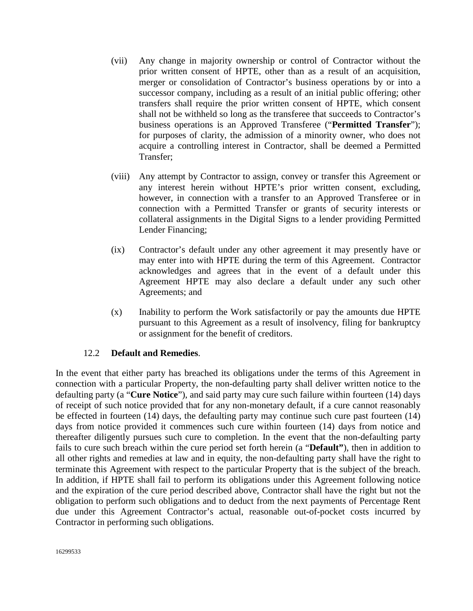- (vii) Any change in majority ownership or control of Contractor without the prior written consent of HPTE, other than as a result of an acquisition, merger or consolidation of Contractor's business operations by or into a successor company, including as a result of an initial public offering; other transfers shall require the prior written consent of HPTE, which consent shall not be withheld so long as the transferee that succeeds to Contractor's business operations is an Approved Transferee ("**Permitted Transfer**"); for purposes of clarity, the admission of a minority owner, who does not acquire a controlling interest in Contractor, shall be deemed a Permitted Transfer;
- (viii) Any attempt by Contractor to assign, convey or transfer this Agreement or any interest herein without HPTE's prior written consent, excluding, however, in connection with a transfer to an Approved Transferee or in connection with a Permitted Transfer or grants of security interests or collateral assignments in the Digital Signs to a lender providing Permitted Lender Financing;
- (ix) Contractor's default under any other agreement it may presently have or may enter into with HPTE during the term of this Agreement. Contractor acknowledges and agrees that in the event of a default under this Agreement HPTE may also declare a default under any such other Agreements; and
- (x) Inability to perform the Work satisfactorily or pay the amounts due HPTE pursuant to this Agreement as a result of insolvency, filing for bankruptcy or assignment for the benefit of creditors.

#### 12.2 **Default and Remedies**.

In the event that either party has breached its obligations under the terms of this Agreement in connection with a particular Property, the non-defaulting party shall deliver written notice to the defaulting party (a "**Cure Notice**"), and said party may cure such failure within fourteen (14) days of receipt of such notice provided that for any non-monetary default, if a cure cannot reasonably be effected in fourteen (14) days, the defaulting party may continue such cure past fourteen (14) days from notice provided it commences such cure within fourteen (14) days from notice and thereafter diligently pursues such cure to completion. In the event that the non-defaulting party fails to cure such breach within the cure period set forth herein (a "**Default"**), then in addition to all other rights and remedies at law and in equity, the non-defaulting party shall have the right to terminate this Agreement with respect to the particular Property that is the subject of the breach. In addition, if HPTE shall fail to perform its obligations under this Agreement following notice and the expiration of the cure period described above, Contractor shall have the right but not the obligation to perform such obligations and to deduct from the next payments of Percentage Rent due under this Agreement Contractor's actual, reasonable out-of-pocket costs incurred by Contractor in performing such obligations.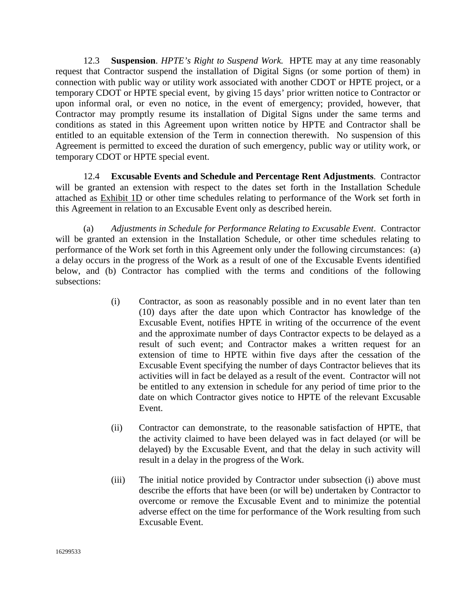12.3 **Suspension**. *HPTE's Right to Suspend Work.* HPTE may at any time reasonably request that Contractor suspend the installation of Digital Signs (or some portion of them) in connection with public way or utility work associated with another CDOT or HPTE project, or a temporary CDOT or HPTE special event, by giving 15 days' prior written notice to Contractor or upon informal oral, or even no notice, in the event of emergency; provided, however, that Contractor may promptly resume its installation of Digital Signs under the same terms and conditions as stated in this Agreement upon written notice by HPTE and Contractor shall be entitled to an equitable extension of the Term in connection therewith. No suspension of this Agreement is permitted to exceed the duration of such emergency, public way or utility work, or temporary CDOT or HPTE special event.

12.4 **Excusable Events and Schedule and Percentage Rent Adjustments**. Contractor will be granted an extension with respect to the dates set forth in the Installation Schedule attached as Exhibit 1D or other time schedules relating to performance of the Work set forth in this Agreement in relation to an Excusable Event only as described herein.

(a) *Adjustments in Schedule for Performance Relating to Excusable Event*. Contractor will be granted an extension in the Installation Schedule, or other time schedules relating to performance of the Work set forth in this Agreement only under the following circumstances: (a) a delay occurs in the progress of the Work as a result of one of the Excusable Events identified below, and (b) Contractor has complied with the terms and conditions of the following subsections:

- (i) Contractor, as soon as reasonably possible and in no event later than ten (10) days after the date upon which Contractor has knowledge of the Excusable Event, notifies HPTE in writing of the occurrence of the event and the approximate number of days Contractor expects to be delayed as a result of such event; and Contractor makes a written request for an extension of time to HPTE within five days after the cessation of the Excusable Event specifying the number of days Contractor believes that its activities will in fact be delayed as a result of the event. Contractor will not be entitled to any extension in schedule for any period of time prior to the date on which Contractor gives notice to HPTE of the relevant Excusable Event.
- (ii) Contractor can demonstrate, to the reasonable satisfaction of HPTE, that the activity claimed to have been delayed was in fact delayed (or will be delayed) by the Excusable Event, and that the delay in such activity will result in a delay in the progress of the Work.
- (iii) The initial notice provided by Contractor under subsection (i) above must describe the efforts that have been (or will be) undertaken by Contractor to overcome or remove the Excusable Event and to minimize the potential adverse effect on the time for performance of the Work resulting from such Excusable Event.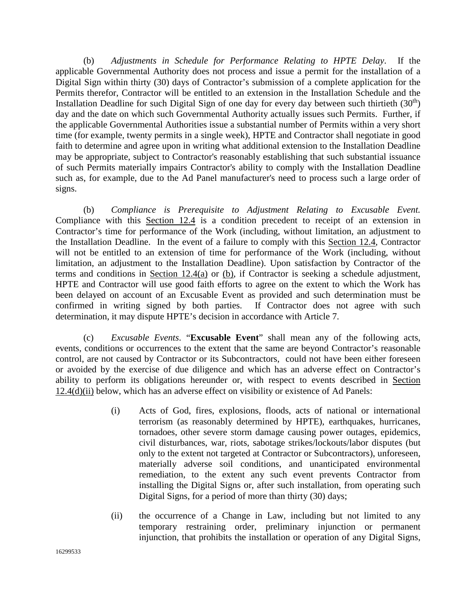(b) *Adjustments in Schedule for Performance Relating to HPTE Delay*. If the applicable Governmental Authority does not process and issue a permit for the installation of a Digital Sign within thirty (30) days of Contractor's submission of a complete application for the Permits therefor, Contractor will be entitled to an extension in the Installation Schedule and the Installation Deadline for such Digital Sign of one day for every day between such thirtieth  $(30<sup>th</sup>)$ day and the date on which such Governmental Authority actually issues such Permits. Further, if the applicable Governmental Authorities issue a substantial number of Permits within a very short time (for example, twenty permits in a single week), HPTE and Contractor shall negotiate in good faith to determine and agree upon in writing what additional extension to the Installation Deadline may be appropriate, subject to Contractor's reasonably establishing that such substantial issuance of such Permits materially impairs Contractor's ability to comply with the Installation Deadline such as, for example, due to the Ad Panel manufacturer's need to process such a large order of signs.

 (b) *Compliance is Prerequisite to Adjustment Relating to Excusable Event.*  Compliance with this Section 12.4 is a condition precedent to receipt of an extension in Contractor's time for performance of the Work (including, without limitation, an adjustment to the Installation Deadline. In the event of a failure to comply with this Section 12.4, Contractor will not be entitled to an extension of time for performance of the Work (including, without limitation, an adjustment to the Installation Deadline). Upon satisfaction by Contractor of the terms and conditions in Section 12.4(a) or (b), if Contractor is seeking a schedule adjustment, HPTE and Contractor will use good faith efforts to agree on the extent to which the Work has been delayed on account of an Excusable Event as provided and such determination must be confirmed in writing signed by both parties. If Contractor does not agree with such determination, it may dispute HPTE's decision in accordance with Article 7.

(c) *Excusable Events*. "**Excusable Event**" shall mean any of the following acts, events, conditions or occurrences to the extent that the same are beyond Contractor's reasonable control, are not caused by Contractor or its Subcontractors, could not have been either foreseen or avoided by the exercise of due diligence and which has an adverse effect on Contractor's ability to perform its obligations hereunder or, with respect to events described in Section 12.4(d)(ii) below, which has an adverse effect on visibility or existence of Ad Panels:

- (i) Acts of God, fires, explosions, floods, acts of national or international terrorism (as reasonably determined by HPTE), earthquakes, hurricanes, tornadoes, other severe storm damage causing power outages, epidemics, civil disturbances, war, riots, sabotage strikes/lockouts/labor disputes (but only to the extent not targeted at Contractor or Subcontractors), unforeseen, materially adverse soil conditions, and unanticipated environmental remediation, to the extent any such event prevents Contractor from installing the Digital Signs or, after such installation, from operating such Digital Signs, for a period of more than thirty (30) days;
- (ii) the occurrence of a Change in Law, including but not limited to any temporary restraining order, preliminary injunction or permanent injunction, that prohibits the installation or operation of any Digital Signs,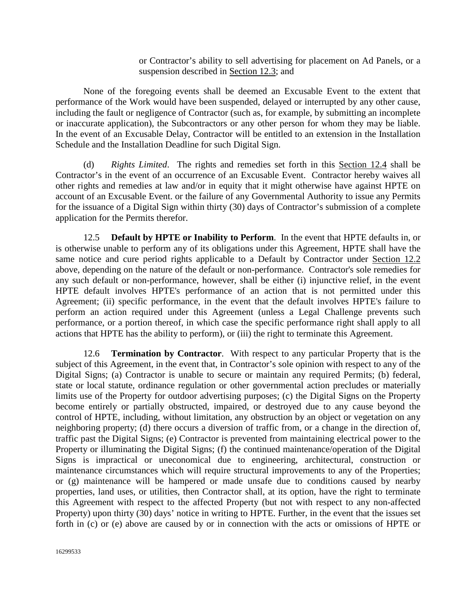or Contractor's ability to sell advertising for placement on Ad Panels, or a suspension described in Section 12.3; and

None of the foregoing events shall be deemed an Excusable Event to the extent that performance of the Work would have been suspended, delayed or interrupted by any other cause, including the fault or negligence of Contractor (such as, for example, by submitting an incomplete or inaccurate application), the Subcontractors or any other person for whom they may be liable. In the event of an Excusable Delay, Contractor will be entitled to an extension in the Installation Schedule and the Installation Deadline for such Digital Sign.

(d) *Rights Limited*. The rights and remedies set forth in this Section 12.4 shall be Contractor's in the event of an occurrence of an Excusable Event. Contractor hereby waives all other rights and remedies at law and/or in equity that it might otherwise have against HPTE on account of an Excusable Event. or the failure of any Governmental Authority to issue any Permits for the issuance of a Digital Sign within thirty (30) days of Contractor's submission of a complete application for the Permits therefor.

12.5 **Default by HPTE or Inability to Perform**. In the event that HPTE defaults in, or is otherwise unable to perform any of its obligations under this Agreement, HPTE shall have the same notice and cure period rights applicable to a Default by Contractor under Section 12.2 above, depending on the nature of the default or non-performance. Contractor's sole remedies for any such default or non-performance, however, shall be either (i) injunctive relief, in the event HPTE default involves HPTE's performance of an action that is not permitted under this Agreement; (ii) specific performance, in the event that the default involves HPTE's failure to perform an action required under this Agreement (unless a Legal Challenge prevents such performance, or a portion thereof, in which case the specific performance right shall apply to all actions that HPTE has the ability to perform), or (iii) the right to terminate this Agreement.

12.6 **Termination by Contractor**. With respect to any particular Property that is the subject of this Agreement, in the event that, in Contractor's sole opinion with respect to any of the Digital Signs; (a) Contractor is unable to secure or maintain any required Permits; (b) federal, state or local statute, ordinance regulation or other governmental action precludes or materially limits use of the Property for outdoor advertising purposes; (c) the Digital Signs on the Property become entirely or partially obstructed, impaired, or destroyed due to any cause beyond the control of HPTE, including, without limitation, any obstruction by an object or vegetation on any neighboring property; (d) there occurs a diversion of traffic from, or a change in the direction of, traffic past the Digital Signs; (e) Contractor is prevented from maintaining electrical power to the Property or illuminating the Digital Signs; (f) the continued maintenance/operation of the Digital Signs is impractical or uneconomical due to engineering, architectural, construction or maintenance circumstances which will require structural improvements to any of the Properties; or (g) maintenance will be hampered or made unsafe due to conditions caused by nearby properties, land uses, or utilities, then Contractor shall, at its option, have the right to terminate this Agreement with respect to the affected Property (but not with respect to any non-affected Property) upon thirty (30) days' notice in writing to HPTE. Further, in the event that the issues set forth in (c) or (e) above are caused by or in connection with the acts or omissions of HPTE or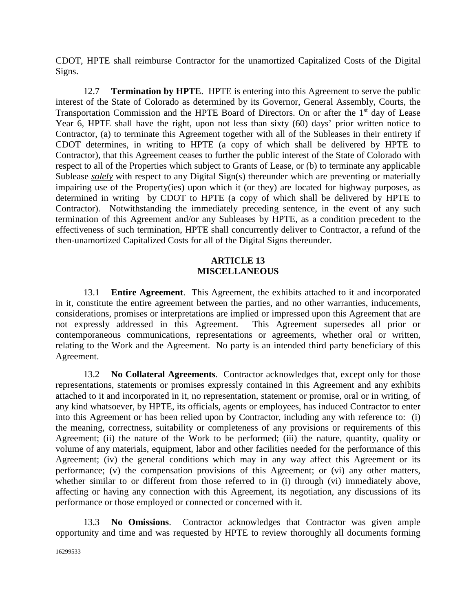CDOT, HPTE shall reimburse Contractor for the unamortized Capitalized Costs of the Digital Signs.

12.7 **Termination by HPTE**. HPTE is entering into this Agreement to serve the public interest of the State of Colorado as determined by its Governor, General Assembly, Courts, the Transportation Commission and the HPTE Board of Directors. On or after the 1<sup>st</sup> day of Lease Year 6, HPTE shall have the right, upon not less than sixty (60) days' prior written notice to Contractor, (a) to terminate this Agreement together with all of the Subleases in their entirety if CDOT determines, in writing to HPTE (a copy of which shall be delivered by HPTE to Contractor), that this Agreement ceases to further the public interest of the State of Colorado with respect to all of the Properties which subject to Grants of Lease, or (b) to terminate any applicable Sublease *solely* with respect to any Digital Sign(s) thereunder which are preventing or materially impairing use of the Property(ies) upon which it (or they) are located for highway purposes, as determined in writing by CDOT to HPTE (a copy of which shall be delivered by HPTE to Contractor). Notwithstanding the immediately preceding sentence, in the event of any such termination of this Agreement and/or any Subleases by HPTE, as a condition precedent to the effectiveness of such termination, HPTE shall concurrently deliver to Contractor, a refund of the then-unamortized Capitalized Costs for all of the Digital Signs thereunder.

### **ARTICLE 13 MISCELLANEOUS**

13.1 **Entire Agreement**. This Agreement, the exhibits attached to it and incorporated in it, constitute the entire agreement between the parties, and no other warranties, inducements, considerations, promises or interpretations are implied or impressed upon this Agreement that are not expressly addressed in this Agreement. This Agreement supersedes all prior or contemporaneous communications, representations or agreements, whether oral or written, relating to the Work and the Agreement. No party is an intended third party beneficiary of this Agreement.

13.2 **No Collateral Agreements**. Contractor acknowledges that, except only for those representations, statements or promises expressly contained in this Agreement and any exhibits attached to it and incorporated in it, no representation, statement or promise, oral or in writing, of any kind whatsoever, by HPTE, its officials, agents or employees, has induced Contractor to enter into this Agreement or has been relied upon by Contractor, including any with reference to: (i) the meaning, correctness, suitability or completeness of any provisions or requirements of this Agreement; (ii) the nature of the Work to be performed; (iii) the nature, quantity, quality or volume of any materials, equipment, labor and other facilities needed for the performance of this Agreement; (iv) the general conditions which may in any way affect this Agreement or its performance; (v) the compensation provisions of this Agreement; or (vi) any other matters, whether similar to or different from those referred to in (i) through (vi) immediately above, affecting or having any connection with this Agreement, its negotiation, any discussions of its performance or those employed or connected or concerned with it.

13.3 **No Omissions**. Contractor acknowledges that Contractor was given ample opportunity and time and was requested by HPTE to review thoroughly all documents forming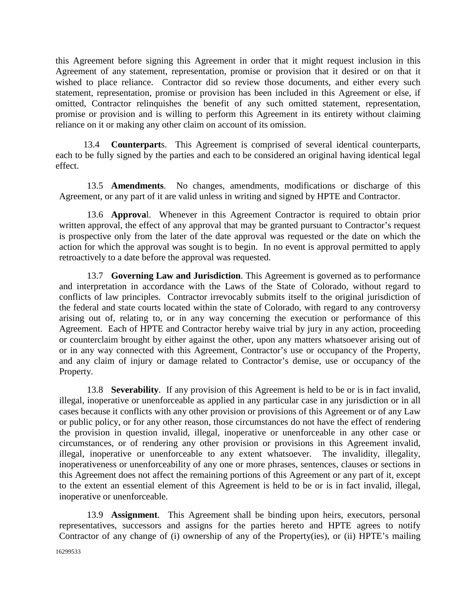this Agreement before signing this Agreement in order that it might request inclusion in this Agreement of any statement, representation, promise or provision that it desired or on that it wished to place reliance. Contractor did so review those documents, and either every such statement, representation, promise or provision has been included in this Agreement or else, if omitted, Contractor relinquishes the benefit of any such omitted statement, representation, promise or provision and is willing to perform this Agreement in its entirety without claiming reliance on it or making any other claim on account of its omission.

13.4 **Counterpart**s. This Agreement is comprised of several identical counterparts, each to be fully signed by the parties and each to be considered an original having identical legal effect.

13.5 **Amendments**. No changes, amendments, modifications or discharge of this Agreement, or any part of it are valid unless in writing and signed by HPTE and Contractor.

13.6 **Approva**l. Whenever in this Agreement Contractor is required to obtain prior written approval, the effect of any approval that may be granted pursuant to Contractor's request is prospective only from the later of the date approval was requested or the date on which the action for which the approval was sought is to begin. In no event is approval permitted to apply retroactively to a date before the approval was requested.

13.7 **Governing Law and Jurisdiction**. This Agreement is governed as to performance and interpretation in accordance with the Laws of the State of Colorado, without regard to conflicts of law principles. Contractor irrevocably submits itself to the original jurisdiction of the federal and state courts located within the state of Colorado, with regard to any controversy arising out of, relating to, or in any way concerning the execution or performance of this Agreement. Each of HPTE and Contractor hereby waive trial by jury in any action, proceeding or counterclaim brought by either against the other, upon any matters whatsoever arising out of or in any way connected with this Agreement, Contractor's use or occupancy of the Property, and any claim of injury or damage related to Contractor's demise, use or occupancy of the Property.

13.8 **Severability**. If any provision of this Agreement is held to be or is in fact invalid, illegal, inoperative or unenforceable as applied in any particular case in any jurisdiction or in all cases because it conflicts with any other provision or provisions of this Agreement or of any Law or public policy, or for any other reason, those circumstances do not have the effect of rendering the provision in question invalid, illegal, inoperative or unenforceable in any other case or circumstances, or of rendering any other provision or provisions in this Agreement invalid, illegal, inoperative or unenforceable to any extent whatsoever. The invalidity, illegality, inoperativeness or unenforceability of any one or more phrases, sentences, clauses or sections in this Agreement does not affect the remaining portions of this Agreement or any part of it, except to the extent an essential element of this Agreement is held to be or is in fact invalid, illegal, inoperative or unenforceable.

13.9 **Assignment**. This Agreement shall be binding upon heirs, executors, personal representatives, successors and assigns for the parties hereto and HPTE agrees to notify Contractor of any change of (i) ownership of any of the Property(ies), or (ii) HPTE's mailing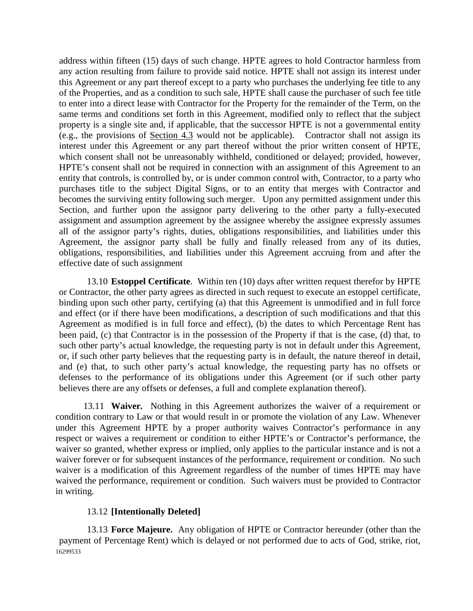address within fifteen (15) days of such change. HPTE agrees to hold Contractor harmless from any action resulting from failure to provide said notice. HPTE shall not assign its interest under this Agreement or any part thereof except to a party who purchases the underlying fee title to any of the Properties, and as a condition to such sale, HPTE shall cause the purchaser of such fee title to enter into a direct lease with Contractor for the Property for the remainder of the Term, on the same terms and conditions set forth in this Agreement, modified only to reflect that the subject property is a single site and, if applicable, that the successor HPTE is not a governmental entity (e.g., the provisions of Section 4.3 would not be applicable). Contractor shall not assign its interest under this Agreement or any part thereof without the prior written consent of HPTE, which consent shall not be unreasonably withheld, conditioned or delayed; provided, however, HPTE's consent shall not be required in connection with an assignment of this Agreement to an entity that controls, is controlled by, or is under common control with, Contractor, to a party who purchases title to the subject Digital Signs, or to an entity that merges with Contractor and becomes the surviving entity following such merger. Upon any permitted assignment under this Section, and further upon the assignor party delivering to the other party a fully-executed assignment and assumption agreement by the assignee whereby the assignee expressly assumes all of the assignor party's rights, duties, obligations responsibilities, and liabilities under this Agreement, the assignor party shall be fully and finally released from any of its duties, obligations, responsibilities, and liabilities under this Agreement accruing from and after the effective date of such assignment

13.10 **Estoppel Certificate**. Within ten (10) days after written request therefor by HPTE or Contractor, the other party agrees as directed in such request to execute an estoppel certificate, binding upon such other party, certifying (a) that this Agreement is unmodified and in full force and effect (or if there have been modifications, a description of such modifications and that this Agreement as modified is in full force and effect), (b) the dates to which Percentage Rent has been paid, (c) that Contractor is in the possession of the Property if that is the case, (d) that, to such other party's actual knowledge, the requesting party is not in default under this Agreement, or, if such other party believes that the requesting party is in default, the nature thereof in detail, and (e) that, to such other party's actual knowledge, the requesting party has no offsets or defenses to the performance of its obligations under this Agreement (or if such other party believes there are any offsets or defenses, a full and complete explanation thereof).

13.11 **Waiver***.* Nothing in this Agreement authorizes the waiver of a requirement or condition contrary to Law or that would result in or promote the violation of any Law. Whenever under this Agreement HPTE by a proper authority waives Contractor's performance in any respect or waives a requirement or condition to either HPTE's or Contractor's performance, the waiver so granted, whether express or implied, only applies to the particular instance and is not a waiver forever or for subsequent instances of the performance, requirement or condition. No such waiver is a modification of this Agreement regardless of the number of times HPTE may have waived the performance, requirement or condition. Such waivers must be provided to Contractor in writing.

#### 13.12 **[Intentionally Deleted]**

16299533 13.13 **Force Majeure.** Any obligation of HPTE or Contractor hereunder (other than the payment of Percentage Rent) which is delayed or not performed due to acts of God, strike, riot,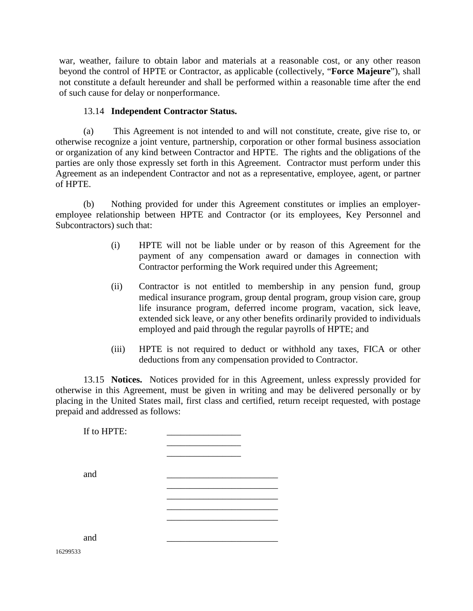war, weather, failure to obtain labor and materials at a reasonable cost, or any other reason beyond the control of HPTE or Contractor, as applicable (collectively, "**Force Majeure**"), shall not constitute a default hereunder and shall be performed within a reasonable time after the end of such cause for delay or nonperformance.

#### 13.14 **Independent Contractor Status.**

(a) This Agreement is not intended to and will not constitute, create, give rise to, or otherwise recognize a joint venture, partnership, corporation or other formal business association or organization of any kind between Contractor and HPTE. The rights and the obligations of the parties are only those expressly set forth in this Agreement. Contractor must perform under this Agreement as an independent Contractor and not as a representative, employee, agent, or partner of HPTE.

(b) Nothing provided for under this Agreement constitutes or implies an employeremployee relationship between HPTE and Contractor (or its employees, Key Personnel and Subcontractors) such that:

- (i) HPTE will not be liable under or by reason of this Agreement for the payment of any compensation award or damages in connection with Contractor performing the Work required under this Agreement;
- (ii) Contractor is not entitled to membership in any pension fund, group medical insurance program, group dental program, group vision care, group life insurance program, deferred income program, vacation, sick leave, extended sick leave, or any other benefits ordinarily provided to individuals employed and paid through the regular payrolls of HPTE; and
- (iii) HPTE is not required to deduct or withhold any taxes, FICA or other deductions from any compensation provided to Contractor.

13.15 **Notices.** Notices provided for in this Agreement, unless expressly provided for otherwise in this Agreement, must be given in writing and may be delivered personally or by placing in the United States mail, first class and certified, return receipt requested, with postage prepaid and addressed as follows:

If to  $HPTE:$ \_\_\_\_\_\_\_\_\_\_\_\_\_\_\_\_ \_\_\_\_\_\_\_\_\_\_\_\_\_\_\_\_ and \_\_\_\_\_\_\_\_\_\_\_\_\_\_\_\_\_\_\_\_\_\_\_\_ \_\_\_\_\_\_\_\_\_\_\_\_\_\_\_\_\_\_\_\_\_\_\_\_ \_\_\_\_\_\_\_\_\_\_\_\_\_\_\_\_\_\_\_\_\_\_\_\_ and \_\_\_\_\_\_\_\_\_\_\_\_\_\_\_\_\_\_\_\_\_\_\_\_

16299533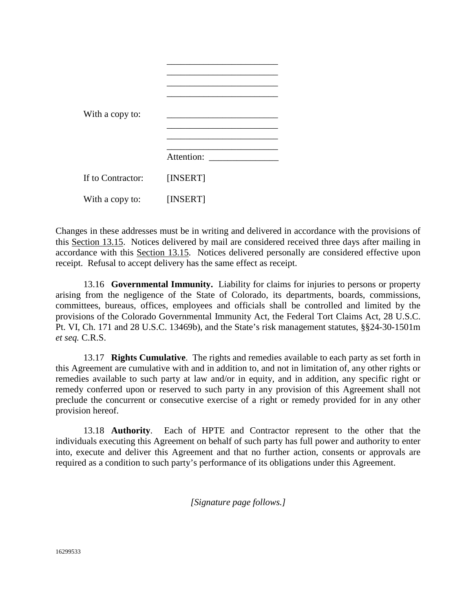| With a copy to:   |            |
|-------------------|------------|
|                   | Attention: |
| If to Contractor: | [INSERT]   |
| With a copy to:   | [INSERT]   |

Changes in these addresses must be in writing and delivered in accordance with the provisions of this Section 13.15. Notices delivered by mail are considered received three days after mailing in accordance with this Section 13.15. Notices delivered personally are considered effective upon receipt. Refusal to accept delivery has the same effect as receipt.

13.16 **Governmental Immunity.** Liability for claims for injuries to persons or property arising from the negligence of the State of Colorado, its departments, boards, commissions, committees, bureaus, offices, employees and officials shall be controlled and limited by the provisions of the Colorado Governmental Immunity Act, the Federal Tort Claims Act, 28 U.S.C. Pt. VI, Ch. 171 and 28 U.S.C. 13469b), and the State's risk management statutes, §§24-30-1501m *et seq.* C.R.S.

13.17 **Rights Cumulative**. The rights and remedies available to each party as set forth in this Agreement are cumulative with and in addition to, and not in limitation of, any other rights or remedies available to such party at law and/or in equity, and in addition, any specific right or remedy conferred upon or reserved to such party in any provision of this Agreement shall not preclude the concurrent or consecutive exercise of a right or remedy provided for in any other provision hereof.

13.18 **Authority**. Each of HPTE and Contractor represent to the other that the individuals executing this Agreement on behalf of such party has full power and authority to enter into, execute and deliver this Agreement and that no further action, consents or approvals are required as a condition to such party's performance of its obligations under this Agreement.

*[Signature page follows.]*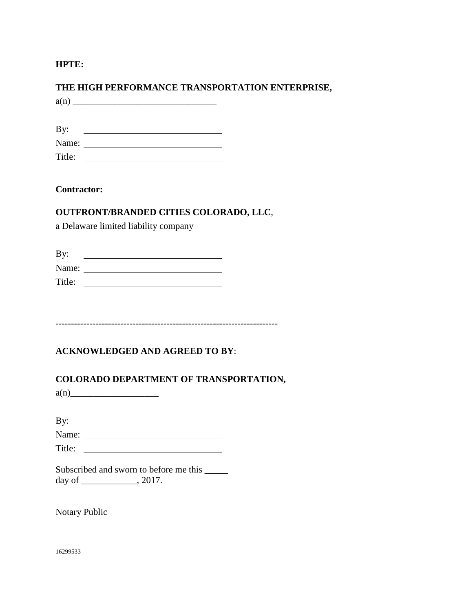**HPTE:**

# **THE HIGH PERFORMANCE TRANSPORTATION ENTERPRISE,**

 $a(n)$ 

| By:    |  |
|--------|--|
| Name:  |  |
| Title: |  |

**Contractor:**

## **OUTFRONT/BRANDED CITIES COLORADO, LLC**,

a Delaware limited liability company

| By:    |  |
|--------|--|
| Name:  |  |
| Title: |  |

------------------------------------------------------------------------

# **ACKNOWLEDGED AND AGREED TO BY**:

## **COLORADO DEPARTMENT OF TRANSPORTATION,**

 $a(n)$ 

| By:    |  |
|--------|--|
| Name:  |  |
| Title: |  |

|        | Subscribed and sworn to before me this |
|--------|----------------------------------------|
| day of | .2017.                                 |

Notary Public

16299533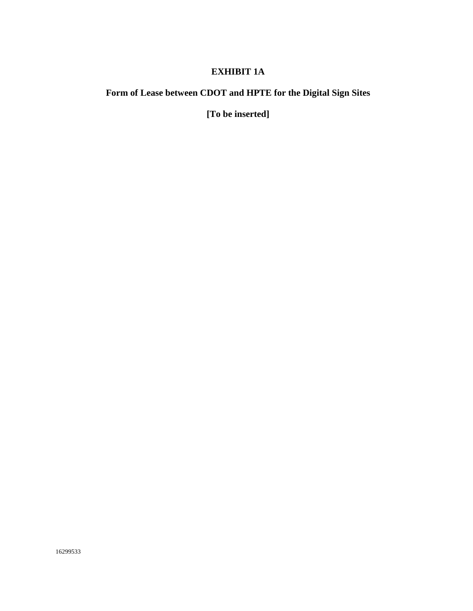# **EXHIBIT 1A**

# **Form of Lease between CDOT and HPTE for the Digital Sign Sites**

**[To be inserted]**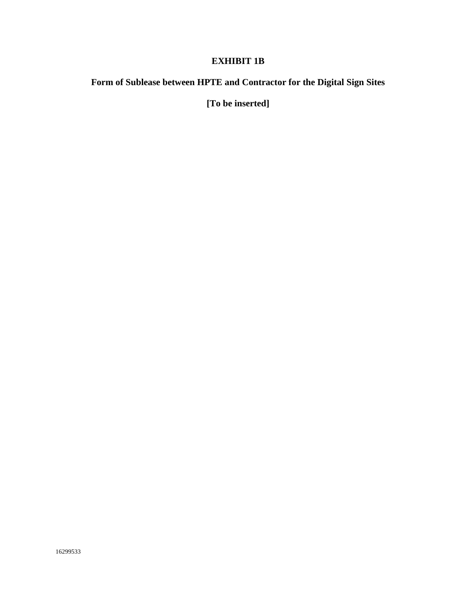# **EXHIBIT 1B**

# **Form of Sublease between HPTE and Contractor for the Digital Sign Sites**

**[To be inserted]**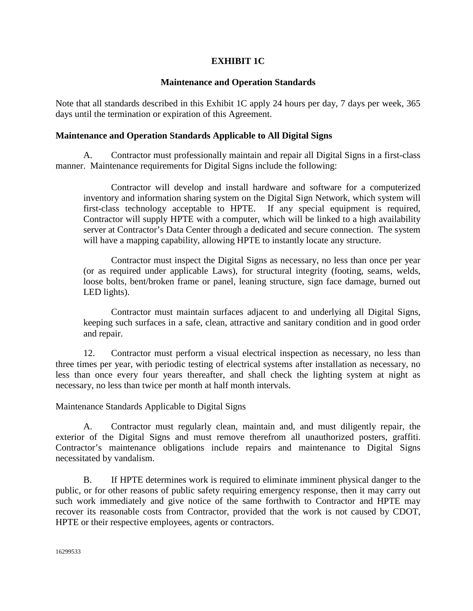### **EXHIBIT 1C**

### **Maintenance and Operation Standards**

Note that all standards described in this Exhibit 1C apply 24 hours per day, 7 days per week, 365 days until the termination or expiration of this Agreement.

### **Maintenance and Operation Standards Applicable to All Digital Signs**

A. Contractor must professionally maintain and repair all Digital Signs in a first-class manner. Maintenance requirements for Digital Signs include the following:

Contractor will develop and install hardware and software for a computerized inventory and information sharing system on the Digital Sign Network, which system will first-class technology acceptable to HPTE. If any special equipment is required, Contractor will supply HPTE with a computer, which will be linked to a high availability server at Contractor's Data Center through a dedicated and secure connection. The system will have a mapping capability, allowing HPTE to instantly locate any structure.

Contractor must inspect the Digital Signs as necessary, no less than once per year (or as required under applicable Laws), for structural integrity (footing, seams, welds, loose bolts, bent/broken frame or panel, leaning structure, sign face damage, burned out LED lights).

Contractor must maintain surfaces adjacent to and underlying all Digital Signs, keeping such surfaces in a safe, clean, attractive and sanitary condition and in good order and repair.

12. Contractor must perform a visual electrical inspection as necessary, no less than three times per year, with periodic testing of electrical systems after installation as necessary, no less than once every four years thereafter, and shall check the lighting system at night as necessary, no less than twice per month at half month intervals.

Maintenance Standards Applicable to Digital Signs

A. Contractor must regularly clean, maintain and, and must diligently repair, the exterior of the Digital Signs and must remove therefrom all unauthorized posters, graffiti. Contractor's maintenance obligations include repairs and maintenance to Digital Signs necessitated by vandalism.

B. If HPTE determines work is required to eliminate imminent physical danger to the public, or for other reasons of public safety requiring emergency response, then it may carry out such work immediately and give notice of the same forthwith to Contractor and HPTE may recover its reasonable costs from Contractor, provided that the work is not caused by CDOT, HPTE or their respective employees, agents or contractors.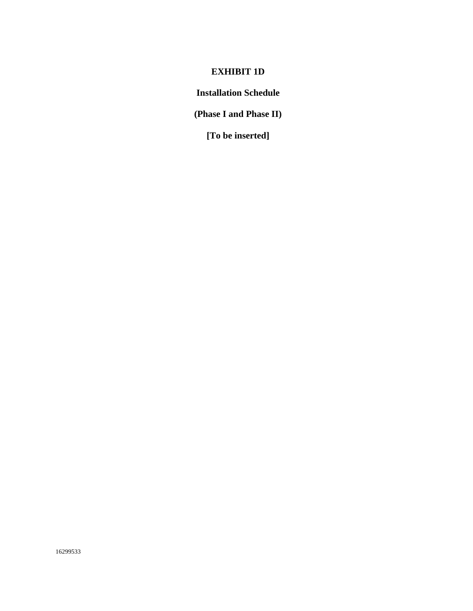# **EXHIBIT 1D**

**Installation Schedule**

**(Phase I and Phase II)**

**[To be inserted]**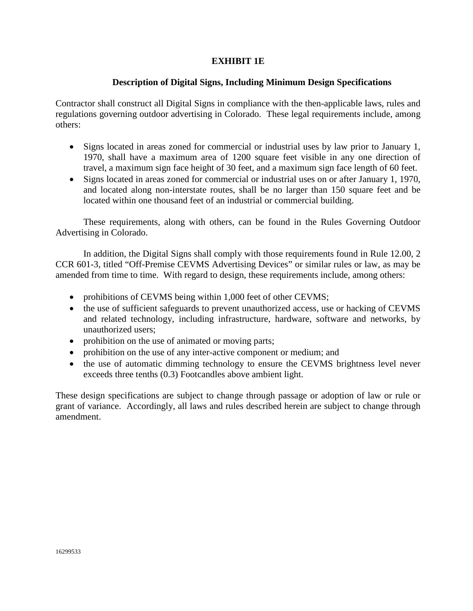### **EXHIBIT 1E**

### **Description of Digital Signs, Including Minimum Design Specifications**

Contractor shall construct all Digital Signs in compliance with the then-applicable laws, rules and regulations governing outdoor advertising in Colorado. These legal requirements include, among others:

- Signs located in areas zoned for commercial or industrial uses by law prior to January 1, 1970, shall have a maximum area of 1200 square feet visible in any one direction of travel, a maximum sign face height of 30 feet, and a maximum sign face length of 60 feet.
- Signs located in areas zoned for commercial or industrial uses on or after January 1, 1970, and located along non-interstate routes, shall be no larger than 150 square feet and be located within one thousand feet of an industrial or commercial building.

These requirements, along with others, can be found in the Rules Governing Outdoor Advertising in Colorado.

In addition, the Digital Signs shall comply with those requirements found in Rule 12.00, 2 CCR 601-3, titled "Off-Premise CEVMS Advertising Devices" or similar rules or law, as may be amended from time to time. With regard to design, these requirements include, among others:

- prohibitions of CEVMS being within 1,000 feet of other CEVMS;
- the use of sufficient safeguards to prevent unauthorized access, use or hacking of CEVMS and related technology, including infrastructure, hardware, software and networks, by unauthorized users;
- prohibition on the use of animated or moving parts;
- prohibition on the use of any inter-active component or medium; and
- the use of automatic dimming technology to ensure the CEVMS brightness level never exceeds three tenths (0.3) Footcandles above ambient light.

These design specifications are subject to change through passage or adoption of law or rule or grant of variance. Accordingly, all laws and rules described herein are subject to change through amendment.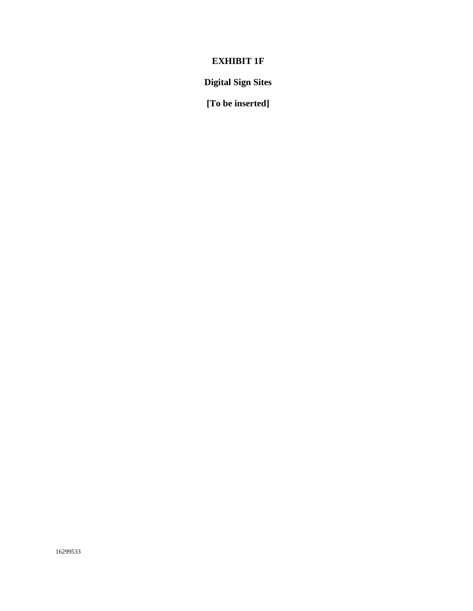# **EXHIBIT 1F**

**Digital Sign Sites**

**[To be inserted]**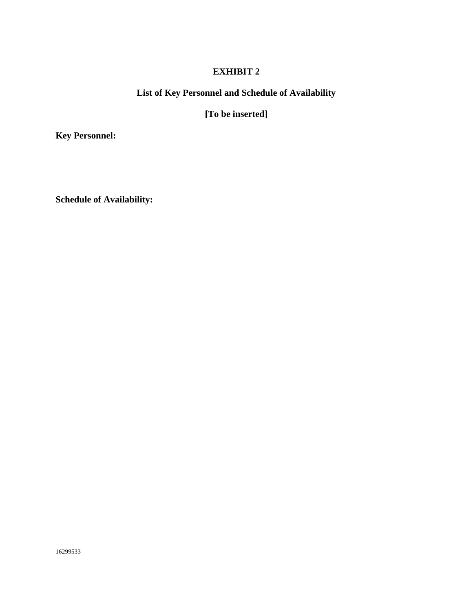# **List of Key Personnel and Schedule of Availability**

**[To be inserted]**

**Key Personnel:**

**Schedule of Availability:**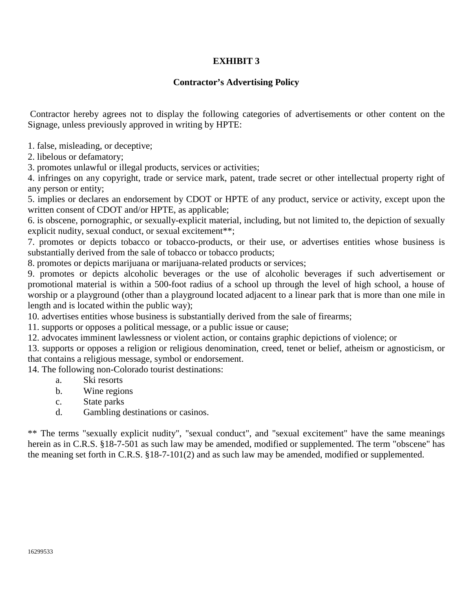# **Contractor's Advertising Policy**

Contractor hereby agrees not to display the following categories of advertisements or other content on the Signage, unless previously approved in writing by HPTE:

1. false, misleading, or deceptive;

2. libelous or defamatory;

3. promotes unlawful or illegal products, services or activities;

4. infringes on any copyright, trade or service mark, patent, trade secret or other intellectual property right of any person or entity;

5. implies or declares an endorsement by CDOT or HPTE of any product, service or activity, except upon the written consent of CDOT and/or HPTE, as applicable;

6. is obscene, pornographic, or sexually-explicit material, including, but not limited to, the depiction of sexually explicit nudity, sexual conduct, or sexual excitement\*\*;

7. promotes or depicts tobacco or tobacco-products, or their use, or advertises entities whose business is substantially derived from the sale of tobacco or tobacco products;

8. promotes or depicts marijuana or marijuana-related products or services;

9. promotes or depicts alcoholic beverages or the use of alcoholic beverages if such advertisement or promotional material is within a 500-foot radius of a school up through the level of high school, a house of worship or a playground (other than a playground located adjacent to a linear park that is more than one mile in length and is located within the public way);

10. advertises entities whose business is substantially derived from the sale of firearms;

11. supports or opposes a political message, or a public issue or cause;

12. advocates imminent lawlessness or violent action, or contains graphic depictions of violence; or

13. supports or opposes a religion or religious denomination, creed, tenet or belief, atheism or agnosticism, or that contains a religious message, symbol or endorsement.

14. The following non-Colorado tourist destinations:

- a. Ski resorts
- b. Wine regions
- c. State parks
- d. Gambling destinations or casinos.

\*\* The terms "sexually explicit nudity", "sexual conduct", and "sexual excitement" have the same meanings herein as in C.R.S. §18-7-501 as such law may be amended, modified or supplemented. The term "obscene" has the meaning set forth in C.R.S. §18-7-101(2) and as such law may be amended, modified or supplemented.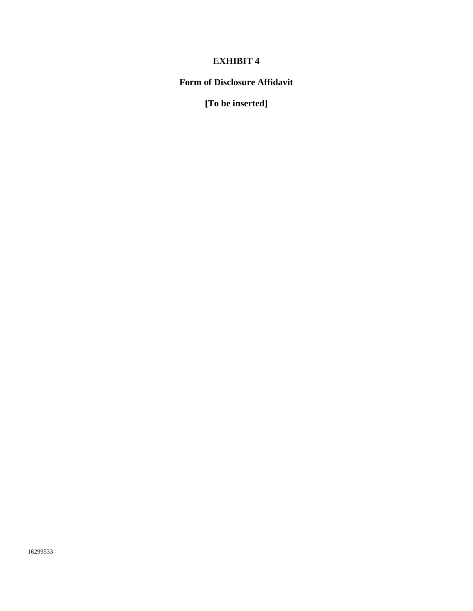# **Form of Disclosure Affidavit**

**[To be inserted]**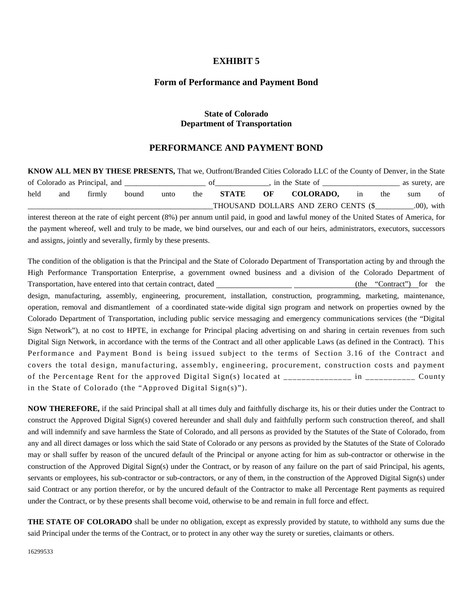#### **Form of Performance and Payment Bond**

#### **State of Colorado Department of Transportation**

#### **PERFORMANCE AND PAYMENT BOND**

**KNOW ALL MEN BY THESE PRESENTS,** That we, Outfront/Branded Cities Colorado LLC of the County of Denver, in the State of Colorado as Principal, and  $\qquad \qquad$  of  $\qquad \qquad$ , in the State of  $\qquad \qquad$  as surety, are held and firmly bound unto the **STATE OF COLORADO,** in the sum of THOUSAND DOLLARS AND ZERO CENTS (\$  $.00$ ), with

interest thereon at the rate of eight percent (8%) per annum until paid, in good and lawful money of the United States of America, for the payment whereof, well and truly to be made, we bind ourselves, our and each of our heirs, administrators, executors, successors and assigns, jointly and severally, firmly by these presents.

The condition of the obligation is that the Principal and the State of Colorado Department of Transportation acting by and through the High Performance Transportation Enterprise, a government owned business and a division of the Colorado Department of Transportation, have entered into that certain contract, dated (the "Contract") for the design, manufacturing, assembly, engineering, procurement, installation, construction, programming, marketing, maintenance, operation, removal and dismantlement of a coordinated state-wide digital sign program and network on properties owned by the Colorado Department of Transportation, including public service messaging and emergency communications services (the "Digital Sign Network"), at no cost to HPTE, in exchange for Principal placing advertising on and sharing in certain revenues from such Digital Sign Network, in accordance with the terms of the Contract and all other applicable Laws (as defined in the Contract). This Performance and Payment Bond is being issued subject to the terms of Section 3.16 of the Contract and covers the total design, manufacturing, assembly, engineering, procurement, construction costs and payment of the Percentage Rent for the approved Digital Sign(s) located at  $\frac{1}{2}$  =  $\frac{1}{2}$  =  $\frac{1}{2}$  =  $\frac{1}{2}$  =  $\frac{1}{2}$  =  $\frac{1}{2}$   $\frac{1}{2}$   $\frac{1}{2}$   $\frac{1}{2}$   $\frac{1}{2}$   $\frac{1}{2}$   $\frac{1}{2}$   $\frac{1}{2}$   $\frac{1}{2}$   $\frac{$ in the State of Colorado (the "Approved Digital Sign(s)").

**NOW THEREFORE,** if the said Principal shall at all times duly and faithfully discharge its, his or their duties under the Contract to construct the Approved Digital Sign(s) covered hereunder and shall duly and faithfully perform such construction thereof, and shall and will indemnify and save harmless the State of Colorado, and all persons as provided by the Statutes of the State of Colorado, from any and all direct damages or loss which the said State of Colorado or any persons as provided by the Statutes of the State of Colorado may or shall suffer by reason of the uncured default of the Principal or anyone acting for him as sub-contractor or otherwise in the construction of the Approved Digital Sign(s) under the Contract, or by reason of any failure on the part of said Principal, his agents, servants or employees, his sub-contractor or sub-contractors, or any of them, in the construction of the Approved Digital Sign(s) under said Contract or any portion therefor, or by the uncured default of the Contractor to make all Percentage Rent payments as required under the Contract, or by these presents shall become void, otherwise to be and remain in full force and effect.

**THE STATE OF COLORADO** shall be under no obligation, except as expressly provided by statute, to withhold any sums due the said Principal under the terms of the Contract, or to protect in any other way the surety or sureties, claimants or others.

16299533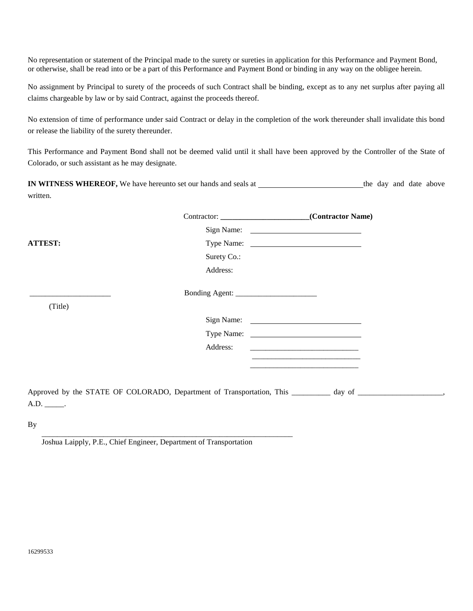No representation or statement of the Principal made to the surety or sureties in application for this Performance and Payment Bond, or otherwise, shall be read into or be a part of this Performance and Payment Bond or binding in any way on the obligee herein.

No assignment by Principal to surety of the proceeds of such Contract shall be binding, except as to any net surplus after paying all claims chargeable by law or by said Contract, against the proceeds thereof.

No extension of time of performance under said Contract or delay in the completion of the work thereunder shall invalidate this bond or release the liability of the surety thereunder.

This Performance and Payment Bond shall not be deemed valid until it shall have been approved by the Controller of the State of Colorado, or such assistant as he may designate.

**IN WITNESS WHEREOF,** We have hereunto set our hands and seals at the day and date above written.

|                 |             | Contractor: _________________________________(Contractor Name)                                                 |
|-----------------|-------------|----------------------------------------------------------------------------------------------------------------|
|                 |             | Sign Name: 2008. Example 2014                                                                                  |
| <b>ATTEST:</b>  |             | Type Name:                                                                                                     |
|                 | Surety Co.: |                                                                                                                |
|                 | Address:    |                                                                                                                |
|                 |             |                                                                                                                |
| (Title)         |             |                                                                                                                |
|                 |             |                                                                                                                |
|                 |             |                                                                                                                |
|                 | Address:    |                                                                                                                |
|                 |             |                                                                                                                |
|                 |             |                                                                                                                |
| $A.D.$ _______. |             | Approved by the STATE OF COLORADO, Department of Transportation, This _________ day of _______________________ |
|                 |             |                                                                                                                |

By

Joshua Laipply, P.E., Chief Engineer, Department of Transportation

\_\_\_\_\_\_\_\_\_\_\_\_\_\_\_\_\_\_\_\_\_\_\_\_\_\_\_\_\_\_\_\_\_\_\_\_\_\_\_\_\_\_\_\_\_\_\_\_\_\_\_\_\_\_\_\_\_\_\_\_\_\_\_\_\_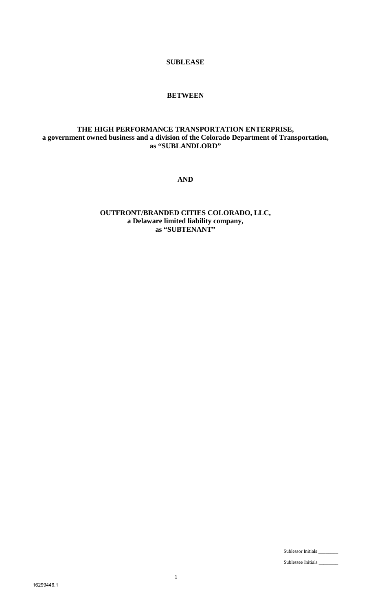**SUBLEASE**

### **BETWEEN**

# **THE HIGH PERFORMANCE TRANSPORTATION ENTERPRISE, a government owned business and a division of the Colorado Department of Transportation, as "SUBLANDLORD"**

**AND**

**OUTFRONT/BRANDED CITIES COLORADO, LLC, a Delaware limited liability company, as "SUBTENANT"**

Sublessor Initials \_\_\_\_\_\_\_\_

Sublessee Initials \_\_\_\_\_\_\_\_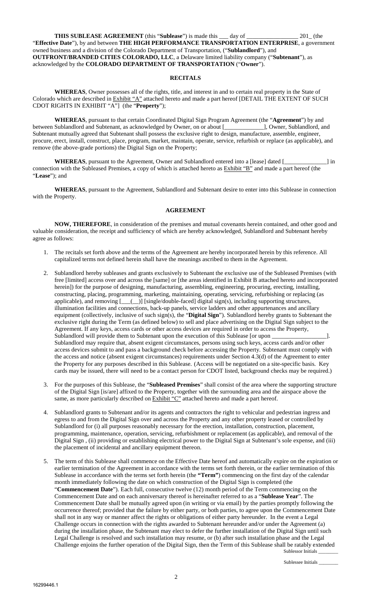**THIS SUBLEASE AGREEMENT** (this "**Sublease**") is made this \_\_\_ day of \_\_\_\_\_\_\_\_\_\_\_\_\_\_\_\_\_ 201\_ (the "**Effective Date**"), by and between **THE HIGH PERFORMANCE TRANSPORTATION ENTERPRISE**, a government owned business and a division of the Colorado Department of Transportation, ("**Sublandlord**"), and **OUTFRONT/BRANDED CITIES COLORADO, LLC**, a Delaware limited liability company ("**Subtenant**"), as acknowledged by the **COLORADO DEPARTMENT OF TRANSPORTATION** ("**Owner**").

#### **RECITALS**

**WHEREAS**, Owner possesses all of the rights, title, and interest in and to certain real property in the State of Colorado which are described in Exhibit "A" attached hereto and made a part hereof [DETAIL THE EXTENT OF SUCH CDOT RIGHTS IN EXHIBIT "A"] (the "**Property**");

**WHEREAS**, pursuant to that certain Coordinated Digital Sign Program Agreement (the "**Agreement**") by and Sublandlord and Subtenant, as acknowledged by Owner, on or about [1, 0wner, Sublandlord, and between Sublandlord and Subtenant, as acknowledged by Owner, on or about [\_\_\_\_\_\_\_\_\_\_\_\_\_], Owner, Sublandlord, and Subtenant mutually agreed that Subtenant shall possess the exclusive right to design, manufacture, assemble, engineer, procure, erect, install, construct, place, program, market, maintain, operate, service, refurbish or replace (as applicable), and remove (the above-grade portions) the Digital Sign on the Property;

**WHEREAS**, pursuant to the Agreement, Owner and Sublandlord entered into a [lease] dated [\_\_\_\_\_\_\_\_\_\_\_\_\_\_] in connection with the Subleased Premises, a copy of which is attached hereto as Exhibit "B" and made a part hereof (the "**Lease**"); and

**WHEREAS**, pursuant to the Agreement, Sublandlord and Subtenant desire to enter into this Sublease in connection with the Property.

#### **AGREEMENT**

**NOW, THEREFORE**, in consideration of the premises and mutual covenants herein contained, and other good and valuable consideration, the receipt and sufficiency of which are hereby acknowledged, Sublandlord and Subtenant hereby agree as follows:

- 1. The recitals set forth above and the terms of the Agreement are hereby incorporated herein by this reference. All capitalized terms not defined herein shall have the meanings ascribed to them in the Agreement.
- 2. Sublandlord hereby subleases and grants exclusively to Subtenant the exclusive use of the Subleased Premises (with free [limited] access over and across the [same] or [the areas identified in Exhibit B attached hereto and incorporated herein]) for the purpose of designing, manufacturing, assembling, engineering, procuring, erecting, installing, constructing, placing, programming, marketing, maintaining, operating, servicing, refurbishing or replacing (as applicable), and removing  $[\_\_])$  [single/double-faced] digital sign(s), including supporting structures, illumination facilities and connections, back-up panels, service ladders and other appurtenances and ancillary equipment (collectively, inclusive of such sign(s), the "**Digital Sign**"). Sublandlord hereby grants to Subtenant the exclusive right during the Term (as defined below) to sell and place advertising on the Digital Sign subject to the Agreement. If any keys, access cards or other access devices are required in order to access the Property, Sublandlord will provide them to Subtenant upon the execution of this Sublease [or upon \_ Sublandlord may require that, absent exigent circumstances, persons using such keys, access cards and/or other access devices submit to and pass a background check before accessing the Property. Subtenant must comply with the access and notice (absent exigent circumstances) requirements under Section 4.3(d) of the Agreement to enter the Property for any purposes described in this Sublease. (Access will be negotiated on a site-specific basis. Key cards may be issued, there will need to be a contact person for CDOT listed, background checks may be required.)
- 3. For the purposes of this Sublease, the "**Subleased Premises**" shall consist of the area where the supporting structure of the Digital Sign [is/are] affixed to the Property, together with the surrounding area and the airspace above the same, as more particularly described on  $Exhibit 'C'$  attached hereto and made a part hereof.
- 4. Sublandlord grants to Subtenant and/or its agents and contractors the right to vehicular and pedestrian ingress and egress to and from the Digital Sign over and across the Property and any other property leased or controlled by Sublandlord for (i) all purposes reasonably necessary for the erection, installation, construction, placement, programming, maintenance, operation, servicing, refurbishment or replacement (as applicable), and removal of the Digital Sign , (ii) providing or establishing electrical power to the Digital Sign at Subtenant's sole expense, and (iii) the placement of incidental and ancillary equipment thereon.
- Sublessor Initials 5. The term of this Sublease shall commence on the Effective Date hereof and automatically expire on the expiration or earlier termination of the Agreement in accordance with the terms set forth therein, or the earlier termination of this Sublease in accordance with the terms set forth herein (the **"Term"**) commencing on the first day of the calendar month immediately following the date on which construction of the Digital Sign is completed (the "**Commencement Date**"). Each full, consecutive twelve (12) month period of the Term commencing on the Commencement Date and on each anniversary thereof is hereinafter referred to as a "**Sublease Year**". The Commencement Date shall be mutually agreed upon (in writing or via email) by the parties promptly following the occurrence thereof; provided that the failure by either party, or both parties, to agree upon the Commencement Date shall not in any way or manner affect the rights or obligations of either party hereunder. In the event a Legal Challenge occurs in connection with the rights awarded to Subtenant hereunder and/or under the Agreement (a) during the installation phase, the Subtenant may elect to defer the further installation of the Digital Sign until such Legal Challenge is resolved and such installation may resume, or (b) after such installation phase and the Legal Challenge enjoins the further operation of the Digital Sign, then the Term of this Sublease shall be ratably extended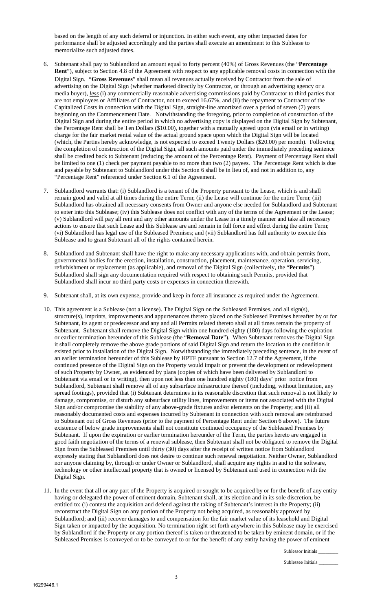based on the length of any such deferral or injunction. In either such event, any other impacted dates for performance shall be adjusted accordingly and the parties shall execute an amendment to this Sublease to memorialize such adjusted dates.

- 6. Subtenant shall pay to Sublandlord an amount equal to forty percent (40%) of Gross Revenues (the "**Percentage Rent**"), subject to Section 4.8 of the Agreement with respect to any applicable removal costs in connection with the Digital Sign. "**Gross Revenues**" shall mean all revenues actually received by Contractor from the sale of advertising on the Digital Sign (whether marketed directly by Contractor, or through an advertising agency or a media buyer), *less* (i) any commercially reasonable advertising commissions paid by Contractor to third parties that are not employees or Affiliates of Contractor, not to exceed 16.67%, and (ii) the repayment to Contractor of the Capitalized Costs in connection with the Digital Sign, straight-line amortized over a period of seven (7) years beginning on the Commencement Date. Notwithstanding the foregoing, prior to completion of construction of the Digital Sign and during the entire period in which no advertising copy is displayed on the Digital Sign by Subtenant, the Percentage Rent shall be Ten Dollars (\$10.00), together with a mutually agreed upon (via email or in writing) charge for the fair market rental value of the actual ground space upon which the Digital Sign will be located (which, the Parties hereby acknowledge, is not expected to exceed Twenty Dollars (\$20.00) per month). Following the completion of construction of the Digital Sign, all such amounts paid under the immediately preceding sentence shall be credited back to Subtenant (reducing the amount of the Percentage Rent). Payment of Percentage Rent shall be limited to one (1) check per payment payable to no more than two (2) payees. The Percentage Rent which is due and payable by Subtenant to Sublandlord under this Section 6 shall be in lieu of, and not in addition to, any "Percentage Rent" referenced under Section 6.1 of the Agreement.
- 7. Sublandlord warrants that: (i) Sublandlord is a tenant of the Property pursuant to the Lease, which is and shall remain good and valid at all times during the entire Term; (ii) the Lease will continue for the entire Term; (iii) Sublandlord has obtained all necessary consents from Owner and anyone else needed for Sublandlord and Subtenant to enter into this Sublease; (iv) this Sublease does not conflict with any of the terms of the Agreement or the Lease; (v) Sublandlord will pay all rent and any other amounts under the Lease in a timely manner and take all necessary actions to ensure that such Lease and this Sublease are and remain in full force and effect during the entire Term; (vi) Sublandlord has legal use of the Subleased Premises; and (vii) Sublandlord has full authority to execute this Sublease and to grant Subtenant all of the rights contained herein.
- 8. Sublandlord and Subtenant shall have the right to make any necessary applications with, and obtain permits from, governmental bodies for the erection, installation, construction, placement, maintenance, operation, servicing, refurbishment or replacement (as applicable), and removal of the Digital Sign (collectively, the "**Permits**"). Sublandlord shall sign any documentation required with respect to obtaining such Permits, provided that Sublandlord shall incur no third party costs or expenses in connection therewith.
- 9. Subtenant shall, at its own expense, provide and keep in force all insurance as required under the Agreement.
- 10. This agreement is a Sublease (not a license). The Digital Sign on the Subleased Premises, and all sign(s), structure(s), imprints, improvements and appurtenances thereto placed on the Subleased Premises hereafter by or for Subtenant, its agent or predecessor and any and all Permits related thereto shall at all times remain the property of Subtenant. Subtenant shall remove the Digital Sign within one hundred eighty (180) days following the expiration or earlier termination hereunder of this Sublease (the "**Removal Date**"). When Subtenant removes the Digital Sign it shall completely remove the above grade portions of said Digital Sign and return the location to the condition it existed prior to installation of the Digital Sign. Notwithstanding the immediately preceding sentence, in the event of an earlier termination hereunder of this Sublease by HPTE pursuant to Section 12.7 of the Agreement, if the continued presence of the Digital Sign on the Property would impair or prevent the development or redevelopment of such Property by Owner, as evidenced by plans (copies of which have been delivered by Sublandlord to Subtenant via email or in writing), then upon not less than one hundred eighty (180) days' prior notice from Sublandlord, Subtenant shall remove all of any subsurface infrastructure thereof (including, without limitation, any spread footings), provided that (i) Subtenant determines in its reasonable discretion that such removal is not likely to damage, compromise, or disturb any subsurface utility lines, improvements or items not associated with the Digital Sign and/or compromise the stability of any above-grade fixtures and/or elements on the Property; and (ii) all reasonably documented costs and expenses incurred by Subtenant in connection with such removal are reimbursed to Subtenant out of Gross Revenues (prior to the payment of Percentage Rent under Section 6 above). The future existence of below grade improvements shall not constitute continued occupancy of the Subleased Premises by Subtenant. If upon the expiration or earlier termination hereunder of the Term, the parties hereto are engaged in good faith negotiation of the terms of a renewal sublease, then Subtenant shall not be obligated to remove the Digital Sign from the Subleased Premises until thirty (30) days after the receipt of written notice from Sublandlord expressly stating that Sublandlord does not desire to continue such renewal negotiation. Neither Owner, Sublandlord nor anyone claiming by, through or under Owner or Sublandlord, shall acquire any rights in and to the software, technology or other intellectual property that is owned or licensed by Subtenant and used in connection with the Digital Sign.
- 11. In the event that all or any part of the Property is acquired or sought to be acquired by or for the benefit of any entity having or delegated the power of eminent domain, Subtenant shall, at its election and in its sole discretion, be entitled to: (i) contest the acquisition and defend against the taking of Subtenant's interest in the Property; (ii) reconstruct the Digital Sign on any portion of the Property not being acquired, as reasonably approved by Sublandlord; and (iii) recover damages to and compensation for the fair market value of its leasehold and Digital Sign taken or impacted by the acquisition. No termination right set forth anywhere in this Sublease may be exercised by Sublandlord if the Property or any portion thereof is taken or threatened to be taken by eminent domain, or if the Subleased Premises is conveyed or to be conveyed to or for the benefit of any entity having the power of eminent

Sublessor Initials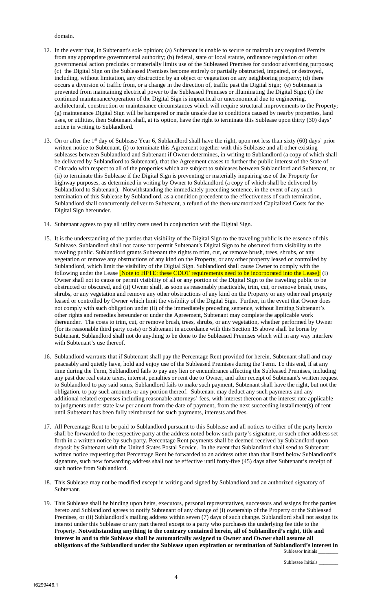#### domain.

- 12. In the event that, in Subtenant's sole opinion; (a) Subtenant is unable to secure or maintain any required Permits from any appropriate governmental authority; (b) federal, state or local statute, ordinance regulation or other governmental action precludes or materially limits use of the Subleased Premises for outdoor advertising purposes; (c) the Digital Sign on the Subleased Premises become entirely or partially obstructed, impaired, or destroyed, including, without limitation, any obstruction by an object or vegetation on any neighboring property; (d) there occurs a diversion of traffic from, or a change in the direction of, traffic past the Digital Sign; (e) Subtenant is prevented from maintaining electrical power to the Subleased Premises or illuminating the Digital Sign; (f) the continued maintenance/operation of the Digital Sign is impractical or uneconomical due to engineering, architectural, construction or maintenance circumstances which will require structural improvements to the Property; (g) maintenance Digital Sign will be hampered or made unsafe due to conditions caused by nearby properties, land uses, or utilities, then Subtenant shall, at its option, have the right to terminate this Sublease upon thirty (30) days' notice in writing to Sublandlord.
- 13. On or after the 1<sup>st</sup> day of Sublease Year 6, Sublandlord shall have the right, upon not less than sixty (60) days' prior written notice to Subtenant, (i) to terminate this Agreement together with this Sublease and all other existing subleases between Sublandlord and Subtenant if Owner determines, in writing to Sublandlord (a copy of which shall be delivered by Sublandlord to Subtenant), that the Agreement ceases to further the public interest of the State of Colorado with respect to all of the properties which are subject to subleases between Sublandlord and Subtenant, or (ii) to terminate this Sublease if the Digital Sign is preventing or materially impairing use of the Property for highway purposes, as determined in writing by Owner to Sublandlord (a copy of which shall be delivered by Sublandlord to Subtenant). Notwithstanding the immediately preceding sentence, in the event of any such termination of this Sublease by Sublandlord, as a condition precedent to the effectiveness of such termination, Sublandlord shall concurrently deliver to Subtenant, a refund of the then-unamortized Capitalized Costs for the Digital Sign hereunder.
- 14. Subtenant agrees to pay all utility costs used in conjunction with the Digital Sign.
- 15. It is the understanding of the parties that visibility of the Digital Sign to the traveling public is the essence of this Sublease. Sublandlord shall not cause nor permit Subtenant's Digital Sign to be obscured from visibility to the traveling public. Sublandlord grants Subtenant the rights to trim, cut, or remove brush, trees, shrubs, or any vegetation or remove any obstructions of any kind on the Property, or any other property leased or controlled by Sublandlord, which limit the visibility of the Digital Sign. Sublandlord shall cause Owner to comply with the following under the Lease [Note to HPTE: these CDOT requirements need to be incorporated into the Lease]: (i) Owner shall not to cause or permit visibility of all or any portion of the Digital Sign to the traveling public to be obstructed or obscured, and (ii) Owner shall, as soon as reasonably practicable, trim, cut, or remove brush, trees, shrubs, or any vegetation and remove any other obstructions of any kind on the Property or any other real property leased or controlled by Owner which limit the visibility of the Digital Sign. Further, in the event that Owner does not comply with such obligation under (ii) of the immediately preceding sentence, without limiting Subtenant's other rights and remedies hereunder or under the Agreement, Subtenant may complete the applicable work thereunder. The costs to trim, cut, or remove brush, trees, shrubs, or any vegetation, whether performed by Owner (for its reasonable third party costs) or Subtenant in accordance with this Section 15 above shall be borne by Subtenant. Sublandlord shall not do anything to be done to the Subleased Premises which will in any way interfere with Subtenant's use thereof.
- 16. Sublandlord warrants that if Subtenant shall pay the Percentage Rent provided for herein, Subtenant shall and may peaceably and quietly have, hold and enjoy use of the Subleased Premises during the Term. To this end, if at any time during the Term, Sublandlord fails to pay any lien or encumbrance affecting the Subleased Premises, including any past due real estate taxes, interest, penalties or rent due to Owner, and after receipt of Subtenant's written request to Sublandlord to pay said sums, Sublandlord fails to make such payment, Subtenant shall have the right, but not the obligation, to pay such amounts or any portion thereof. Subtenant may deduct any such payments and any additional related expenses including reasonable attorneys' fees, with interest thereon at the interest rate applicable to judgments under state law per annum from the date of payment, from the next succeeding installment(s) of rent until Subtenant has been fully reimbursed for such payments, interests and fees.
- 17. All Percentage Rent to be paid to Sublandlord pursuant to this Sublease and all notices to either of the party hereto shall be forwarded to the respective party at the address noted below such party's signature, or such other address set forth in a written notice by such party. Percentage Rent payments shall be deemed received by Sublandlord upon deposit by Subtenant with the United States Postal Service. In the event that Sublandlord shall send to Subtenant written notice requesting that Percentage Rent be forwarded to an address other than that listed below Sublandlord's signature, such new forwarding address shall not be effective until forty-five (45) days after Subtenant's receipt of such notice from Sublandlord.
- 18. This Sublease may not be modified except in writing and signed by Sublandlord and an authorized signatory of Subtenant.
- Sublessor Initials 19. This Sublease shall be binding upon heirs, executors, personal representatives, successors and assigns for the parties hereto and Sublandlord agrees to notify Subtenant of any change of (i) ownership of the Property or the Subleased Premises, or (ii) Sublandlord's mailing address within seven (7) days of such change. Sublandlord shall not assign its interest under this Sublease or any part thereof except to a party who purchases the underlying fee title to the Property. **Notwithstanding anything to the contrary contained herein, all of Sublandlord's right, title and interest in and to this Sublease shall be automatically assigned to Owner and Owner shall assume all obligations of the Sublandlord under the Sublease upon expiration or termination of Sublandlord's interest in**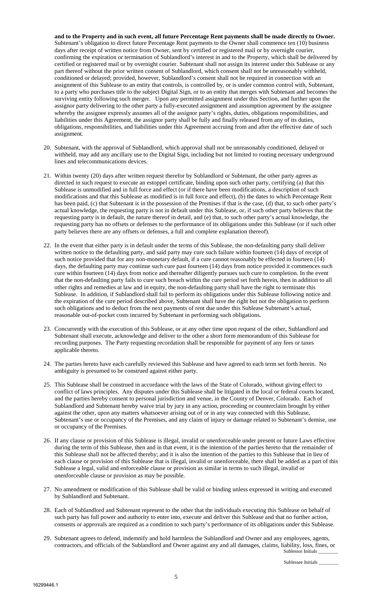**and to the Property and in such event, all future Percentage Rent payments shall be made directly to Owner.**  Subtenant's obligation to direct future Percentage Rent payments to the Owner shall commence ten (10) business days after receipt of written notice from Owner, sent by certified or registered mail or by overnight courier, confirming the expiration or termination of Sublandlord's interest in and to the Property, which shall be delivered by certified or registered mail or by overnight courier. Subtenant shall not assign its interest under this Sublease or any part thereof without the prior written consent of Sublandlord, which consent shall not be unreasonably withheld, conditioned or delayed; provided, however, Sublandlord's consent shall not be required in connection with an assignment of this Sublease to an entity that controls, is controlled by, or is under common control with, Subtenant, to a party who purchases title to the subject Digital Sign, or to an entity that merges with Subtenant and becomes the surviving entity following such merger. Upon any permitted assignment under this Section, and further upon the assignor party delivering to the other party a fully-executed assignment and assumption agreement by the assignee whereby the assignee expressly assumes all of the assignor party's rights, duties, obligations responsibilities, and liabilities under this Agreement, the assignor party shall be fully and finally released from any of its duties, obligations, responsibilities, and liabilities under this Agreement accruing from and after the effective date of such assignment.

- 20. Subtenant, with the approval of Sublandlord, which approval shall not be unreasonably conditioned, delayed or withheld, may add any ancillary use to the Digital Sign, including but not limited to routing necessary underground lines and telecommunications devices.
- 21. Within twenty (20) days after written request therefor by Sublandlord or Subtenant, the other party agrees as directed in such request to execute an estoppel certificate, binding upon such other party, certifying (a) that this Sublease is unmodified and in full force and effect (or if there have been modifications, a description of such modifications and that this Sublease as modified is in full force and effect), (b) the dates to which Percentage Rent has been paid, (c) that Subtenant is in the possession of the Premises if that is the case, (d) that, to such other party's actual knowledge, the requesting party is not in default under this Sublease, or, if such other party believes that the requesting party is in default, the nature thereof in detail, and (e) that, to such other party's actual knowledge, the requesting party has no offsets or defenses to the performance of its obligations under this Sublease (or if such other party believes there are any offsets or defenses, a full and complete explanation thereof).
- 22. In the event that either party is in default under the terms of this Sublease, the non-defaulting party shall deliver written notice to the defaulting party, and said party may cure such failure within fourteen (14) days of receipt of such notice provided that for any non-monetary default, if a cure cannot reasonably be effected in fourteen (14) days, the defaulting party may continue such cure past fourteen (14) days from notice provided it commences such cure within fourteen (14) days from notice and thereafter diligently pursues such cure to completion. In the event that the non-defaulting party fails to cure such breach within the cure period set forth herein, then in addition to all other rights and remedies at law and in equity, the non-defaulting party shall have the right to terminate this Sublease. In addition, if Sublandlord shall fail to perform its obligations under this Sublease following notice and the expiration of the cure period described above, Subtenant shall have the right but not the obligation to perform such obligations and to deduct from the next payments of rent due under this Sublease Subtenant's actual, reasonable out-of-pocket costs incurred by Subtenant in performing such obligations.
- 23. Concurrently with the execution of this Sublease, or at any other time upon request of the other, Sublandlord and Subtenant shall execute, acknowledge and deliver to the other a short form memorandum of this Sublease for recording purposes. The Party requesting recordation shall be responsible for payment of any fees or taxes applicable thereto.
- 24. The parties hereto have each carefully reviewed this Sublease and have agreed to each term set forth herein. No ambiguity is presumed to be construed against either party.
- 25. This Sublease shall be construed in accordance with the laws of the State of Colorado, without giving effect to conflict of laws principles. Any disputes under this Sublease shall be litigated in the local or federal courts located, and the parties hereby consent to personal jurisdiction and venue, in the County of Denver, Colorado. Each of Sublandlord and Subtenant hereby waive trial by jury in any action, proceeding or counterclaim brought by either against the other, upon any matters whatsoever arising out of or in any way connected with this Sublease, Subtenant's use or occupancy of the Premises, and any claim of injury or damage related to Subtenant's demise, use or occupancy of the Premises.
- 26. If any clause or provision of this Sublease is illegal, invalid or unenforceable under present or future Laws effective during the term of this Sublease, then and in that event, it is the intention of the parties hereto that the remainder of this Sublease shall not be affected thereby; and it is also the intention of the parties to this Sublease that in lieu of each clause or provision of this Sublease that is illegal, invalid or unenforceable, there shall be added as a part of this Sublease a legal, valid and enforceable clause or provision as similar in terms to such illegal, invalid or unenforceable clause or provision as may be possible.
- 27. No amendment or modification of this Sublease shall be valid or binding unless expressed in writing and executed by Sublandlord and Subtenant.
- 28. Each of Sublandlord and Subtenant represent to the other that the individuals executing this Sublease on behalf of such party has full power and authority to enter into, execute and deliver this Sublease and that no further action, consents or approvals are required as a condition to such party's performance of its obligations under this Sublease.
- Sublessor Initials 29. Subtenant agrees to defend, indemnify and hold harmless the Sublandlord and Owner and any employees, agents, contractors, and officials of the Sublandlord and Owner against any and all damages, claims, liability, loss, fines, or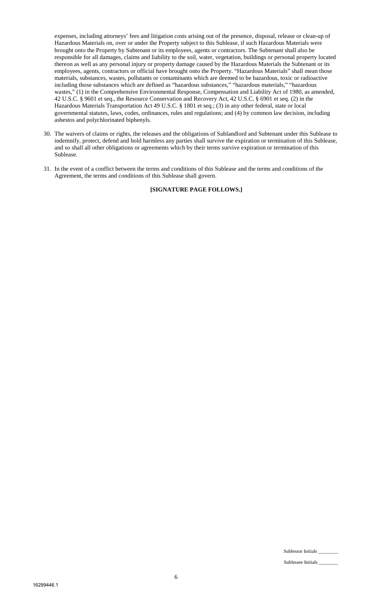expenses, including attorneys' fees and litigation costs arising out of the presence, disposal, release or clean-up of Hazardous Materials on, over or under the Property subject to this Sublease, if such Hazardous Materials were brought onto the Property by Subtenant or its employees, agents or contractors. The Subtenant shall also be responsible for all damages, claims and liability to the soil, water, vegetation, buildings or personal property located thereon as well as any personal injury or property damage caused by the Hazardous Materials the Subtenant or its employees, agents, contractors or official have brought onto the Property. "Hazardous Materials" shall mean those materials, substances, wastes, pollutants or contaminants which are deemed to be hazardous, toxic or radioactive including those substances which are defined as "hazardous substances," "hazardous materials," "hazardous wastes," (1) in the Comprehensive Environmental Response, Compensation and Liability Act of 1980, as amended, 42 U.S.C. § 9601 et seq., the Resource Conservation and Recovery Act, 42 U.S.C. § 6901 et seq. (2) in the Hazardous Materials Transportation Act 49 U.S.C. § 1801 et seq.; (3) in any other federal, state or local governmental statutes, laws, codes, ordinances, rules and regulations; and (4) by common law decision, including asbestos and polychlorinated biphenyls.

- 30. The waivers of claims or rights, the releases and the obligations of Sublandlord and Subtenant under this Sublease to indemnify, protect, defend and hold harmless any parties shall survive the expiration or termination of this Sublease, and so shall all other obligations or agreements which by their terms survive expiration or termination of this Sublease.
- 31. In the event of a conflict between the terms and conditions of this Sublease and the terms and conditions of the Agreement, the terms and conditions of this Sublease shall govern.

**[SIGNATURE PAGE FOLLOWS.]**

Sublessor Initials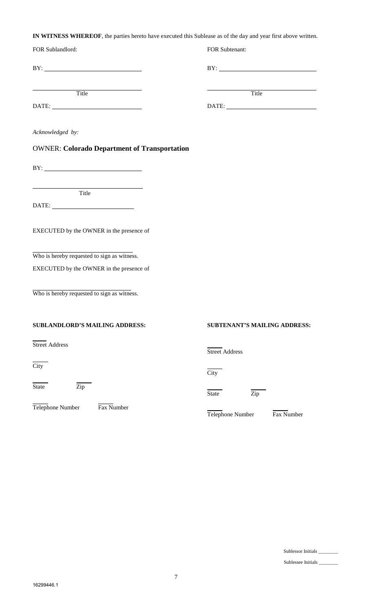**IN WITNESS WHEREOF**, the parties hereto have executed this Sublease as of the day and year first above written.

| FOR Sublandlord:                                                                                                                                                                                                                                                                                                                                            | FOR Subtenant:                                                                                                                                                                                                                                                                                                                                              |
|-------------------------------------------------------------------------------------------------------------------------------------------------------------------------------------------------------------------------------------------------------------------------------------------------------------------------------------------------------------|-------------------------------------------------------------------------------------------------------------------------------------------------------------------------------------------------------------------------------------------------------------------------------------------------------------------------------------------------------------|
| $BY: \begin{tabular}{ c c c c } \hline \rule{0.2cm}{.01cm} \rule{0.2cm}{.01cm} \rule{0.2cm}{.01cm} \rule{0.2cm}{.01cm} \rule{0.2cm}{.01cm} \rule{0.2cm}{.01cm} \rule{0.2cm}{.01cm} \rule{0.2cm}{.01cm} \rule{0.2cm}{.01cm} \rule{0.2cm}{.01cm} \rule{0.2cm}{.01cm} \rule{0.2cm}{.01cm} \rule{0.2cm}{.01cm} \rule{0.2cm}{.01cm} \rule{0.2cm}{.01cm} \rule{0$ | $BY: \begin{tabular}{ c c c c } \hline \rule{0.2cm}{.01cm} \rule{0.2cm}{.01cm} \rule{0.2cm}{.01cm} \rule{0.2cm}{.01cm} \rule{0.2cm}{.01cm} \rule{0.2cm}{.01cm} \rule{0.2cm}{.01cm} \rule{0.2cm}{.01cm} \rule{0.2cm}{.01cm} \rule{0.2cm}{.01cm} \rule{0.2cm}{.01cm} \rule{0.2cm}{.01cm} \rule{0.2cm}{.01cm} \rule{0.2cm}{.01cm} \rule{0.2cm}{.01cm} \rule{0$ |
| Title Title                                                                                                                                                                                                                                                                                                                                                 | <b>Title</b>                                                                                                                                                                                                                                                                                                                                                |
| Acknowledged by:                                                                                                                                                                                                                                                                                                                                            |                                                                                                                                                                                                                                                                                                                                                             |
| <b>OWNER: Colorado Department of Transportation</b>                                                                                                                                                                                                                                                                                                         |                                                                                                                                                                                                                                                                                                                                                             |
| $BY: \begin{tabular}{ c c c c } \hline \rule{0.2cm}{.01cm} \rule{0.2cm}{.01cm} \rule{0.2cm}{.01cm} \rule{0.2cm}{.01cm} \rule{0.2cm}{.01cm} \rule{0.2cm}{.01cm} \rule{0.2cm}{.01cm} \rule{0.2cm}{.01cm} \rule{0.2cm}{.01cm} \rule{0.2cm}{.01cm} \rule{0.2cm}{.01cm} \rule{0.2cm}{.01cm} \rule{0.2cm}{.01cm} \rule{0.2cm}{.01cm} \rule{0.2cm}{.01cm} \rule{0$ |                                                                                                                                                                                                                                                                                                                                                             |
| <u> 1989 - Johann Stein, markinsk politik (</u><br>Title                                                                                                                                                                                                                                                                                                    |                                                                                                                                                                                                                                                                                                                                                             |
|                                                                                                                                                                                                                                                                                                                                                             |                                                                                                                                                                                                                                                                                                                                                             |
| EXECUTED by the OWNER in the presence of                                                                                                                                                                                                                                                                                                                    |                                                                                                                                                                                                                                                                                                                                                             |
| Who is hereby requested to sign as witness.                                                                                                                                                                                                                                                                                                                 |                                                                                                                                                                                                                                                                                                                                                             |
| EXECUTED by the OWNER in the presence of                                                                                                                                                                                                                                                                                                                    |                                                                                                                                                                                                                                                                                                                                                             |
| Who is hereby requested to sign as witness.                                                                                                                                                                                                                                                                                                                 |                                                                                                                                                                                                                                                                                                                                                             |
| <b>SUBLANDLORD'S MAILING ADDRESS:</b>                                                                                                                                                                                                                                                                                                                       | <b>SUBTENANT'S MAILING ADDRESS:</b>                                                                                                                                                                                                                                                                                                                         |
| <b>Street Address</b>                                                                                                                                                                                                                                                                                                                                       | <b>Street Address</b>                                                                                                                                                                                                                                                                                                                                       |
| $\overline{City}$                                                                                                                                                                                                                                                                                                                                           | City                                                                                                                                                                                                                                                                                                                                                        |
| Zip<br>State                                                                                                                                                                                                                                                                                                                                                | State<br>Zip                                                                                                                                                                                                                                                                                                                                                |
| Fax Number<br>Telephone Number                                                                                                                                                                                                                                                                                                                              | Telephone Number<br>Fax Number                                                                                                                                                                                                                                                                                                                              |
|                                                                                                                                                                                                                                                                                                                                                             |                                                                                                                                                                                                                                                                                                                                                             |

Sublessee Initials \_\_\_\_\_\_\_\_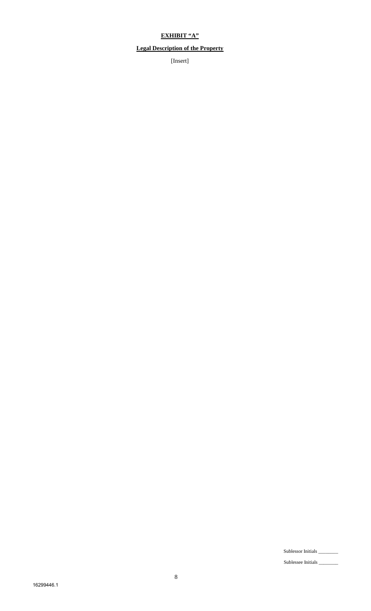## **EXHIBIT "A"**

## **Legal Description of the Property**

[Insert]

Sublessor Initials \_\_\_\_\_\_\_\_

Sublessee Initials \_\_\_\_\_\_\_\_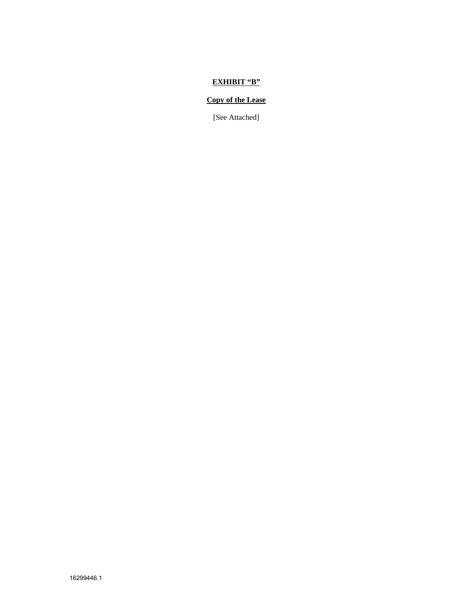#### **EXHIBIT "B"**

#### **Copy of the Lease**

[See Attached]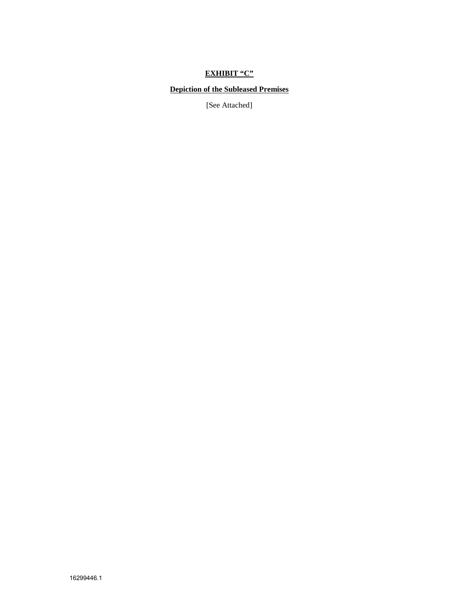# **EXHIBIT "C"**

### **Depiction of the Subleased Premises**

[See Attached]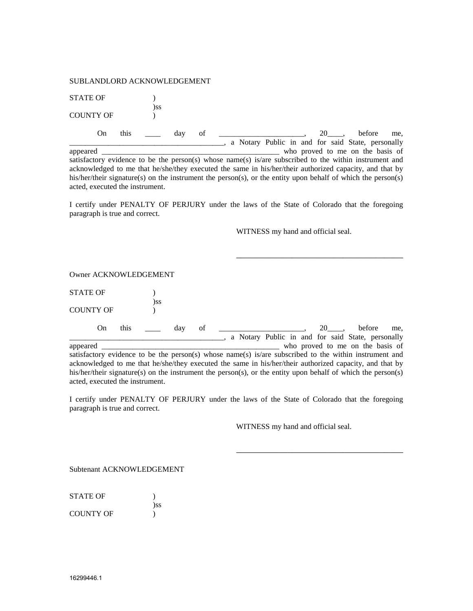#### SUBLANDLORD ACKNOWLEDGEMENT

STATE OF  $\qquad$  ) )ss COUNTY OF  $)$ On this  $\frac{1}{\sqrt{2}}$  day of  $\frac{1}{\sqrt{2}}$  and  $\frac{1}{\sqrt{2}}$  and  $\frac{1}{\sqrt{2}}$  and  $\frac{1}{\sqrt{2}}$  and  $\frac{1}{\sqrt{2}}$  and  $\frac{1}{\sqrt{2}}$  and  $\frac{1}{\sqrt{2}}$  and  $\frac{1}{\sqrt{2}}$  and  $\frac{1}{\sqrt{2}}$  and  $\frac{1}{\sqrt{2}}$  and  $\frac{1}{\sqrt{2}}$  and  $\frac{1}{$ \_\_\_\_\_\_\_\_\_\_\_\_\_\_\_\_\_\_\_\_\_\_\_\_\_\_\_\_\_\_\_\_\_\_\_\_\_\_\_\_, a Notary Public in and for said State, personally appeared \_\_\_\_\_\_\_\_\_\_\_\_\_\_\_\_\_\_\_\_\_\_\_\_\_\_\_\_\_\_\_\_\_\_\_\_\_\_\_\_\_\_\_\_\_\_ who proved to me on the basis of satisfactory evidence to be the person(s) whose name(s) is/are subscribed to the within instrument and acknowledged to me that he/she/they executed the same in his/her/their authorized capacity, and that by his/her/their signature(s) on the instrument the person(s), or the entity upon behalf of which the person(s)

I certify under PENALTY OF PERJURY under the laws of the State of Colorado that the foregoing paragraph is true and correct.

WITNESS my hand and official seal.

\_\_\_\_\_\_\_\_\_\_\_\_\_\_\_\_\_\_\_\_\_\_\_\_\_\_\_\_\_\_\_\_\_\_\_\_

Owner ACKNOWLEDGEMENT

acted, executed the instrument.

| <b>STATE OF</b>  |     |
|------------------|-----|
|                  | )SS |
| <b>COUNTY OF</b> |     |

On this  $\frac{1}{\sqrt{2}}$  day of  $\frac{1}{\sqrt{2}}$  and  $\frac{1}{\sqrt{2}}$  and  $\frac{1}{\sqrt{2}}$  and  $\frac{1}{\sqrt{2}}$  and  $\frac{1}{\sqrt{2}}$  and  $\frac{1}{\sqrt{2}}$  and  $\frac{1}{\sqrt{2}}$  and  $\frac{1}{\sqrt{2}}$  and  $\frac{1}{\sqrt{2}}$  and  $\frac{1}{\sqrt{2}}$  and  $\frac{1}{\sqrt{2}}$  and  $\frac{1}{$ a Notary Public in and for said State, personally appeared \_\_\_\_\_\_\_\_\_\_\_\_\_\_\_\_\_\_\_\_\_\_\_\_\_\_\_\_\_\_\_\_\_\_\_\_\_\_\_\_\_\_\_\_\_\_ who proved to me on the basis of satisfactory evidence to be the person(s) whose name(s) is/are subscribed to the within instrument and acknowledged to me that he/she/they executed the same in his/her/their authorized capacity, and that by his/her/their signature(s) on the instrument the person(s), or the entity upon behalf of which the person(s) acted, executed the instrument.

I certify under PENALTY OF PERJURY under the laws of the State of Colorado that the foregoing paragraph is true and correct.

WITNESS my hand and official seal.

\_\_\_\_\_\_\_\_\_\_\_\_\_\_\_\_\_\_\_\_\_\_\_\_\_\_\_\_\_\_\_\_\_\_\_\_

Subtenant ACKNOWLEDGEMENT

STATE OF  $\qquad$  ) )ss COUNTY OF (1)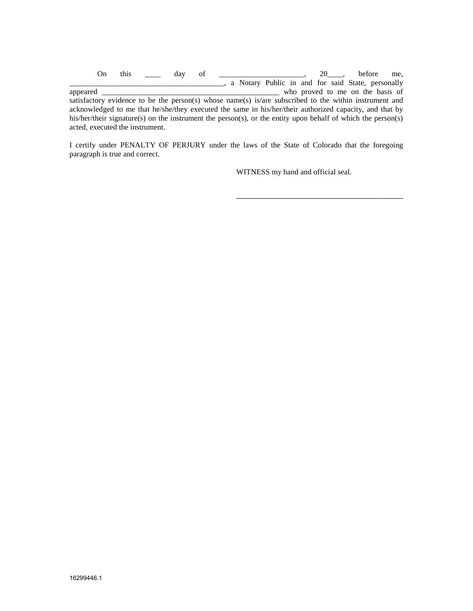On this  $\_\_\_\_$  day of  $\_\_\_\_\_\_\_\_$ ,  $20\_\_\_\_$  before me, \_\_\_\_\_\_\_\_\_\_\_\_\_\_\_\_\_\_\_\_\_\_\_\_\_\_\_\_\_\_\_\_\_\_\_\_\_\_\_\_, a Notary Public in and for said State, personally appeared \_\_\_\_\_\_\_\_\_\_\_\_\_\_\_\_\_\_\_\_\_\_\_\_\_\_\_\_\_\_\_\_\_\_\_\_\_\_\_\_\_\_\_\_\_\_ who proved to me on the basis of satisfactory evidence to be the person(s) whose name(s) is/are subscribed to the within instrument and acknowledged to me that he/she/they executed the same in his/her/their authorized capacity, and that by his/her/their signature(s) on the instrument the person(s), or the entity upon behalf of which the person(s) acted, executed the instrument.

I certify under PENALTY OF PERJURY under the laws of the State of Colorado that the foregoing paragraph is true and correct.

WITNESS my hand and official seal.

\_\_\_\_\_\_\_\_\_\_\_\_\_\_\_\_\_\_\_\_\_\_\_\_\_\_\_\_\_\_\_\_\_\_\_\_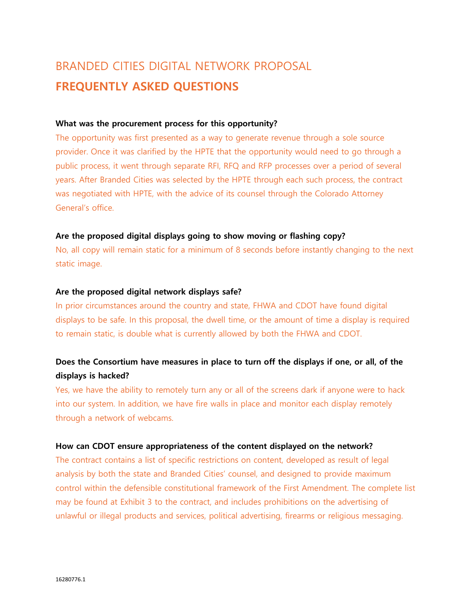# BRANDED CITIES DIGITAL NETWORK PROPOSAL **FREQUENTLY ASKED QUESTIONS**

### **What was the procurement process for this opportunity?**

The opportunity was first presented as a way to generate revenue through a sole source provider. Once it was clarified by the HPTE that the opportunity would need to go through a public process, it went through separate RFI, RFQ and RFP processes over a period of several years. After Branded Cities was selected by the HPTE through each such process, the contract was negotiated with HPTE, with the advice of its counsel through the Colorado Attorney General's office.

#### **Are the proposed digital displays going to show moving or flashing copy?**

No, all copy will remain static for a minimum of 8 seconds before instantly changing to the next static image.

#### **Are the proposed digital network displays safe?**

In prior circumstances around the country and state, FHWA and CDOT have found digital displays to be safe. In this proposal, the dwell time, or the amount of time a display is required to remain static, is double what is currently allowed by both the FHWA and CDOT.

## **Does the Consortium have measures in place to turn off the displays if one, or all, of the displays is hacked?**

Yes, we have the ability to remotely turn any or all of the screens dark if anyone were to hack into our system. In addition, we have fire walls in place and monitor each display remotely through a network of webcams.

#### **How can CDOT ensure appropriateness of the content displayed on the network?**

The contract contains a list of specific restrictions on content, developed as result of legal analysis by both the state and Branded Cities' counsel, and designed to provide maximum control within the defensible constitutional framework of the First Amendment. The complete list may be found at Exhibit 3 to the contract, and includes prohibitions on the advertising of unlawful or illegal products and services, political advertising, firearms or religious messaging.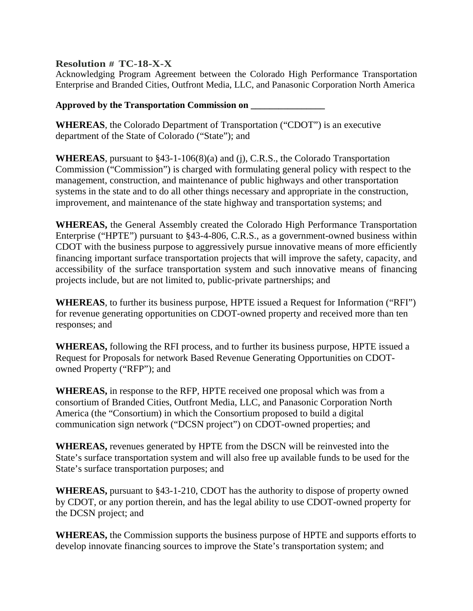## **Resolution # TC-18-X-X**

Acknowledging Program Agreement between the Colorado High Performance Transportation Enterprise and Branded Cities, Outfront Media, LLC, and Panasonic Corporation North America

**Approved by the Transportation Commission on \_\_\_\_\_\_\_\_\_\_\_\_\_\_\_\_**

**WHEREAS**, the Colorado Department of Transportation ("CDOT") is an executive department of the State of Colorado ("State"); and

**WHEREAS**, pursuant to §43-1-106(8)(a) and (j), C.R.S., the Colorado Transportation Commission ("Commission") is charged with formulating general policy with respect to the management, construction, and maintenance of public highways and other transportation systems in the state and to do all other things necessary and appropriate in the construction, improvement, and maintenance of the state highway and transportation systems; and

**WHEREAS,** the General Assembly created the Colorado High Performance Transportation Enterprise ("HPTE") pursuant to §43-4-806, C.R.S., as a government-owned business within CDOT with the business purpose to aggressively pursue innovative means of more efficiently financing important surface transportation projects that will improve the safety, capacity, and accessibility of the surface transportation system and such innovative means of financing projects include, but are not limited to, public-private partnerships; and

**WHEREAS**, to further its business purpose, HPTE issued a Request for Information ("RFI") for revenue generating opportunities on CDOT-owned property and received more than ten responses; and

**WHEREAS,** following the RFI process, and to further its business purpose, HPTE issued a Request for Proposals for network Based Revenue Generating Opportunities on CDOTowned Property ("RFP"); and

**WHEREAS,** in response to the RFP, HPTE received one proposal which was from a consortium of Branded Cities, Outfront Media, LLC, and Panasonic Corporation North America (the "Consortium) in which the Consortium proposed to build a digital communication sign network ("DCSN project") on CDOT-owned properties; and

**WHEREAS,** revenues generated by HPTE from the DSCN will be reinvested into the State's surface transportation system and will also free up available funds to be used for the State's surface transportation purposes; and

**WHEREAS,** pursuant to §43-1-210, CDOT has the authority to dispose of property owned by CDOT, or any portion therein, and has the legal ability to use CDOT-owned property for the DCSN project; and

**WHEREAS,** the Commission supports the business purpose of HPTE and supports efforts to develop innovate financing sources to improve the State's transportation system; and